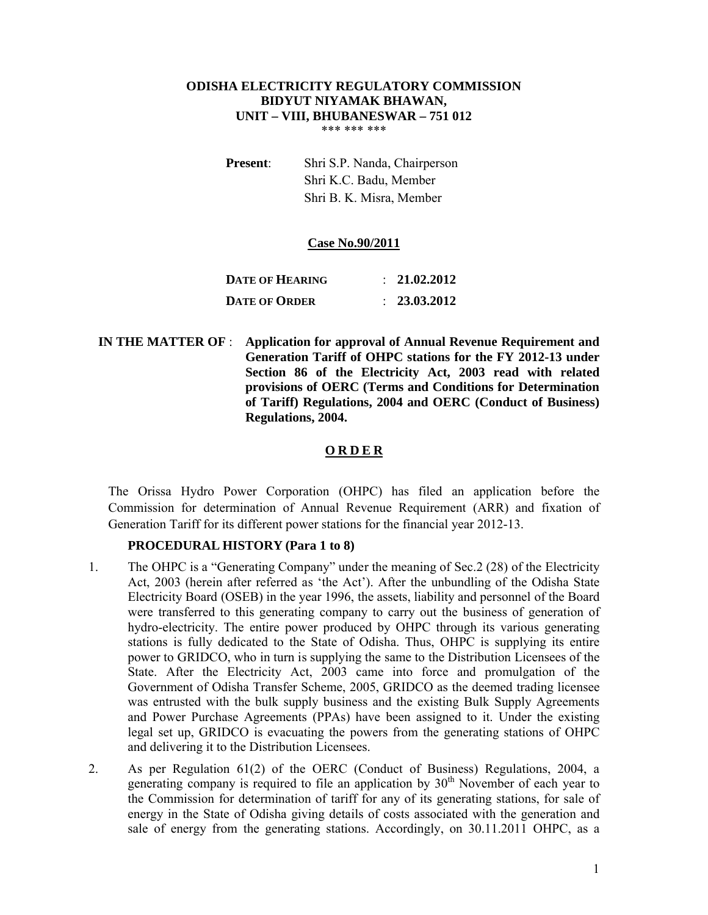#### **ODISHA ELECTRICITY REGULATORY COMMISSION BIDYUT NIYAMAK BHAWAN, UNIT – VIII, BHUBANESWAR – 751 012** \*\*\* \*\*\* \*\*\*

**Present**: Shri S.P. Nanda, Chairperson Shri K.C. Badu, Member Shri B. K. Misra, Member

#### **Case No.90/2011**

| DATE OF HEARING      | $\therefore$ 21.02.2012 |
|----------------------|-------------------------|
| <b>DATE OF ORDER</b> | $\therefore$ 23.03.2012 |

 **IN THE MATTER OF** : **Application for approval of Annual Revenue Requirement and Generation Tariff of OHPC stations for the FY 2012-13 under Section 86 of the Electricity Act, 2003 read with related provisions of OERC (Terms and Conditions for Determination of Tariff) Regulations, 2004 and OERC (Conduct of Business) Regulations, 2004.** 

## **O R D E R**

The Orissa Hydro Power Corporation (OHPC) has filed an application before the Commission for determination of Annual Revenue Requirement (ARR) and fixation of Generation Tariff for its different power stations for the financial year 2012-13.

## **PROCEDURAL HISTORY (Para 1 to 8)**

- 1. The OHPC is a "Generating Company" under the meaning of Sec.2 (28) of the Electricity Act, 2003 (herein after referred as 'the Act'). After the unbundling of the Odisha State Electricity Board (OSEB) in the year 1996, the assets, liability and personnel of the Board were transferred to this generating company to carry out the business of generation of hydro-electricity. The entire power produced by OHPC through its various generating stations is fully dedicated to the State of Odisha. Thus, OHPC is supplying its entire power to GRIDCO, who in turn is supplying the same to the Distribution Licensees of the State. After the Electricity Act, 2003 came into force and promulgation of the Government of Odisha Transfer Scheme, 2005, GRIDCO as the deemed trading licensee was entrusted with the bulk supply business and the existing Bulk Supply Agreements and Power Purchase Agreements (PPAs) have been assigned to it. Under the existing legal set up, GRIDCO is evacuating the powers from the generating stations of OHPC and delivering it to the Distribution Licensees.
- 2. As per Regulation 61(2) of the OERC (Conduct of Business) Regulations, 2004, a generating company is required to file an application by  $30<sup>th</sup>$  November of each year to the Commission for determination of tariff for any of its generating stations, for sale of energy in the State of Odisha giving details of costs associated with the generation and sale of energy from the generating stations. Accordingly, on 30.11.2011 OHPC, as a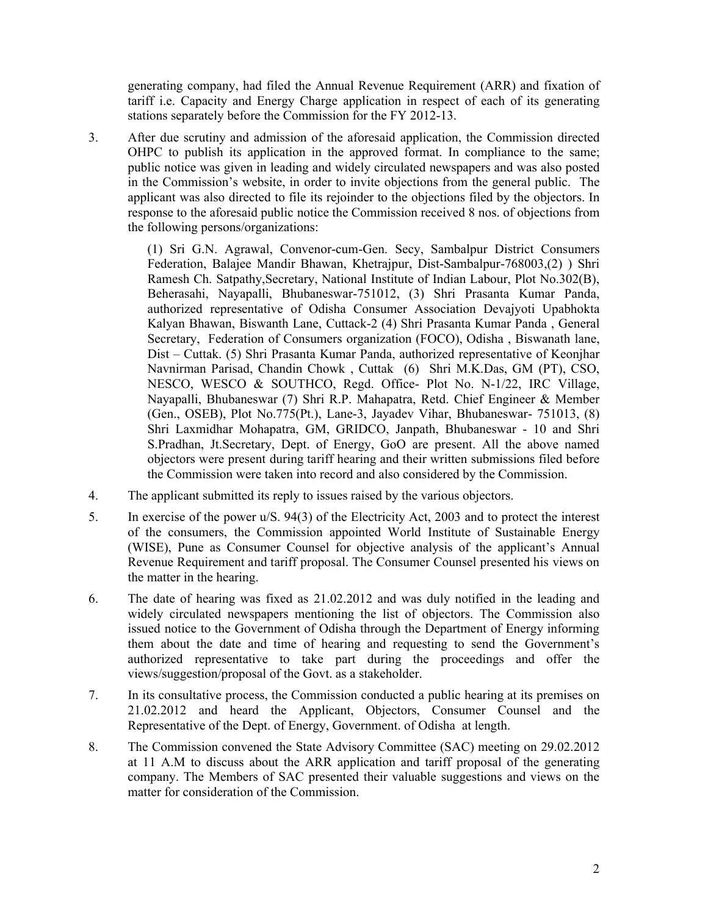generating company, had filed the Annual Revenue Requirement (ARR) and fixation of tariff i.e. Capacity and Energy Charge application in respect of each of its generating stations separately before the Commission for the FY 2012-13.

3. After due scrutiny and admission of the aforesaid application, the Commission directed OHPC to publish its application in the approved format. In compliance to the same; public notice was given in leading and widely circulated newspapers and was also posted in the Commission's website, in order to invite objections from the general public. The applicant was also directed to file its rejoinder to the objections filed by the objectors. In response to the aforesaid public notice the Commission received 8 nos. of objections from the following persons/organizations:

> (1) Sri G.N. Agrawal, Convenor-cum-Gen. Secy, Sambalpur District Consumers Federation, Balajee Mandir Bhawan, Khetrajpur, Dist-Sambalpur-768003,(2) ) Shri Ramesh Ch. Satpathy,Secretary, National Institute of Indian Labour, Plot No.302(B), Beherasahi, Nayapalli, Bhubaneswar-751012, (3) Shri Prasanta Kumar Panda, authorized representative of Odisha Consumer Association Devajyoti Upabhokta Kalyan Bhawan, Biswanth Lane, Cuttack-2 (4) Shri Prasanta Kumar Panda , General Secretary, Federation of Consumers organization (FOCO), Odisha , Biswanath lane, Dist – Cuttak. (5) Shri Prasanta Kumar Panda, authorized representative of Keonjhar Navnirman Parisad, Chandin Chowk , Cuttak (6) Shri M.K.Das, GM (PT), CSO, NESCO, WESCO & SOUTHCO, Regd. Office- Plot No. N-1/22, IRC Village, Nayapalli, Bhubaneswar (7) Shri R.P. Mahapatra, Retd. Chief Engineer & Member (Gen., OSEB), Plot No.775(Pt.), Lane-3, Jayadev Vihar, Bhubaneswar- 751013, (8) Shri Laxmidhar Mohapatra, GM, GRIDCO, Janpath, Bhubaneswar - 10 and Shri S.Pradhan, Jt.Secretary, Dept. of Energy, GoO are present. All the above named objectors were present during tariff hearing and their written submissions filed before the Commission were taken into record and also considered by the Commission.

- 4. The applicant submitted its reply to issues raised by the various objectors.
- 5. In exercise of the power u/S. 94(3) of the Electricity Act, 2003 and to protect the interest of the consumers, the Commission appointed World Institute of Sustainable Energy (WISE), Pune as Consumer Counsel for objective analysis of the applicant's Annual Revenue Requirement and tariff proposal. The Consumer Counsel presented his views on the matter in the hearing.
- 6. The date of hearing was fixed as 21.02.2012 and was duly notified in the leading and widely circulated newspapers mentioning the list of objectors. The Commission also issued notice to the Government of Odisha through the Department of Energy informing them about the date and time of hearing and requesting to send the Government's authorized representative to take part during the proceedings and offer the views/suggestion/proposal of the Govt. as a stakeholder.
- 7. In its consultative process, the Commission conducted a public hearing at its premises on 21.02.2012 and heard the Applicant, Objectors, Consumer Counsel and the Representative of the Dept. of Energy, Government. of Odisha at length.
- 8. The Commission convened the State Advisory Committee (SAC) meeting on 29.02.2012 at 11 A.M to discuss about the ARR application and tariff proposal of the generating company. The Members of SAC presented their valuable suggestions and views on the matter for consideration of the Commission.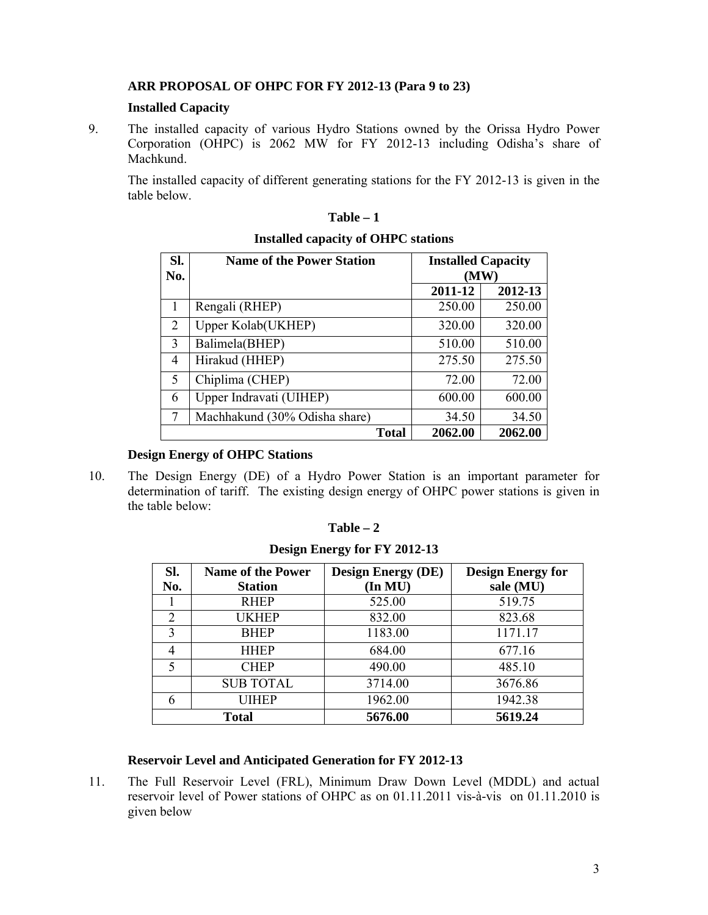# **ARR PROPOSAL OF OHPC FOR FY 2012-13 (Para 9 to 23)**

## **Installed Capacity**

9. The installed capacity of various Hydro Stations owned by the Orissa Hydro Power Corporation (OHPC) is 2062 MW for FY 2012-13 including Odisha's share of Machkund.

The installed capacity of different generating stations for the FY 2012-13 is given in the table below.

| SI.<br>No. | <b>Name of the Power Station</b> | <b>Installed Capacity</b><br>(MW) |         |  |
|------------|----------------------------------|-----------------------------------|---------|--|
|            |                                  | 2011-12                           | 2012-13 |  |
|            | Rengali (RHEP)                   | 250.00                            | 250.00  |  |
| 2          | <b>Upper Kolab</b> (UKHEP)       | 320.00                            | 320.00  |  |
| 3          | Balimela(BHEP)                   | 510.00                            | 510.00  |  |
| 4          | Hirakud (HHEP)                   | 275.50                            | 275.50  |  |
| 5          | Chiplima (CHEP)                  | 72.00                             | 72.00   |  |
| 6          | Upper Indravati (UIHEP)          | 600.00                            | 600.00  |  |
| 7          | Machhakund (30% Odisha share)    | 34.50<br>34.50                    |         |  |
|            | <b>Total</b>                     | 2062.00                           | 2062.00 |  |

# **Table – 1 Installed capacity of OHPC stations**

## **Design Energy of OHPC Stations**

10. The Design Energy (DE) of a Hydro Power Station is an important parameter for determination of tariff. The existing design energy of OHPC power stations is given in the table below:

| anı<br>ı<br>г |  |
|---------------|--|
|---------------|--|

**Design Energy for FY 2012-13**

| Sl.                         | <b>Name of the Power</b> | <b>Design Energy (DE)</b> | <b>Design Energy for</b> |  |
|-----------------------------|--------------------------|---------------------------|--------------------------|--|
| No.                         | <b>Station</b>           | (In MU)                   | sale (MU)                |  |
|                             | <b>RHEP</b>              | 525.00                    | 519.75                   |  |
| $\mathcal{D}_{\mathcal{L}}$ | <b>UKHEP</b>             | 832.00                    | 823.68                   |  |
| 3                           | <b>BHEP</b>              | 1183.00                   | 1171.17                  |  |
| 4                           | <b>HHEP</b>              | 684.00                    | 677.16                   |  |
| 5                           | <b>CHEP</b>              | 490.00                    | 485.10                   |  |
|                             | <b>SUB TOTAL</b>         | 3714.00                   | 3676.86                  |  |
| 6                           | UIHEP                    | 1962.00                   | 1942.38                  |  |
| <b>Total</b>                |                          | 5676.00                   | 5619.24                  |  |

## **Reservoir Level and Anticipated Generation for FY 2012-13**

11. The Full Reservoir Level (FRL), Minimum Draw Down Level (MDDL) and actual reservoir level of Power stations of OHPC as on 01.11.2011 vis-à-vis on 01.11.2010 is given below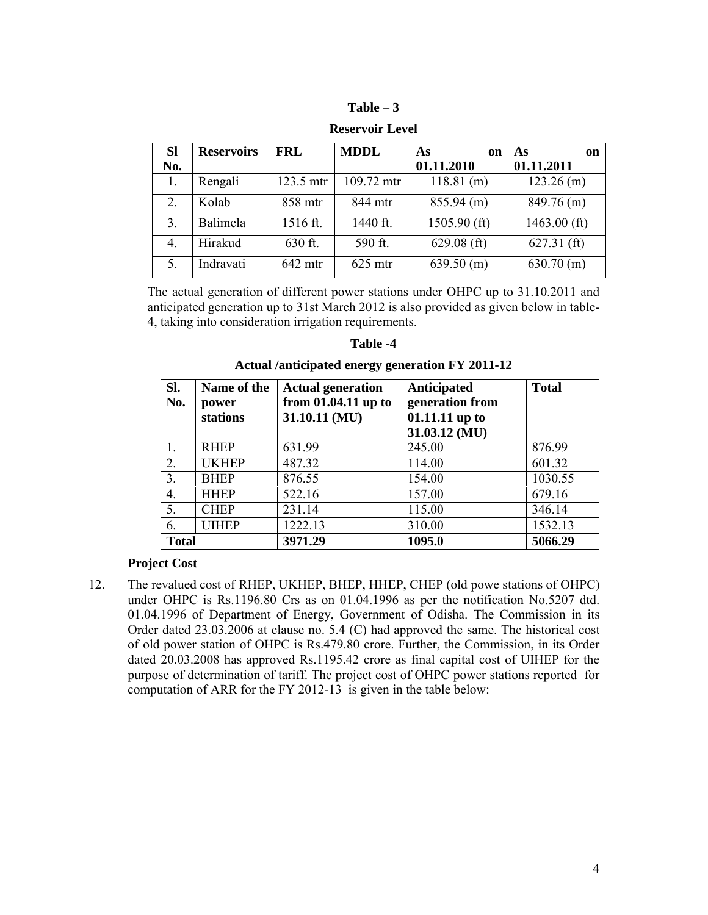| `able |  |
|-------|--|
|-------|--|

| <b>SI</b> | <b>Reservoirs</b> | <b>FRL</b> | <b>MDDL</b> | As<br><sub>on</sub> | As<br>on       |
|-----------|-------------------|------------|-------------|---------------------|----------------|
| No.       |                   |            |             | 01.11.2010          | 01.11.2011     |
|           | Rengali           | 123.5 mtr  | 109.72 mtr  | $118.81$ (m)        | $123.26$ (m)   |
| 2.        | Kolab             | 858 mtr    | 844 mtr     | $855.94$ (m)        | $849.76$ (m)   |
| 3.        | Balimela          | 1516 ft.   | 1440 ft.    | $1505.90$ (ft)      | $1463.00$ (ft) |
| 4.        | Hirakud           | 630 ft.    | 590 ft.     | $629.08$ (ft)       | $627.31$ (ft)  |
| 5.        | Indravati         | $642$ mtr  | $625$ mtr   | $639.50$ (m)        | $630.70$ (m)   |

**Reservoir Level** 

The actual generation of different power stations under OHPC up to 31.10.2011 and anticipated generation up to 31st March 2012 is also provided as given below in table-4, taking into consideration irrigation requirements.

| anı |  |
|-----|--|
|-----|--|

| Sl.<br>No.       | Name of the<br>power<br>stations | <b>Actual generation</b><br>from $01.04.11$ up to<br>31.10.11 (MU) | <b>Anticipated</b><br>generation from<br>01.11.11 up to<br>31.03.12 (MU) | <b>Total</b> |
|------------------|----------------------------------|--------------------------------------------------------------------|--------------------------------------------------------------------------|--------------|
|                  | <b>RHEP</b>                      | 631.99                                                             | 245.00                                                                   | 876.99       |
| 2.               | <b>UKHEP</b>                     | 487.32                                                             | 114.00                                                                   | 601.32       |
| 3.               | <b>BHEP</b>                      | 876.55                                                             | 154.00                                                                   | 1030.55      |
| $\overline{4}$ . | <b>HHEP</b>                      | 522.16                                                             | 157.00                                                                   | 679.16       |
| 5.               | <b>CHEP</b>                      | 231.14                                                             | 115.00                                                                   | 346.14       |
| 6.               | <b>UIHEP</b>                     | 1222.13                                                            | 310.00                                                                   | 1532.13      |
| <b>Total</b>     |                                  | 3971.29                                                            | 1095.0                                                                   | 5066.29      |

**Actual /anticipated energy generation FY 2011-12**

## **Project Cost**

12. The revalued cost of RHEP, UKHEP, BHEP, HHEP, CHEP (old powe stations of OHPC) under OHPC is Rs.1196.80 Crs as on 01.04.1996 as per the notification No.5207 dtd. 01.04.1996 of Department of Energy, Government of Odisha. The Commission in its Order dated 23.03.2006 at clause no. 5.4 (C) had approved the same. The historical cost of old power station of OHPC is Rs.479.80 crore. Further, the Commission, in its Order dated 20.03.2008 has approved Rs.1195.42 crore as final capital cost of UIHEP for the purpose of determination of tariff. The project cost of OHPC power stations reported for computation of ARR for the FY 2012-13 is given in the table below: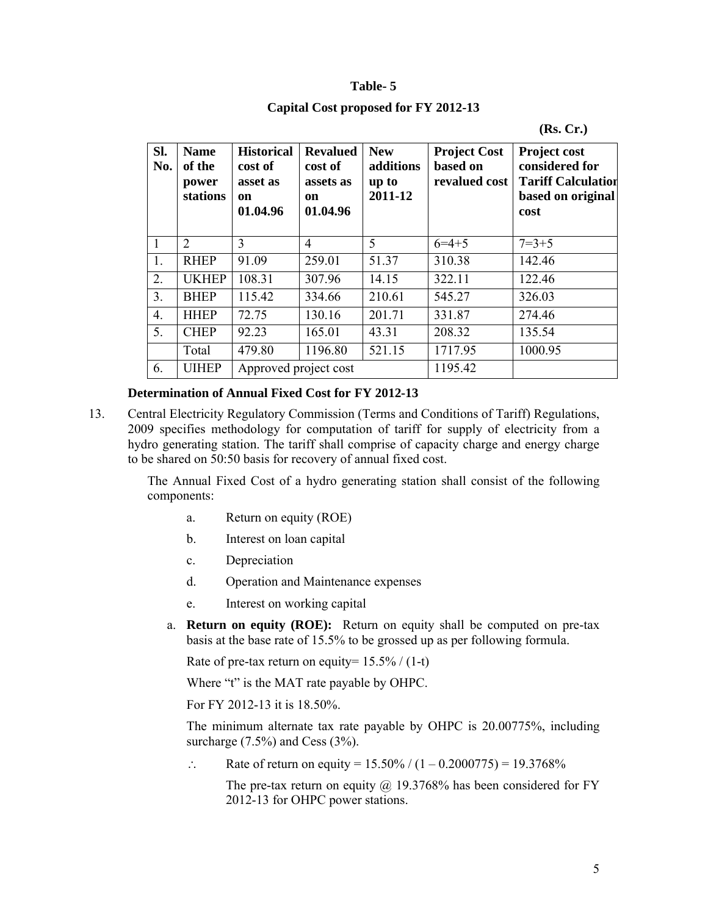#### **Table- 5**

## **Capital Cost proposed for FY 2012-13**

#### **(Rs. Cr.)**

| SI.<br>No.       | <b>Name</b><br>of the<br>power<br>stations | <b>Historical</b><br>cost of<br>asset as<br>on<br>01.04.96 | <b>Revalued</b><br>cost of<br>assets as<br>on<br>01.04.96 | <b>New</b><br>additions<br>up to<br>2011-12 | <b>Project Cost</b><br>based on<br>revalued cost | <b>Project cost</b><br>considered for<br><b>Tariff Calculation</b><br>based on original<br>cost |  |
|------------------|--------------------------------------------|------------------------------------------------------------|-----------------------------------------------------------|---------------------------------------------|--------------------------------------------------|-------------------------------------------------------------------------------------------------|--|
| $\overline{1}$   | $\overline{2}$                             | 3                                                          | $\overline{4}$                                            | 5                                           | $6=4+5$                                          | $7 = 3 + 5$                                                                                     |  |
| 1.               | <b>RHEP</b>                                | 91.09                                                      | 259.01                                                    | 51.37                                       | 310.38                                           | 142.46                                                                                          |  |
| 2.               | <b>UKHEP</b>                               | 108.31                                                     | 307.96                                                    | 14.15                                       | 322.11                                           | 122.46                                                                                          |  |
| 3 <sub>1</sub>   | <b>BHEP</b>                                | 115.42                                                     | 334.66                                                    | 210.61                                      | 545.27                                           | 326.03                                                                                          |  |
| $\overline{4}$ . | <b>HHEP</b>                                | 72.75                                                      | 130.16                                                    | 201.71                                      | 331.87                                           | 274.46                                                                                          |  |
| 5.               | <b>CHEP</b>                                | 92.23                                                      | 165.01                                                    | 43.31                                       | 208.32                                           | 135.54                                                                                          |  |
|                  | Total                                      | 479.80                                                     | 1196.80                                                   | 521.15                                      | 1717.95                                          | 1000.95                                                                                         |  |
| 6.               | <b>UIHEP</b>                               | Approved project cost                                      |                                                           |                                             | 1195.42                                          |                                                                                                 |  |

#### **Determination of Annual Fixed Cost for FY 2012-13**

13. Central Electricity Regulatory Commission (Terms and Conditions of Tariff) Regulations, 2009 specifies methodology for computation of tariff for supply of electricity from a hydro generating station. The tariff shall comprise of capacity charge and energy charge to be shared on 50:50 basis for recovery of annual fixed cost.

> The Annual Fixed Cost of a hydro generating station shall consist of the following components:

- a. Return on equity (ROE)
- b. Interest on loan capital
- c. Depreciation
- d. Operation and Maintenance expenses
- e. Interest on working capital
- a. **Return on equity (ROE):** Return on equity shall be computed on pre-tax basis at the base rate of 15.5% to be grossed up as per following formula.

Rate of pre-tax return on equity=  $15.5\%$  / (1-t)

Where "t" is the MAT rate payable by OHPC.

For FY 2012-13 it is 18.50%.

The minimum alternate tax rate payable by OHPC is 20.00775%, including surcharge  $(7.5\%)$  and Cess  $(3\%)$ .

 $\therefore$  Rate of return on equity = 15.50% / (1 – 0.2000775) = 19.3768%

The pre-tax return on equity  $\omega$  19.3768% has been considered for FY 2012-13 for OHPC power stations.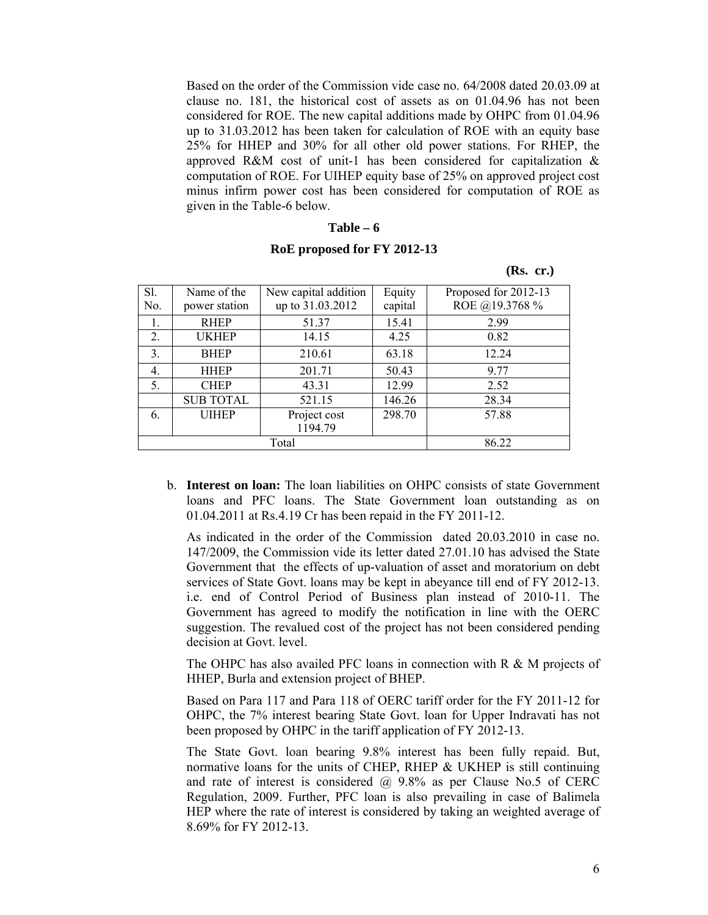Based on the order of the Commission vide case no. 64/2008 dated 20.03.09 at clause no. 181, the historical cost of assets as on 01.04.96 has not been considered for ROE. The new capital additions made by OHPC from 01.04.96 up to 31.03.2012 has been taken for calculation of ROE with an equity base 25% for HHEP and 30% for all other old power stations. For RHEP, the approved R&M cost of unit-1 has been considered for capitalization & computation of ROE. For UIHEP equity base of 25% on approved project cost minus infirm power cost has been considered for computation of ROE as given in the Table-6 below.

#### **Table – 6**

#### **RoE proposed for FY 2012-13**

| Rs. |  |
|-----|--|
|     |  |

| Sl. | Name of the                  | New capital addition | Equity  | Proposed for 2012-13 |
|-----|------------------------------|----------------------|---------|----------------------|
| No. | power station                | up to 31.03.2012     | capital | ROE @19.3768 %       |
| 1.  | <b>RHEP</b>                  | 51.37                | 15.41   | 2.99                 |
| 2.  | <b>UKHEP</b>                 | 14.15                | 4.25    | 0.82                 |
| 3.  | <b>BHEP</b>                  | 210.61               |         | 12.24                |
| 4.  | <b>HHEP</b>                  | 201.71               | 50.43   | 9.77                 |
| 5.  | <b>CHEP</b><br>43.31         |                      | 12.99   | 2.52                 |
|     | <b>SUB TOTAL</b>             | 521.15               | 146.26  | 28.34                |
| 6.  | <b>UIHEP</b><br>Project cost |                      | 298.70  | 57.88                |
|     |                              | 1194.79              |         |                      |
|     |                              |                      | 86.22   |                      |

b. **Interest on loan:** The loan liabilities on OHPC consists of state Government loans and PFC loans. The State Government loan outstanding as on 01.04.2011 at Rs.4.19 Cr has been repaid in the FY 2011-12.

As indicated in the order of the Commission dated 20.03.2010 in case no. 147/2009, the Commission vide its letter dated 27.01.10 has advised the State Government that the effects of up-valuation of asset and moratorium on debt services of State Govt. loans may be kept in abeyance till end of FY 2012-13. i.e. end of Control Period of Business plan instead of 2010-11. The Government has agreed to modify the notification in line with the OERC suggestion. The revalued cost of the project has not been considered pending decision at Govt. level.

The OHPC has also availed PFC loans in connection with R & M projects of HHEP, Burla and extension project of BHEP.

Based on Para 117 and Para 118 of OERC tariff order for the FY 2011-12 for OHPC, the 7% interest bearing State Govt. loan for Upper Indravati has not been proposed by OHPC in the tariff application of FY 2012-13.

The State Govt. loan bearing 9.8% interest has been fully repaid. But, normative loans for the units of CHEP, RHEP & UKHEP is still continuing and rate of interest is considered  $\omega$  9.8% as per Clause No.5 of CERC Regulation, 2009. Further, PFC loan is also prevailing in case of Balimela HEP where the rate of interest is considered by taking an weighted average of 8.69% for FY 2012-13.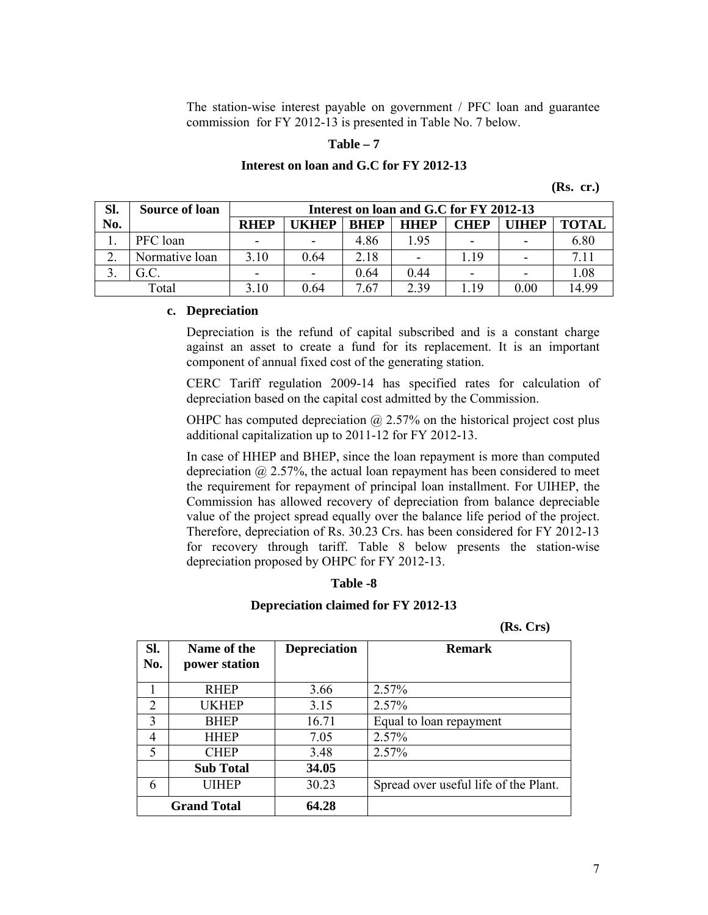The station-wise interest payable on government / PFC loan and guarantee commission for FY 2012-13 is presented in Table No. 7 below.

#### **Table – 7**

# **Interest on loan and G.C for FY 2012-13**

**(Rs. cr.)**

| SI.   | <b>Source of loan</b> |                          | Interest on loan and G.C for FY 2012-13 |             |                |                          |                          |       |  |
|-------|-----------------------|--------------------------|-----------------------------------------|-------------|----------------|--------------------------|--------------------------|-------|--|
| No.   |                       | <b>RHEP</b>              | <b>IKHEP</b>                            | <b>RHEP</b> | <b>HHEP</b>    | <b>CHEP</b>              | <b>IIHEP</b>             | TOTAL |  |
|       | PFC loan              | $\overline{\phantom{0}}$ | $\overline{\phantom{0}}$                | 4.86        | 1 95           | $\overline{\phantom{a}}$ | -                        | 6.80  |  |
| ി     | Normative loan        | 3.10                     | 0.64                                    | 2.18        | $\blacksquare$ | 119                      | $\overline{\phantom{0}}$ |       |  |
|       |                       | $\overline{\phantom{0}}$ | $\overline{a}$                          | 0.64        | 0.44           | $\overline{\phantom{0}}$ | $\overline{\phantom{0}}$ | 1.08  |  |
| Total |                       | 3.10                     | 0.64                                    | 7.67        | 2.39           | 1 1 9                    | 0.00                     | 14 99 |  |

#### **c. Depreciation**

Depreciation is the refund of capital subscribed and is a constant charge against an asset to create a fund for its replacement. It is an important component of annual fixed cost of the generating station.

CERC Tariff regulation 2009-14 has specified rates for calculation of depreciation based on the capital cost admitted by the Commission.

OHPC has computed depreciation  $\omega$  2.57% on the historical project cost plus additional capitalization up to 2011-12 for FY 2012-13.

In case of HHEP and BHEP, since the loan repayment is more than computed depreciation  $(a)$  2.57%, the actual loan repayment has been considered to meet the requirement for repayment of principal loan installment. For UIHEP, the Commission has allowed recovery of depreciation from balance depreciable value of the project spread equally over the balance life period of the project. Therefore, depreciation of Rs. 30.23 Crs. has been considered for FY 2012-13 for recovery through tariff. Table 8 below presents the station-wise depreciation proposed by OHPC for FY 2012-13.

#### **Table -8**

#### **Depreciation claimed for FY 2012-13**

**(Rs. Crs)**

| SI.<br>No.               | Name of the<br>power station | <b>Depreciation</b> | <b>Remark</b>                         |
|--------------------------|------------------------------|---------------------|---------------------------------------|
|                          | <b>RHEP</b>                  | 3.66                | 2.57%                                 |
| $\overline{2}$           | UKHEP                        | 3.15                | 2.57%                                 |
| 3                        | <b>BHEP</b>                  | 16.71               | Equal to loan repayment               |
| 4                        | <b>HHEP</b>                  | 7.05                | 2.57%                                 |
| $\overline{\mathcal{L}}$ | <b>CHEP</b>                  | 3.48                | 2.57%                                 |
|                          | <b>Sub Total</b>             | 34.05               |                                       |
| 6                        | UIHEP                        | 30.23               | Spread over useful life of the Plant. |
|                          | <b>Grand Total</b>           | 64.28               |                                       |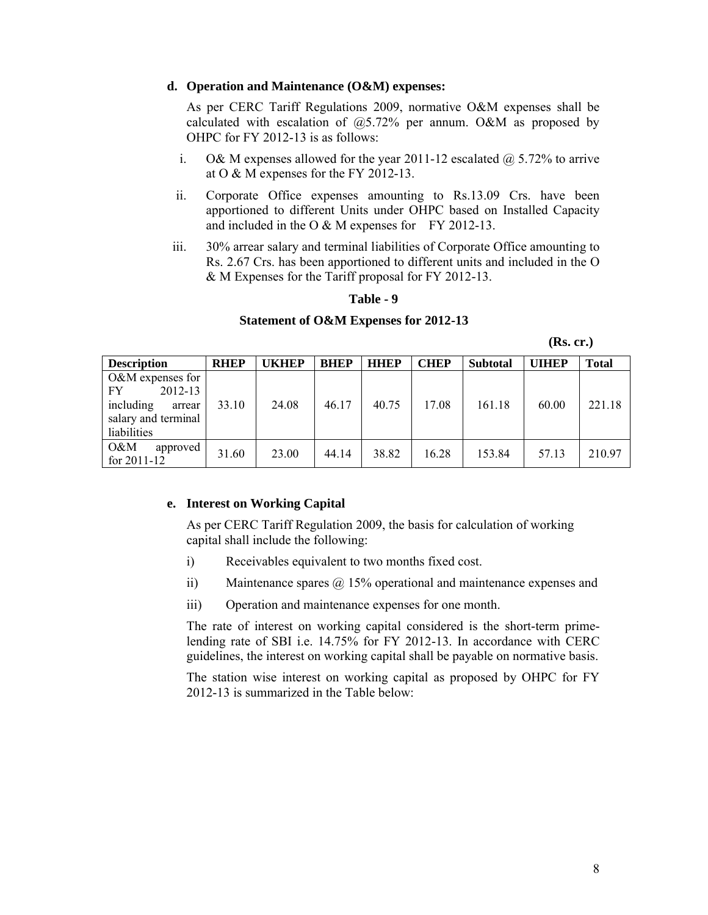#### **d. Operation and Maintenance (O&M) expenses:**

As per CERC Tariff Regulations 2009, normative O&M expenses shall be calculated with escalation of @5.72% per annum. O&M as proposed by OHPC for FY 2012-13 is as follows:

- i. O& M expenses allowed for the year 2011-12 escalated  $\omega$  5.72% to arrive at O & M expenses for the FY 2012-13.
- ii. Corporate Office expenses amounting to Rs.13.09 Crs. have been apportioned to different Units under OHPC based on Installed Capacity and included in the O & M expenses for FY 2012-13.
- iii. 30% arrear salary and terminal liabilities of Corporate Office amounting to Rs. 2.67 Crs. has been apportioned to different units and included in the O & M Expenses for the Tariff proposal for FY 2012-13.

#### **Table - 9**

#### **Statement of O&M Expenses for 2012-13**

| <b>Description</b>                                                                               | <b>RHEP</b> | <b>UKHEP</b> | <b>BHEP</b> | <b>HHEP</b> | <b>CHEP</b> | <b>Subtotal</b> | <b>UIHEP</b> | Total  |
|--------------------------------------------------------------------------------------------------|-------------|--------------|-------------|-------------|-------------|-----------------|--------------|--------|
| $O&M$ expenses for<br>2012-13<br>FY<br>including<br>arrear<br>salary and terminal<br>liabilities | 33.10       | 24.08        | 46.17       | 40.75       | 17.08       | 161.18          | 60.00        | 221.18 |
| O&M<br>approved<br>for $2011 - 12$                                                               | 31.60       | 23.00        | 44.14       | 38.82       | 16.28       | 153.84          | 57.13        | 210.97 |

#### **e. Interest on Working Capital**

As per CERC Tariff Regulation 2009, the basis for calculation of working capital shall include the following:

- i) Receivables equivalent to two months fixed cost.
- ii) Maintenance spares @ 15% operational and maintenance expenses and
- iii) Operation and maintenance expenses for one month.

The rate of interest on working capital considered is the short-term primelending rate of SBI i.e. 14.75% for FY 2012-13. In accordance with CERC guidelines, the interest on working capital shall be payable on normative basis.

The station wise interest on working capital as proposed by OHPC for FY 2012-13 is summarized in the Table below: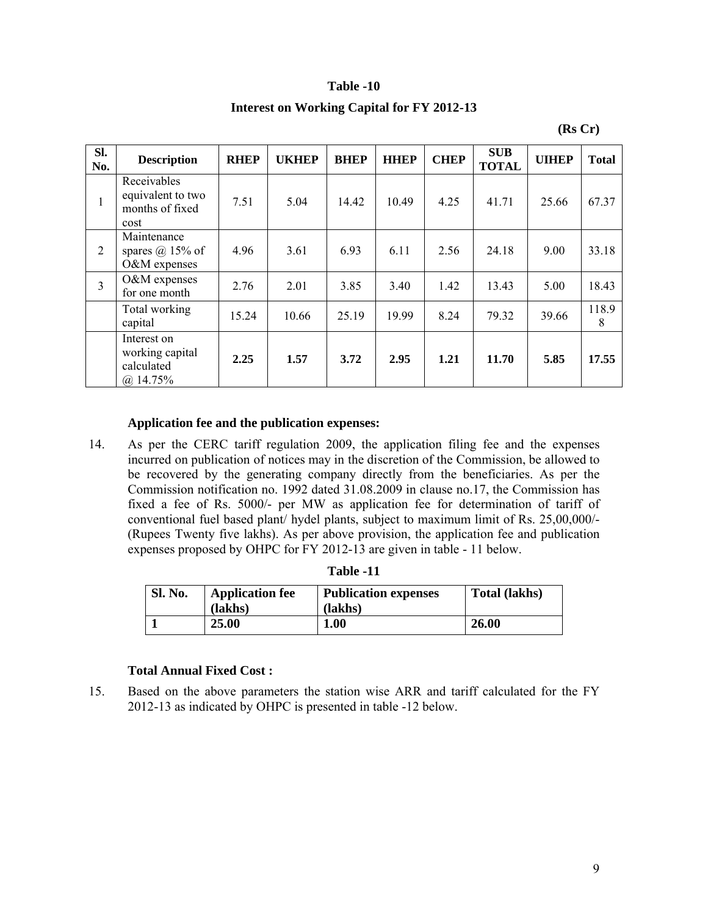#### **Table -10**

#### **Interest on Working Capital for FY 2012-13**

| Sl.<br>No.     | <b>Description</b>                                           | <b>RHEP</b> | <b>UKHEP</b> | <b>BHEP</b> | <b>HHEP</b> | <b>CHEP</b> | <b>SUB</b><br><b>TOTAL</b> | <b>UIHEP</b> | <b>Total</b> |
|----------------|--------------------------------------------------------------|-------------|--------------|-------------|-------------|-------------|----------------------------|--------------|--------------|
| $\mathbf{1}$   | Receivables<br>equivalent to two<br>months of fixed<br>cost  | 7.51        | 5.04         | 14.42       | 10.49       | 4.25        | 41.71                      | 25.66        | 67.37        |
| 2              | Maintenance<br>spares $(a)$ 15% of<br>O&M expenses           | 4.96        | 3.61         | 6.93        | 6.11        | 2.56        | 24.18                      | 9.00         | 33.18        |
| $\overline{3}$ | O&M expenses<br>for one month                                | 2.76        | 2.01         | 3.85        | 3.40        | 1.42        | 13.43                      | 5.00         | 18.43        |
|                | Total working<br>capital                                     | 15.24       | 10.66        | 25.19       | 19.99       | 8.24        | 79.32                      | 39.66        | 118.9<br>8   |
|                | Interest on<br>working capital<br>calculated<br>$(a)$ 14.75% | 2.25        | 1.57         | 3.72        | 2.95        | 1.21        | 11.70                      | 5.85         | 17.55        |

**(Rs Cr)**

## **Application fee and the publication expenses:**

14. As per the CERC tariff regulation 2009, the application filing fee and the expenses incurred on publication of notices may in the discretion of the Commission, be allowed to be recovered by the generating company directly from the beneficiaries. As per the Commission notification no. 1992 dated 31.08.2009 in clause no.17, the Commission has fixed a fee of Rs. 5000/- per MW as application fee for determination of tariff of conventional fuel based plant/ hydel plants, subject to maximum limit of Rs. 25,00,000/- (Rupees Twenty five lakhs). As per above provision, the application fee and publication expenses proposed by OHPC for FY 2012-13 are given in table - 11 below.

| <b>Sl. No.</b> | <b>Application fee</b><br>(lakhs) | <b>Publication expenses</b><br>(lakhs) | <b>Total (lakhs)</b> |
|----------------|-----------------------------------|----------------------------------------|----------------------|
|                | 25.00                             | 1.00                                   | 26.00                |

| Table |  |
|-------|--|
|-------|--|

#### **Total Annual Fixed Cost :**

15. Based on the above parameters the station wise ARR and tariff calculated for the FY 2012-13 as indicated by OHPC is presented in table -12 below.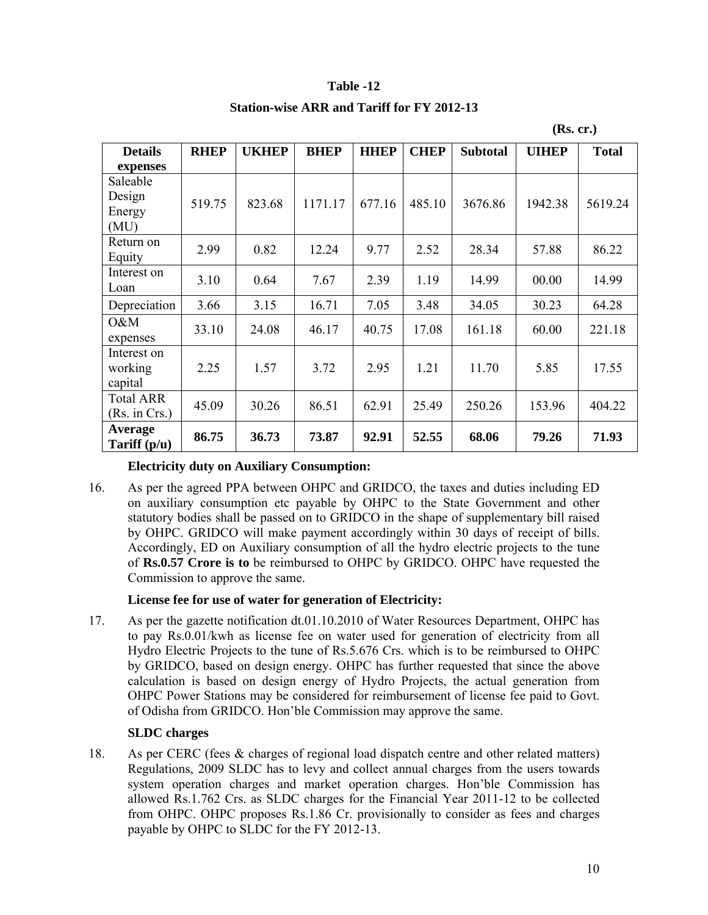# **Table -12**

# **Station-wise ARR and Tariff for FY 2012-13**

|                                      |             |              |             |             |             |                 | (Rs. cr.)    |              |
|--------------------------------------|-------------|--------------|-------------|-------------|-------------|-----------------|--------------|--------------|
| <b>Details</b>                       | <b>RHEP</b> | <b>UKHEP</b> | <b>BHEP</b> | <b>HHEP</b> | <b>CHEP</b> | <b>Subtotal</b> | <b>UIHEP</b> | <b>Total</b> |
| expenses                             |             |              |             |             |             |                 |              |              |
| Saleable<br>Design<br>Energy<br>(MU) | 519.75      | 823.68       | 1171.17     | 677.16      | 485.10      | 3676.86         | 1942.38      | 5619.24      |
| Return on<br>Equity                  | 2.99        | 0.82         | 12.24       | 9.77        | 2.52        | 28.34           | 57.88        | 86.22        |
| Interest on<br>Loan                  | 3.10        | 0.64         | 7.67        | 2.39        | 1.19        | 14.99           | 00.00        | 14.99        |
| Depreciation                         | 3.66        | 3.15         | 16.71       | 7.05        | 3.48        | 34.05           | 30.23        | 64.28        |
| O&M<br>expenses                      | 33.10       | 24.08        | 46.17       | 40.75       | 17.08       | 161.18          | 60.00        | 221.18       |
| Interest on<br>working<br>capital    | 2.25        | 1.57         | 3.72        | 2.95        | 1.21        | 11.70           | 5.85         | 17.55        |
| <b>Total ARR</b><br>(Rs. in Crs.)    | 45.09       | 30.26        | 86.51       | 62.91       | 25.49       | 250.26          | 153.96       | 404.22       |
| Average<br>Tariff $(p/u)$            | 86.75       | 36.73        | 73.87       | 92.91       | 52.55       | 68.06           | 79.26        | 71.93        |

# **Electricity duty on Auxiliary Consumption:**

16. As per the agreed PPA between OHPC and GRIDCO, the taxes and duties including ED on auxiliary consumption etc payable by OHPC to the State Government and other statutory bodies shall be passed on to GRIDCO in the shape of supplementary bill raised by OHPC. GRIDCO will make payment accordingly within 30 days of receipt of bills. Accordingly, ED on Auxiliary consumption of all the hydro electric projects to the tune of **Rs.0.57 Crore is to** be reimbursed to OHPC by GRIDCO. OHPC have requested the Commission to approve the same.

# **License fee for use of water for generation of Electricity:**

17. As per the gazette notification dt.01.10.2010 of Water Resources Department, OHPC has to pay Rs.0.01/kwh as license fee on water used for generation of electricity from all Hydro Electric Projects to the tune of Rs.5.676 Crs. which is to be reimbursed to OHPC by GRIDCO, based on design energy. OHPC has further requested that since the above calculation is based on design energy of Hydro Projects, the actual generation from OHPC Power Stations may be considered for reimbursement of license fee paid to Govt. of Odisha from GRIDCO. Hon'ble Commission may approve the same.

## **SLDC charges**

18. As per CERC (fees & charges of regional load dispatch centre and other related matters) Regulations, 2009 SLDC has to levy and collect annual charges from the users towards system operation charges and market operation charges. Hon'ble Commission has allowed Rs.1.762 Crs. as SLDC charges for the Financial Year 2011-12 to be collected from OHPC. OHPC proposes Rs.1.86 Cr. provisionally to consider as fees and charges payable by OHPC to SLDC for the FY 2012-13.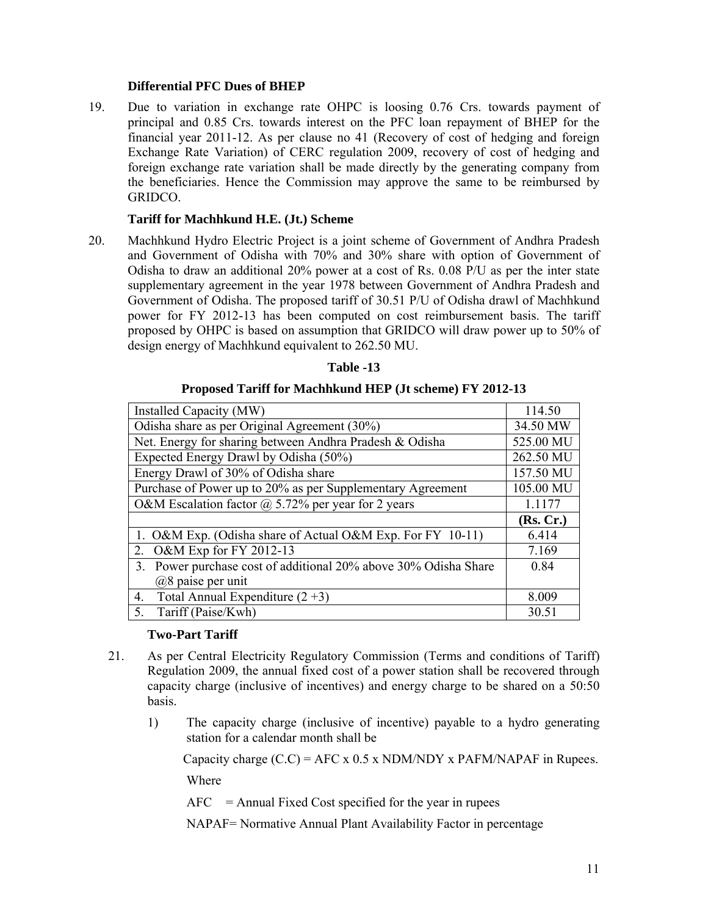# **Differential PFC Dues of BHEP**

19. Due to variation in exchange rate OHPC is loosing 0.76 Crs. towards payment of principal and 0.85 Crs. towards interest on the PFC loan repayment of BHEP for the financial year 2011-12. As per clause no 41 (Recovery of cost of hedging and foreign Exchange Rate Variation) of CERC regulation 2009, recovery of cost of hedging and foreign exchange rate variation shall be made directly by the generating company from the beneficiaries. Hence the Commission may approve the same to be reimbursed by GRIDCO.

# **Tariff for Machhkund H.E. (Jt.) Scheme**

20. Machhkund Hydro Electric Project is a joint scheme of Government of Andhra Pradesh and Government of Odisha with 70% and 30% share with option of Government of Odisha to draw an additional 20% power at a cost of Rs. 0.08 P/U as per the inter state supplementary agreement in the year 1978 between Government of Andhra Pradesh and Government of Odisha. The proposed tariff of 30.51 P/U of Odisha drawl of Machhkund power for FY 2012-13 has been computed on cost reimbursement basis. The tariff proposed by OHPC is based on assumption that GRIDCO will draw power up to 50% of design energy of Machhkund equivalent to 262.50 MU.

| Table -13 |  |
|-----------|--|
|           |  |

# **Proposed Tariff for Machhkund HEP (Jt scheme) FY 2012-13**

| Installed Capacity (MW)                                            | 114.50    |
|--------------------------------------------------------------------|-----------|
| Odisha share as per Original Agreement (30%)                       | 34.50 MW  |
| Net. Energy for sharing between Andhra Pradesh & Odisha            | 525.00 MU |
| Expected Energy Drawl by Odisha (50%)                              | 262.50 MU |
| Energy Drawl of 30% of Odisha share                                | 157.50 MU |
| Purchase of Power up to 20% as per Supplementary Agreement         | 105.00 MU |
| O&M Escalation factor $\omega$ 5.72% per year for 2 years          | 1.1177    |
|                                                                    | (Rs, Cr.) |
| 1. O&M Exp. (Odisha share of Actual O&M Exp. For FY 10-11)         | 6.414     |
| O&M Exp for FY 2012-13<br>2.                                       | 7.169     |
| Power purchase cost of additional 20% above 30% Odisha Share<br>3. | 0.84      |
| $(a)8$ paise per unit                                              |           |
| Total Annual Expenditure $(2+3)$<br>4.                             | 8.009     |
| Tariff (Paise/Kwh)<br>5.                                           | 30.51     |

## **Two-Part Tariff**

- 21. As per Central Electricity Regulatory Commission (Terms and conditions of Tariff) Regulation 2009, the annual fixed cost of a power station shall be recovered through capacity charge (inclusive of incentives) and energy charge to be shared on a 50:50 basis.
	- 1) The capacity charge (inclusive of incentive) payable to a hydro generating station for a calendar month shall be

Capacity charge  $(C.C) =$  AFC x 0.5 x NDM/NDY x PAFM/NAPAF in Rupees.

Where

 $AFC = Annual Fixed Cost specified for the year in rupees$ 

NAPAF= Normative Annual Plant Availability Factor in percentage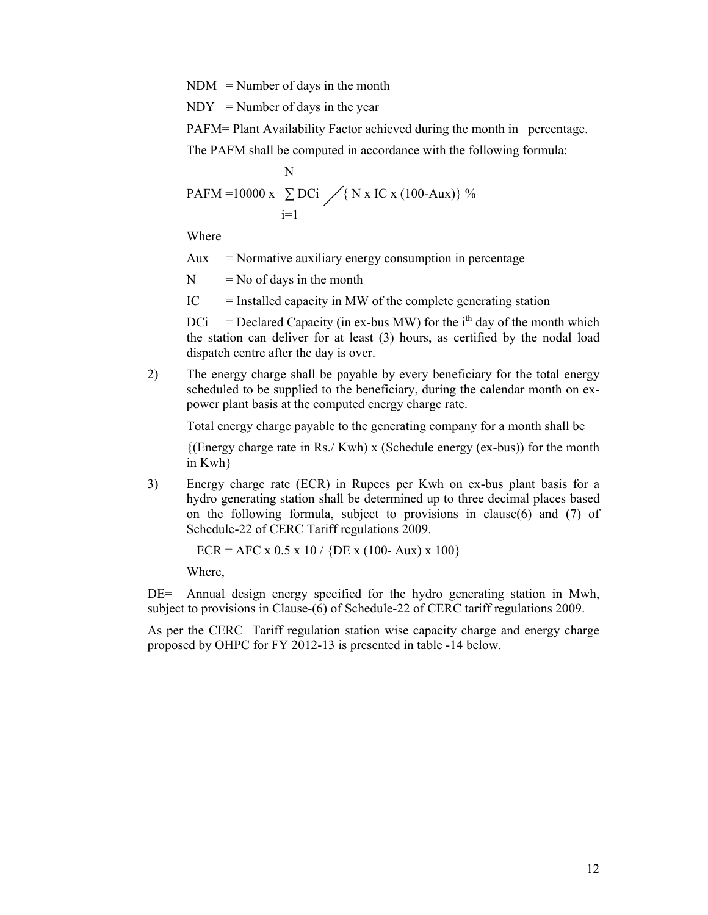$NDM = Number of days in the month$ 

 $NDY = Number of days in the year$ 

PAFM= Plant Availability Factor achieved during the month in percentage.

The PAFM shall be computed in accordance with the following formula:

$$
N
$$
  
PAFM = 10000 x  $\sum_{i=1}^{N} DCi \nearrow$ { N x IC x (100-Aux)} %

Where

Aux = Normative auxiliary energy consumption in percentage

 $N = No$  of days in the month

 $IC =$  Installed capacity in MW of the complete generating station

 $DCi = Ded Capacity (in ex-bus MW) for the i<sup>th</sup> day of the month which$ the station can deliver for at least (3) hours, as certified by the nodal load dispatch centre after the day is over.

2) The energy charge shall be payable by every beneficiary for the total energy scheduled to be supplied to the beneficiary, during the calendar month on expower plant basis at the computed energy charge rate.

Total energy charge payable to the generating company for a month shall be

{(Energy charge rate in Rs./ Kwh) x (Schedule energy (ex-bus)) for the month in Kwh}

3) Energy charge rate (ECR) in Rupees per Kwh on ex-bus plant basis for a hydro generating station shall be determined up to three decimal places based on the following formula, subject to provisions in clause(6) and (7) of Schedule-22 of CERC Tariff regulations 2009.

 $ECR = AFC \times 0.5 \times 10 / \{DE \times (100 - Aux) \times 100\}$ 

Where,

DE= Annual design energy specified for the hydro generating station in Mwh, subject to provisions in Clause-(6) of Schedule-22 of CERC tariff regulations 2009.

As per the CERC Tariff regulation station wise capacity charge and energy charge proposed by OHPC for FY 2012-13 is presented in table -14 below.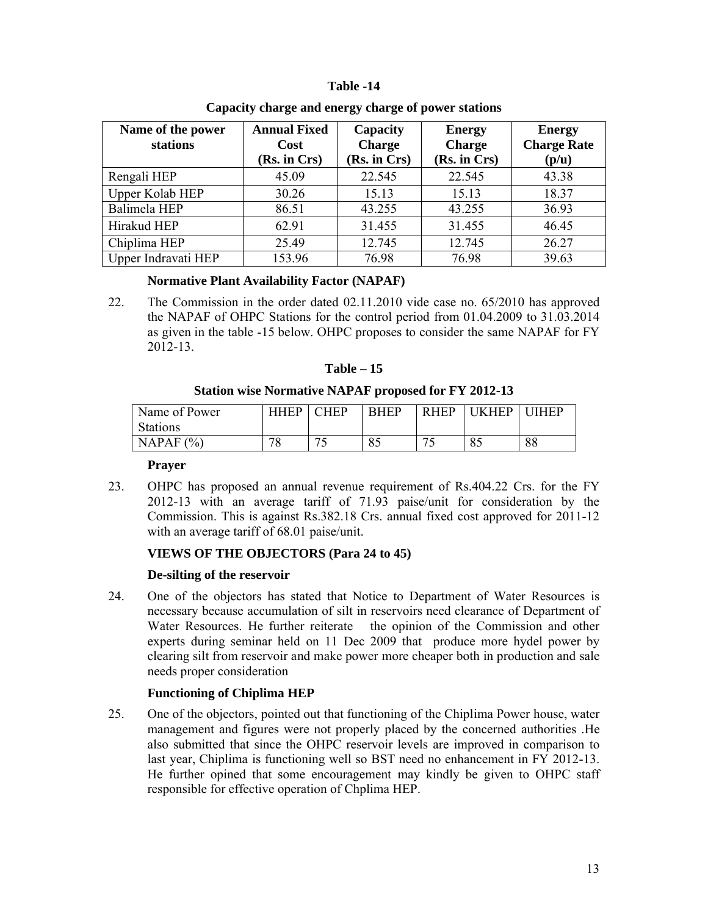# **Table -14**

| Name of the power<br>stations | <b>Annual Fixed</b><br>Cost<br>(Rs. in Crs) | Capacity<br><b>Charge</b><br>(Rs. in Crs) | <b>Energy</b><br><b>Charge</b><br>(Rs. in Crs) | <b>Energy</b><br><b>Charge Rate</b><br>(p/u) |  |
|-------------------------------|---------------------------------------------|-------------------------------------------|------------------------------------------------|----------------------------------------------|--|
| Rengali HEP                   | 45.09                                       | 22.545                                    | 22.545                                         | 43.38                                        |  |
| Upper Kolab HEP               | 30.26                                       | 15.13                                     | 15.13                                          | 18.37                                        |  |
| Balimela HEP                  | 86.51                                       | 43.255                                    | 43.255                                         | 36.93                                        |  |
| Hirakud HEP                   | 62.91                                       | 31.455                                    | 31.455                                         | 46.45                                        |  |
| Chiplima HEP                  | 25.49                                       | 12.745                                    | 12.745                                         | 26.27                                        |  |
| Upper Indravati HEP           | 153.96                                      | 76.98                                     | 76.98                                          | 39.63                                        |  |

# **Capacity charge and energy charge of power stations**

# **Normative Plant Availability Factor (NAPAF)**

22. The Commission in the order dated 02.11.2010 vide case no. 65/2010 has approved the NAPAF of OHPC Stations for the control period from 01.04.2009 to 31.03.2014 as given in the table -15 below. OHPC proposes to consider the same NAPAF for FY 2012-13.

| Table |  |
|-------|--|
|-------|--|

**Station wise Normative NAPAF proposed for FY 2012-13**

| Name of Power   | <b>HHFP</b>   | $\cap$ HED | <b>RHEP</b>   | <b>RHEP</b> | <b>HFP</b> | <b>HFP</b> |
|-----------------|---------------|------------|---------------|-------------|------------|------------|
| <b>Stations</b> |               |            |               |             |            |            |
| NAPAF $(%)$     | 70<br>$\circ$ | $\sim$     | $\circ$<br>oυ | 74          | 85         | 88         |

## **Prayer**

23. OHPC has proposed an annual revenue requirement of Rs.404.22 Crs. for the FY 2012-13 with an average tariff of 71.93 paise/unit for consideration by the Commission. This is against Rs.382.18 Crs. annual fixed cost approved for 2011-12 with an average tariff of 68.01 paise/unit.

# **VIEWS OF THE OBJECTORS (Para 24 to 45)**

# **De-silting of the reservoir**

24. One of the objectors has stated that Notice to Department of Water Resources is necessary because accumulation of silt in reservoirs need clearance of Department of Water Resources. He further reiterate the opinion of the Commission and other experts during seminar held on 11 Dec 2009 that produce more hydel power by clearing silt from reservoir and make power more cheaper both in production and sale needs proper consideration

# **Functioning of Chiplima HEP**

25. One of the objectors, pointed out that functioning of the Chiplima Power house, water management and figures were not properly placed by the concerned authorities .He also submitted that since the OHPC reservoir levels are improved in comparison to last year, Chiplima is functioning well so BST need no enhancement in FY 2012-13. He further opined that some encouragement may kindly be given to OHPC staff responsible for effective operation of Chplima HEP.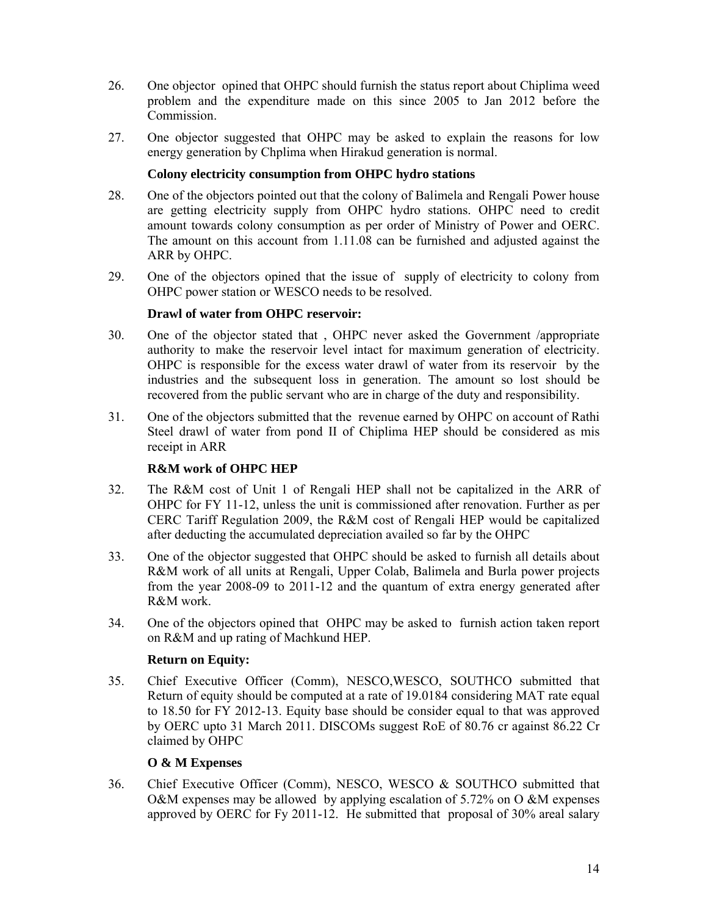- 26. One objector opined that OHPC should furnish the status report about Chiplima weed problem and the expenditure made on this since 2005 to Jan 2012 before the Commission.
- 27. One objector suggested that OHPC may be asked to explain the reasons for low energy generation by Chplima when Hirakud generation is normal.

# **Colony electricity consumption from OHPC hydro stations**

- 28. One of the objectors pointed out that the colony of Balimela and Rengali Power house are getting electricity supply from OHPC hydro stations. OHPC need to credit amount towards colony consumption as per order of Ministry of Power and OERC. The amount on this account from 1.11.08 can be furnished and adjusted against the ARR by OHPC.
- 29. One of the objectors opined that the issue of supply of electricity to colony from OHPC power station or WESCO needs to be resolved.

# **Drawl of water from OHPC reservoir:**

- 30. One of the objector stated that , OHPC never asked the Government /appropriate authority to make the reservoir level intact for maximum generation of electricity. OHPC is responsible for the excess water drawl of water from its reservoir by the industries and the subsequent loss in generation. The amount so lost should be recovered from the public servant who are in charge of the duty and responsibility.
- 31. One of the objectors submitted that the revenue earned by OHPC on account of Rathi Steel drawl of water from pond II of Chiplima HEP should be considered as mis receipt in ARR

# **R&M work of OHPC HEP**

- 32. The R&M cost of Unit 1 of Rengali HEP shall not be capitalized in the ARR of OHPC for FY 11-12, unless the unit is commissioned after renovation. Further as per CERC Tariff Regulation 2009, the R&M cost of Rengali HEP would be capitalized after deducting the accumulated depreciation availed so far by the OHPC
- 33. One of the objector suggested that OHPC should be asked to furnish all details about R&M work of all units at Rengali, Upper Colab, Balimela and Burla power projects from the year 2008-09 to 2011-12 and the quantum of extra energy generated after R&M work.
- 34. One of the objectors opined that OHPC may be asked to furnish action taken report on R&M and up rating of Machkund HEP.

## **Return on Equity:**

35. Chief Executive Officer (Comm), NESCO,WESCO, SOUTHCO submitted that Return of equity should be computed at a rate of 19.0184 considering MAT rate equal to 18.50 for FY 2012-13. Equity base should be consider equal to that was approved by OERC upto 31 March 2011. DISCOMs suggest RoE of 80.76 cr against 86.22 Cr claimed by OHPC

# **O & M Expenses**

36. Chief Executive Officer (Comm), NESCO, WESCO & SOUTHCO submitted that O&M expenses may be allowed by applying escalation of  $5.72\%$  on O &M expenses approved by OERC for Fy 2011-12. He submitted that proposal of 30% areal salary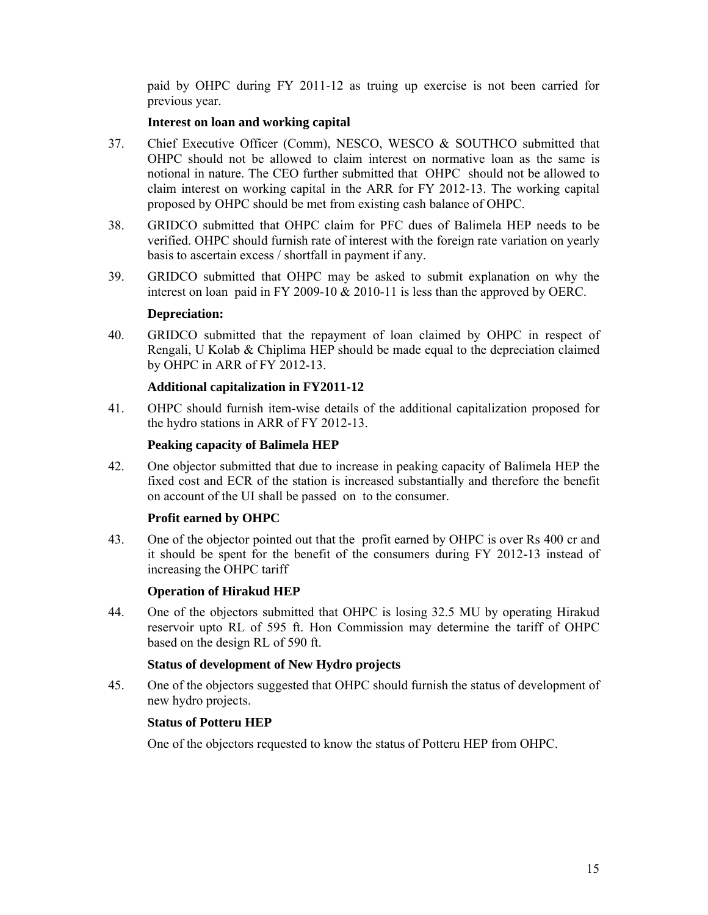paid by OHPC during FY 2011-12 as truing up exercise is not been carried for previous year.

## **Interest on loan and working capital**

- 37. Chief Executive Officer (Comm), NESCO, WESCO & SOUTHCO submitted that OHPC should not be allowed to claim interest on normative loan as the same is notional in nature. The CEO further submitted that OHPC should not be allowed to claim interest on working capital in the ARR for FY 2012-13. The working capital proposed by OHPC should be met from existing cash balance of OHPC.
- 38. GRIDCO submitted that OHPC claim for PFC dues of Balimela HEP needs to be verified. OHPC should furnish rate of interest with the foreign rate variation on yearly basis to ascertain excess / shortfall in payment if any.
- 39. GRIDCO submitted that OHPC may be asked to submit explanation on why the interest on loan paid in FY 2009-10  $\&$  2010-11 is less than the approved by OERC.

## **Depreciation:**

40. GRIDCO submitted that the repayment of loan claimed by OHPC in respect of Rengali, U Kolab & Chiplima HEP should be made equal to the depreciation claimed by OHPC in ARR of FY 2012-13.

## **Additional capitalization in FY2011-12**

41. OHPC should furnish item-wise details of the additional capitalization proposed for the hydro stations in ARR of FY 2012-13.

## **Peaking capacity of Balimela HEP**

42. One objector submitted that due to increase in peaking capacity of Balimela HEP the fixed cost and ECR of the station is increased substantially and therefore the benefit on account of the UI shall be passed on to the consumer.

## **Profit earned by OHPC**

43. One of the objector pointed out that the profit earned by OHPC is over Rs 400 cr and it should be spent for the benefit of the consumers during FY 2012-13 instead of increasing the OHPC tariff

## **Operation of Hirakud HEP**

44. One of the objectors submitted that OHPC is losing 32.5 MU by operating Hirakud reservoir upto RL of 595 ft. Hon Commission may determine the tariff of OHPC based on the design RL of 590 ft.

## **Status of development of New Hydro projects**

45. One of the objectors suggested that OHPC should furnish the status of development of new hydro projects.

## **Status of Potteru HEP**

One of the objectors requested to know the status of Potteru HEP from OHPC.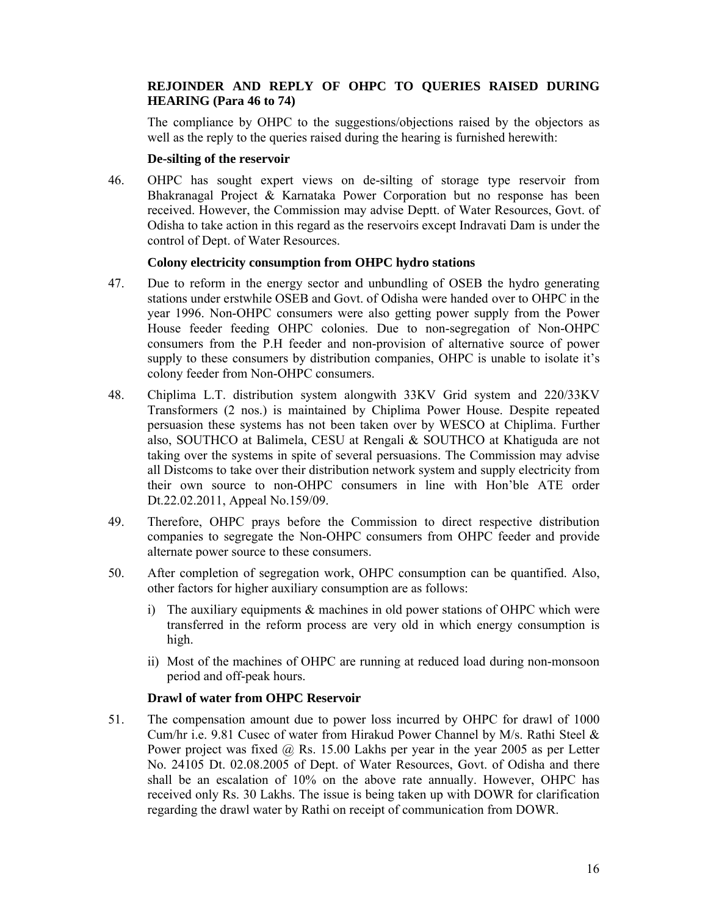# **REJOINDER AND REPLY OF OHPC TO QUERIES RAISED DURING HEARING (Para 46 to 74)**

The compliance by OHPC to the suggestions/objections raised by the objectors as well as the reply to the queries raised during the hearing is furnished herewith:

## **De-silting of the reservoir**

46. OHPC has sought expert views on de-silting of storage type reservoir from Bhakranagal Project & Karnataka Power Corporation but no response has been received. However, the Commission may advise Deptt. of Water Resources, Govt. of Odisha to take action in this regard as the reservoirs except Indravati Dam is under the control of Dept. of Water Resources.

## **Colony electricity consumption from OHPC hydro stations**

- 47. Due to reform in the energy sector and unbundling of OSEB the hydro generating stations under erstwhile OSEB and Govt. of Odisha were handed over to OHPC in the year 1996. Non-OHPC consumers were also getting power supply from the Power House feeder feeding OHPC colonies. Due to non-segregation of Non-OHPC consumers from the P.H feeder and non-provision of alternative source of power supply to these consumers by distribution companies, OHPC is unable to isolate it's colony feeder from Non-OHPC consumers.
- 48. Chiplima L.T. distribution system alongwith 33KV Grid system and 220/33KV Transformers (2 nos.) is maintained by Chiplima Power House. Despite repeated persuasion these systems has not been taken over by WESCO at Chiplima. Further also, SOUTHCO at Balimela, CESU at Rengali & SOUTHCO at Khatiguda are not taking over the systems in spite of several persuasions. The Commission may advise all Distcoms to take over their distribution network system and supply electricity from their own source to non-OHPC consumers in line with Hon'ble ATE order Dt.22.02.2011, Appeal No.159/09.
- 49. Therefore, OHPC prays before the Commission to direct respective distribution companies to segregate the Non-OHPC consumers from OHPC feeder and provide alternate power source to these consumers.
- 50. After completion of segregation work, OHPC consumption can be quantified. Also, other factors for higher auxiliary consumption are as follows:
	- i) The auxiliary equipments & machines in old power stations of OHPC which were transferred in the reform process are very old in which energy consumption is high.
	- ii) Most of the machines of OHPC are running at reduced load during non-monsoon period and off-peak hours.

## **Drawl of water from OHPC Reservoir**

51. The compensation amount due to power loss incurred by OHPC for drawl of 1000 Cum/hr i.e. 9.81 Cusec of water from Hirakud Power Channel by M/s. Rathi Steel & Power project was fixed @ Rs. 15.00 Lakhs per year in the year 2005 as per Letter No. 24105 Dt. 02.08.2005 of Dept. of Water Resources, Govt. of Odisha and there shall be an escalation of 10% on the above rate annually. However, OHPC has received only Rs. 30 Lakhs. The issue is being taken up with DOWR for clarification regarding the drawl water by Rathi on receipt of communication from DOWR.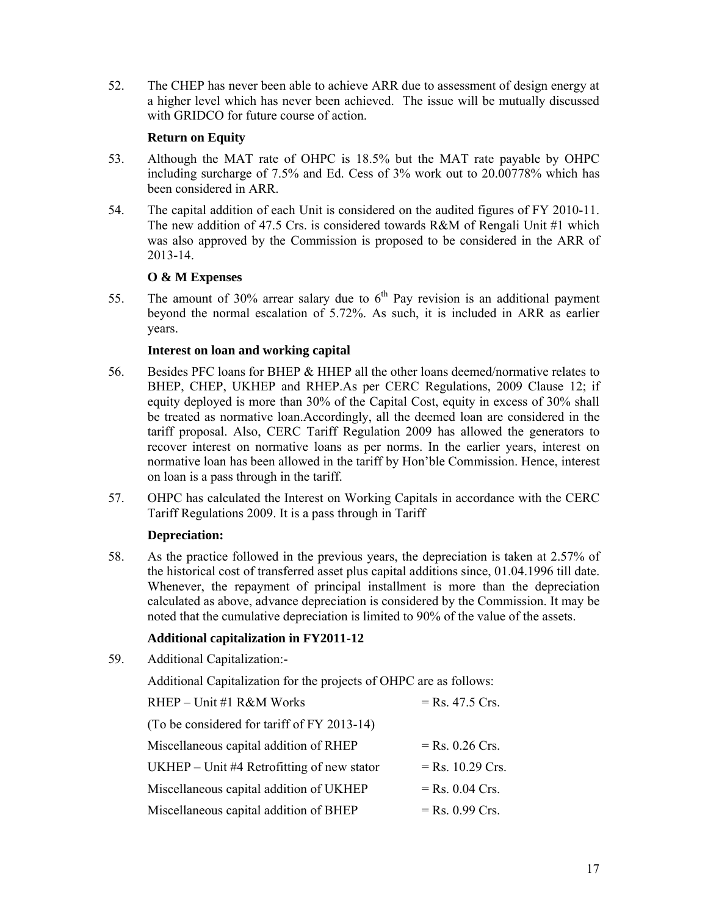52. The CHEP has never been able to achieve ARR due to assessment of design energy at a higher level which has never been achieved. The issue will be mutually discussed with GRIDCO for future course of action.

# **Return on Equity**

- 53. Although the MAT rate of OHPC is 18.5% but the MAT rate payable by OHPC including surcharge of 7.5% and Ed. Cess of 3% work out to 20.00778% which has been considered in ARR.
- 54. The capital addition of each Unit is considered on the audited figures of FY 2010-11. The new addition of 47.5 Crs. is considered towards R&M of Rengali Unit #1 which was also approved by the Commission is proposed to be considered in the ARR of 2013-14.

# **O & M Expenses**

55. The amount of 30% arrear salary due to  $6<sup>th</sup>$  Pay revision is an additional payment beyond the normal escalation of 5.72%. As such, it is included in ARR as earlier years.

# **Interest on loan and working capital**

- 56. Besides PFC loans for BHEP & HHEP all the other loans deemed/normative relates to BHEP, CHEP, UKHEP and RHEP.As per CERC Regulations, 2009 Clause 12; if equity deployed is more than 30% of the Capital Cost, equity in excess of 30% shall be treated as normative loan.Accordingly, all the deemed loan are considered in the tariff proposal. Also, CERC Tariff Regulation 2009 has allowed the generators to recover interest on normative loans as per norms. In the earlier years, interest on normative loan has been allowed in the tariff by Hon'ble Commission. Hence, interest on loan is a pass through in the tariff.
- 57. OHPC has calculated the Interest on Working Capitals in accordance with the CERC Tariff Regulations 2009. It is a pass through in Tariff

# **Depreciation:**

58. As the practice followed in the previous years, the depreciation is taken at 2.57% of the historical cost of transferred asset plus capital additions since, 01.04.1996 till date. Whenever, the repayment of principal installment is more than the depreciation calculated as above, advance depreciation is considered by the Commission. It may be noted that the cumulative depreciation is limited to 90% of the value of the assets.

# **Additional capitalization in FY2011-12**

59. Additional Capitalization:-

Additional Capitalization for the projects of OHPC are as follows:

| RHEP - Unit #1 R&M Works                     | $=$ Rs. 47.5 Crs.  |
|----------------------------------------------|--------------------|
| (To be considered for tariff of FY 2013-14)  |                    |
| Miscellaneous capital addition of RHEP       | $=$ Rs. 0.26 Crs.  |
| UKHEP $-$ Unit #4 Retrofitting of new stator | $=$ Rs. 10.29 Crs. |
| Miscellaneous capital addition of UKHEP      | $=$ Rs. 0.04 Crs.  |
| Miscellaneous capital addition of BHEP       | $=$ Rs. 0.99 Crs.  |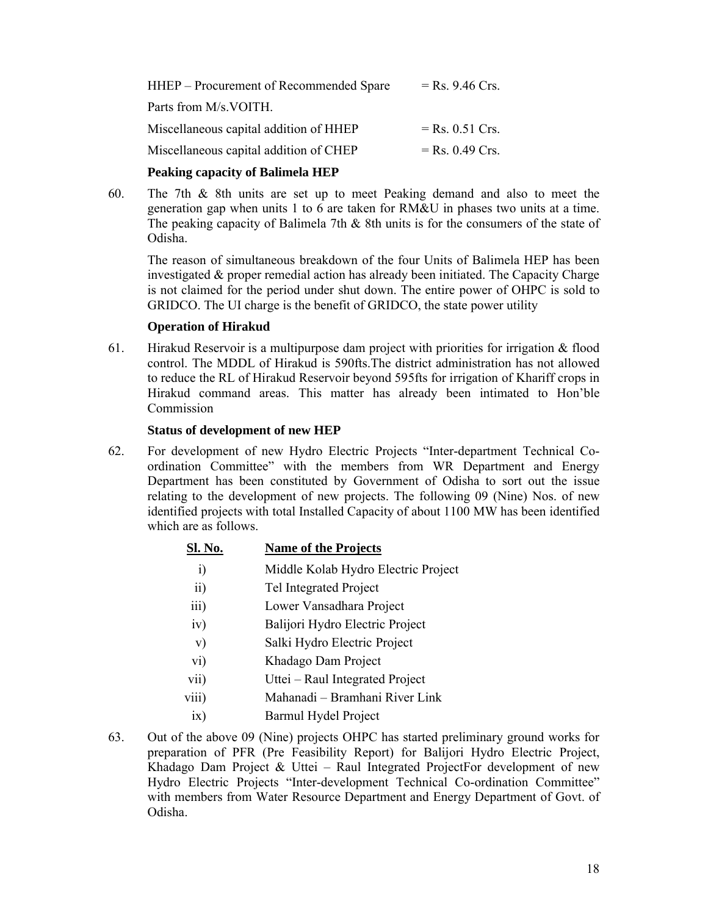| HHEP – Procurement of Recommended Spare | $=$ Rs. 9.46 Crs. |
|-----------------------------------------|-------------------|
| Parts from M/s. VOITH.                  |                   |
| Miscellaneous capital addition of HHEP  | $=$ Rs. 0.51 Crs. |
| Miscellaneous capital addition of CHEP  | $=$ Rs. 0.49 Crs. |

# **Peaking capacity of Balimela HEP**

60. The 7th & 8th units are set up to meet Peaking demand and also to meet the generation gap when units 1 to 6 are taken for RM&U in phases two units at a time. The peaking capacity of Balimela 7th & 8th units is for the consumers of the state of Odisha.

The reason of simultaneous breakdown of the four Units of Balimela HEP has been investigated & proper remedial action has already been initiated. The Capacity Charge is not claimed for the period under shut down. The entire power of OHPC is sold to GRIDCO. The UI charge is the benefit of GRIDCO, the state power utility

# **Operation of Hirakud**

61. Hirakud Reservoir is a multipurpose dam project with priorities for irrigation  $\&$  flood control. The MDDL of Hirakud is 590fts.The district administration has not allowed to reduce the RL of Hirakud Reservoir beyond 595fts for irrigation of Khariff crops in Hirakud command areas. This matter has already been intimated to Hon'ble Commission

## **Status of development of new HEP**

62. For development of new Hydro Electric Projects "Inter-department Technical Coordination Committee" with the members from WR Department and Energy Department has been constituted by Government of Odisha to sort out the issue relating to the development of new projects. The following 09 (Nine) Nos. of new identified projects with total Installed Capacity of about 1100 MW has been identified which are as follows.

| <u>Sl. No.</u>               | <b>Name of the Projects</b>         |
|------------------------------|-------------------------------------|
| $\left( \frac{1}{2} \right)$ | Middle Kolab Hydro Electric Project |
| $\overline{11}$              | Tel Integrated Project              |
| $\overline{111}$             | Lower Vansadhara Project            |
| iv)                          | Balijori Hydro Electric Project     |

- 
- v) Salki Hydro Electric Project
- vi) Khadago Dam Project
- vii) Uttei Raul Integrated Project
- viii) Mahanadi Bramhani River Link
- ix) Barmul Hydel Project
- 63. Out of the above 09 (Nine) projects OHPC has started preliminary ground works for preparation of PFR (Pre Feasibility Report) for Balijori Hydro Electric Project, Khadago Dam Project & Uttei – Raul Integrated ProjectFor development of new Hydro Electric Projects "Inter-development Technical Co-ordination Committee" with members from Water Resource Department and Energy Department of Govt. of Odisha.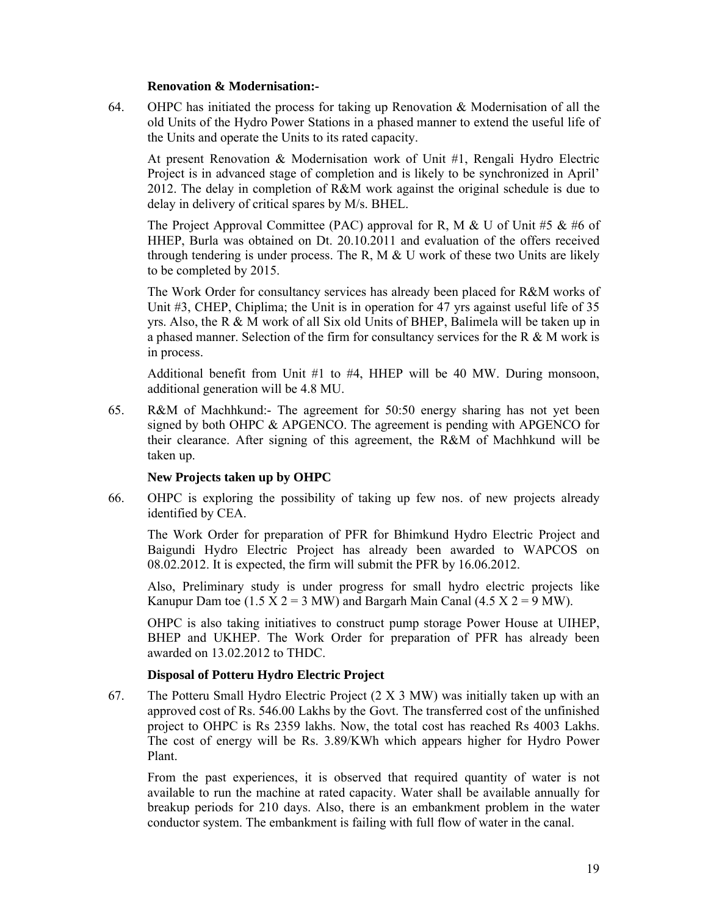#### **Renovation & Modernisation:-**

64. OHPC has initiated the process for taking up Renovation & Modernisation of all the old Units of the Hydro Power Stations in a phased manner to extend the useful life of the Units and operate the Units to its rated capacity.

At present Renovation & Modernisation work of Unit #1, Rengali Hydro Electric Project is in advanced stage of completion and is likely to be synchronized in April' 2012. The delay in completion of R&M work against the original schedule is due to delay in delivery of critical spares by M/s. BHEL.

The Project Approval Committee (PAC) approval for R, M & U of Unit #5 & #6 of HHEP, Burla was obtained on Dt. 20.10.2011 and evaluation of the offers received through tendering is under process. The R, M  $\&$  U work of these two Units are likely to be completed by 2015.

The Work Order for consultancy services has already been placed for R&M works of Unit #3, CHEP, Chiplima; the Unit is in operation for 47 yrs against useful life of 35 yrs. Also, the R & M work of all Six old Units of BHEP, Balimela will be taken up in a phased manner. Selection of the firm for consultancy services for the R & M work is in process.

Additional benefit from Unit #1 to #4, HHEP will be 40 MW. During monsoon, additional generation will be 4.8 MU.

65. R&M of Machhkund:- The agreement for 50:50 energy sharing has not yet been signed by both OHPC & APGENCO. The agreement is pending with APGENCO for their clearance. After signing of this agreement, the R&M of Machhkund will be taken up.

## **New Projects taken up by OHPC**

66. OHPC is exploring the possibility of taking up few nos. of new projects already identified by CEA.

The Work Order for preparation of PFR for Bhimkund Hydro Electric Project and Baigundi Hydro Electric Project has already been awarded to WAPCOS on 08.02.2012. It is expected, the firm will submit the PFR by 16.06.2012.

Also, Preliminary study is under progress for small hydro electric projects like Kanupur Dam toe  $(1.5 \text{ X } 2 = 3 \text{ MW})$  and Bargarh Main Canal  $(4.5 \text{ X } 2 = 9 \text{ MW})$ .

OHPC is also taking initiatives to construct pump storage Power House at UIHEP, BHEP and UKHEP. The Work Order for preparation of PFR has already been awarded on 13.02.2012 to THDC.

## **Disposal of Potteru Hydro Electric Project**

67. The Potteru Small Hydro Electric Project (2 X 3 MW) was initially taken up with an approved cost of Rs. 546.00 Lakhs by the Govt. The transferred cost of the unfinished project to OHPC is Rs 2359 lakhs. Now, the total cost has reached Rs 4003 Lakhs. The cost of energy will be Rs. 3.89/KWh which appears higher for Hydro Power Plant.

From the past experiences, it is observed that required quantity of water is not available to run the machine at rated capacity. Water shall be available annually for breakup periods for 210 days. Also, there is an embankment problem in the water conductor system. The embankment is failing with full flow of water in the canal.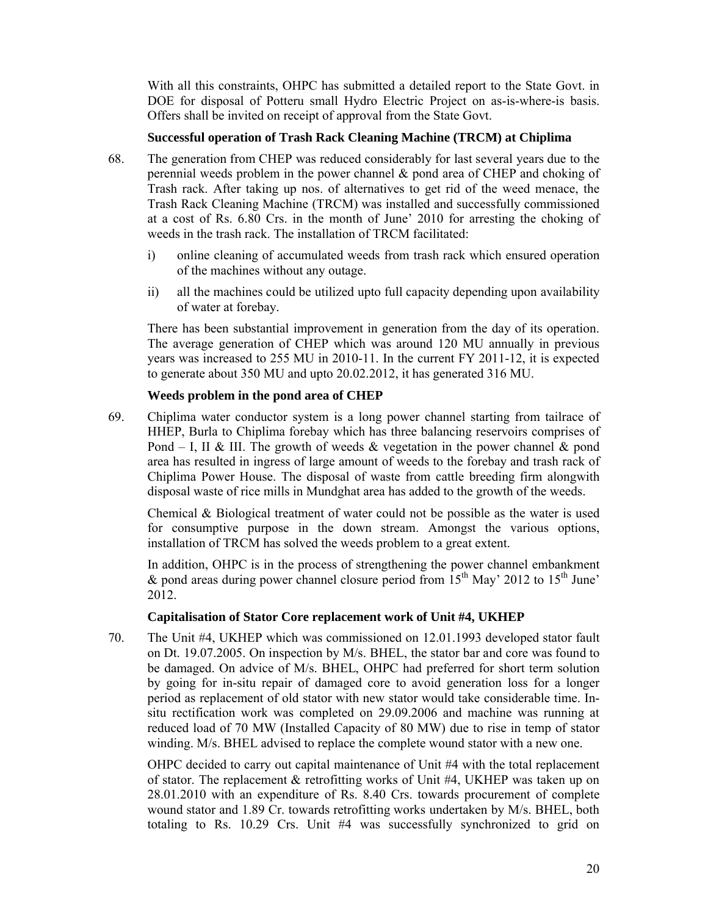With all this constraints, OHPC has submitted a detailed report to the State Govt. in DOE for disposal of Potteru small Hydro Electric Project on as-is-where-is basis. Offers shall be invited on receipt of approval from the State Govt.

## **Successful operation of Trash Rack Cleaning Machine (TRCM) at Chiplima**

- 68. The generation from CHEP was reduced considerably for last several years due to the perennial weeds problem in the power channel & pond area of CHEP and choking of Trash rack. After taking up nos. of alternatives to get rid of the weed menace, the Trash Rack Cleaning Machine (TRCM) was installed and successfully commissioned at a cost of Rs. 6.80 Crs. in the month of June' 2010 for arresting the choking of weeds in the trash rack. The installation of TRCM facilitated:
	- i) online cleaning of accumulated weeds from trash rack which ensured operation of the machines without any outage.
	- ii) all the machines could be utilized upto full capacity depending upon availability of water at forebay.

There has been substantial improvement in generation from the day of its operation. The average generation of CHEP which was around 120 MU annually in previous years was increased to 255 MU in 2010-11. In the current FY 2011-12, it is expected to generate about 350 MU and upto 20.02.2012, it has generated 316 MU.

# **Weeds problem in the pond area of CHEP**

69. Chiplima water conductor system is a long power channel starting from tailrace of HHEP, Burla to Chiplima forebay which has three balancing reservoirs comprises of Pond – I, II & III. The growth of weeds & vegetation in the power channel & pond area has resulted in ingress of large amount of weeds to the forebay and trash rack of Chiplima Power House. The disposal of waste from cattle breeding firm alongwith disposal waste of rice mills in Mundghat area has added to the growth of the weeds.

Chemical & Biological treatment of water could not be possible as the water is used for consumptive purpose in the down stream. Amongst the various options, installation of TRCM has solved the weeds problem to a great extent.

In addition, OHPC is in the process of strengthening the power channel embankment & pond areas during power channel closure period from  $15<sup>th</sup>$  May' 2012 to  $15<sup>th</sup>$  June' 2012.

## **Capitalisation of Stator Core replacement work of Unit #4, UKHEP**

70. The Unit #4, UKHEP which was commissioned on 12.01.1993 developed stator fault on Dt. 19.07.2005. On inspection by M/s. BHEL, the stator bar and core was found to be damaged. On advice of M/s. BHEL, OHPC had preferred for short term solution by going for in-situ repair of damaged core to avoid generation loss for a longer period as replacement of old stator with new stator would take considerable time. Insitu rectification work was completed on 29.09.2006 and machine was running at reduced load of 70 MW (Installed Capacity of 80 MW) due to rise in temp of stator winding. M/s. BHEL advised to replace the complete wound stator with a new one.

OHPC decided to carry out capital maintenance of Unit #4 with the total replacement of stator. The replacement  $\&$  retrofitting works of Unit #4, UKHEP was taken up on 28.01.2010 with an expenditure of Rs. 8.40 Crs. towards procurement of complete wound stator and 1.89 Cr. towards retrofitting works undertaken by M/s. BHEL, both totaling to Rs. 10.29 Crs. Unit #4 was successfully synchronized to grid on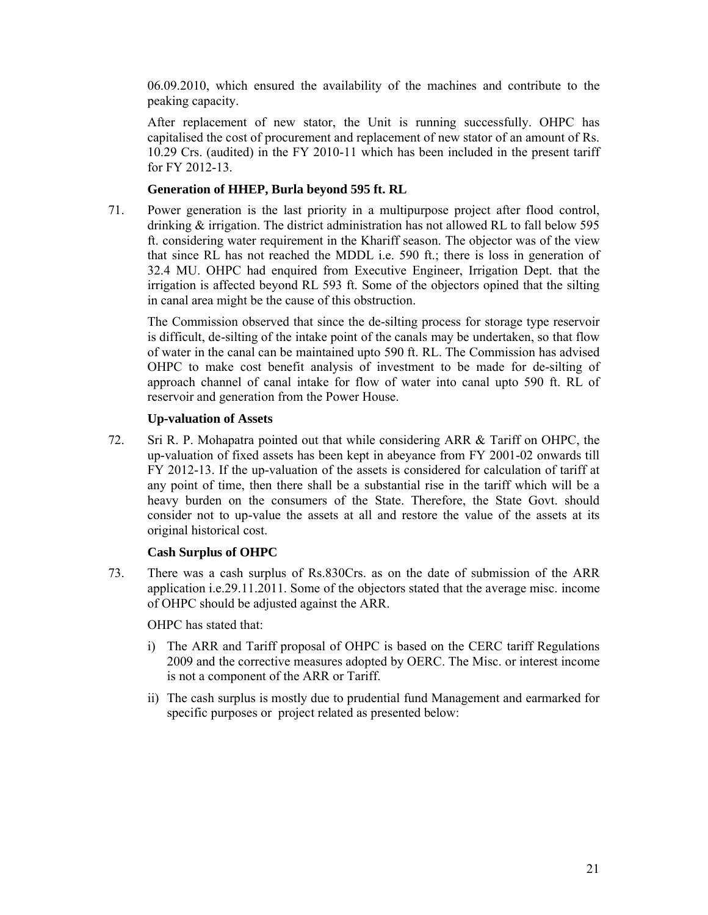06.09.2010, which ensured the availability of the machines and contribute to the peaking capacity.

After replacement of new stator, the Unit is running successfully. OHPC has capitalised the cost of procurement and replacement of new stator of an amount of Rs. 10.29 Crs. (audited) in the FY 2010-11 which has been included in the present tariff for FY 2012-13.

# **Generation of HHEP, Burla beyond 595 ft. RL**

71. Power generation is the last priority in a multipurpose project after flood control, drinking & irrigation. The district administration has not allowed RL to fall below 595 ft. considering water requirement in the Khariff season. The objector was of the view that since RL has not reached the MDDL i.e. 590 ft.; there is loss in generation of 32.4 MU. OHPC had enquired from Executive Engineer, Irrigation Dept. that the irrigation is affected beyond RL 593 ft. Some of the objectors opined that the silting in canal area might be the cause of this obstruction.

The Commission observed that since the de-silting process for storage type reservoir is difficult, de-silting of the intake point of the canals may be undertaken, so that flow of water in the canal can be maintained upto 590 ft. RL. The Commission has advised OHPC to make cost benefit analysis of investment to be made for de-silting of approach channel of canal intake for flow of water into canal upto 590 ft. RL of reservoir and generation from the Power House.

# **Up-valuation of Assets**

72. Sri R. P. Mohapatra pointed out that while considering ARR & Tariff on OHPC, the up-valuation of fixed assets has been kept in abeyance from FY 2001-02 onwards till FY 2012-13. If the up-valuation of the assets is considered for calculation of tariff at any point of time, then there shall be a substantial rise in the tariff which will be a heavy burden on the consumers of the State. Therefore, the State Govt. should consider not to up-value the assets at all and restore the value of the assets at its original historical cost.

# **Cash Surplus of OHPC**

73. There was a cash surplus of Rs.830Crs. as on the date of submission of the ARR application i.e.29.11.2011. Some of the objectors stated that the average misc. income of OHPC should be adjusted against the ARR.

OHPC has stated that:

- i) The ARR and Tariff proposal of OHPC is based on the CERC tariff Regulations 2009 and the corrective measures adopted by OERC. The Misc. or interest income is not a component of the ARR or Tariff.
- ii) The cash surplus is mostly due to prudential fund Management and earmarked for specific purposes or project related as presented below: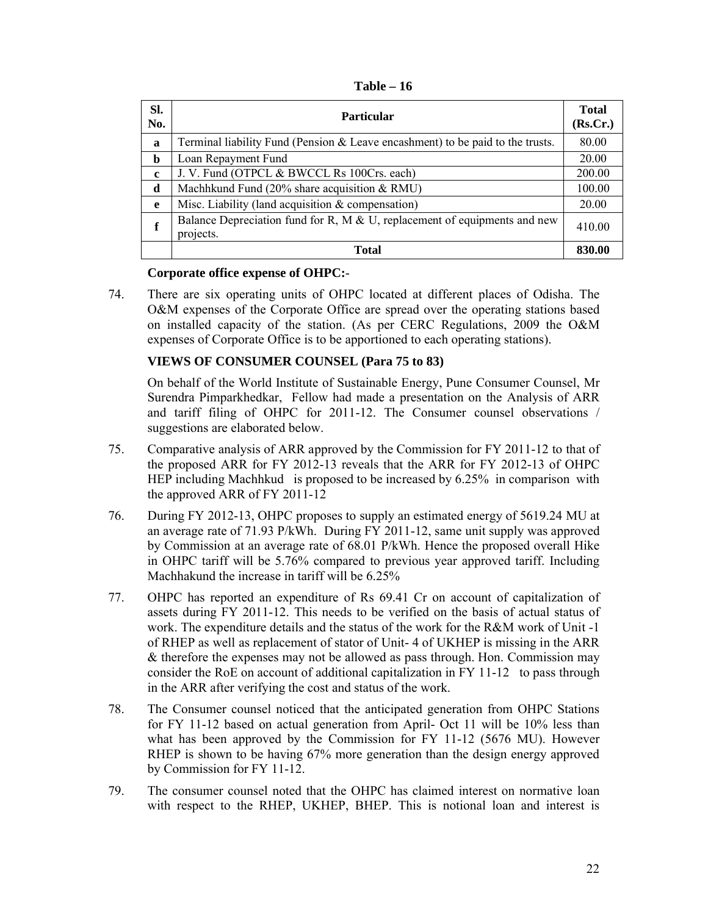| Table | 16 |
|-------|----|
|-------|----|

| SI.<br>No.  | <b>Particular</b>                                                                         | <b>Total</b><br>(Rs.Cr.) |
|-------------|-------------------------------------------------------------------------------------------|--------------------------|
| a           | Terminal liability Fund (Pension $\&$ Leave encashment) to be paid to the trusts.         | 80.00                    |
| b           | Loan Repayment Fund                                                                       | 20.00                    |
| $\mathbf c$ | J. V. Fund (OTPCL & BWCCL Rs 100Crs. each)                                                | 200.00                   |
| d           | Machhkund Fund (20% share acquisition & RMU)                                              | 100.00                   |
| e           | Misc. Liability (land acquisition $&$ compensation)                                       | 20.00                    |
| f           | Balance Depreciation fund for R, M $\&$ U, replacement of equipments and new<br>projects. | 410.00                   |
|             | <b>Total</b>                                                                              | 830.00                   |

# **Corporate office expense of OHPC:**-

74. There are six operating units of OHPC located at different places of Odisha. The O&M expenses of the Corporate Office are spread over the operating stations based on installed capacity of the station. (As per CERC Regulations, 2009 the O&M expenses of Corporate Office is to be apportioned to each operating stations).

# **VIEWS OF CONSUMER COUNSEL (Para 75 to 83)**

On behalf of the World Institute of Sustainable Energy, Pune Consumer Counsel, Mr Surendra Pimparkhedkar, Fellow had made a presentation on the Analysis of ARR and tariff filing of OHPC for 2011-12. The Consumer counsel observations / suggestions are elaborated below.

- 75. Comparative analysis of ARR approved by the Commission for FY 2011-12 to that of the proposed ARR for FY 2012-13 reveals that the ARR for FY 2012-13 of OHPC HEP including Machhkud is proposed to be increased by 6.25% in comparison with the approved ARR of FY 2011-12
- 76. During FY 2012-13, OHPC proposes to supply an estimated energy of 5619.24 MU at an average rate of 71.93 P/kWh. During FY 2011-12, same unit supply was approved by Commission at an average rate of 68.01 P/kWh. Hence the proposed overall Hike in OHPC tariff will be 5.76% compared to previous year approved tariff. Including Machhakund the increase in tariff will be 6.25%
- 77. OHPC has reported an expenditure of Rs 69.41 Cr on account of capitalization of assets during FY 2011-12. This needs to be verified on the basis of actual status of work. The expenditure details and the status of the work for the R&M work of Unit -1 of RHEP as well as replacement of stator of Unit- 4 of UKHEP is missing in the ARR & therefore the expenses may not be allowed as pass through. Hon. Commission may consider the RoE on account of additional capitalization in FY 11-12 to pass through in the ARR after verifying the cost and status of the work.
- 78. The Consumer counsel noticed that the anticipated generation from OHPC Stations for FY 11-12 based on actual generation from April- Oct 11 will be 10% less than what has been approved by the Commission for FY 11-12 (5676 MU). However RHEP is shown to be having 67% more generation than the design energy approved by Commission for FY 11-12.
- 79. The consumer counsel noted that the OHPC has claimed interest on normative loan with respect to the RHEP, UKHEP, BHEP. This is notional loan and interest is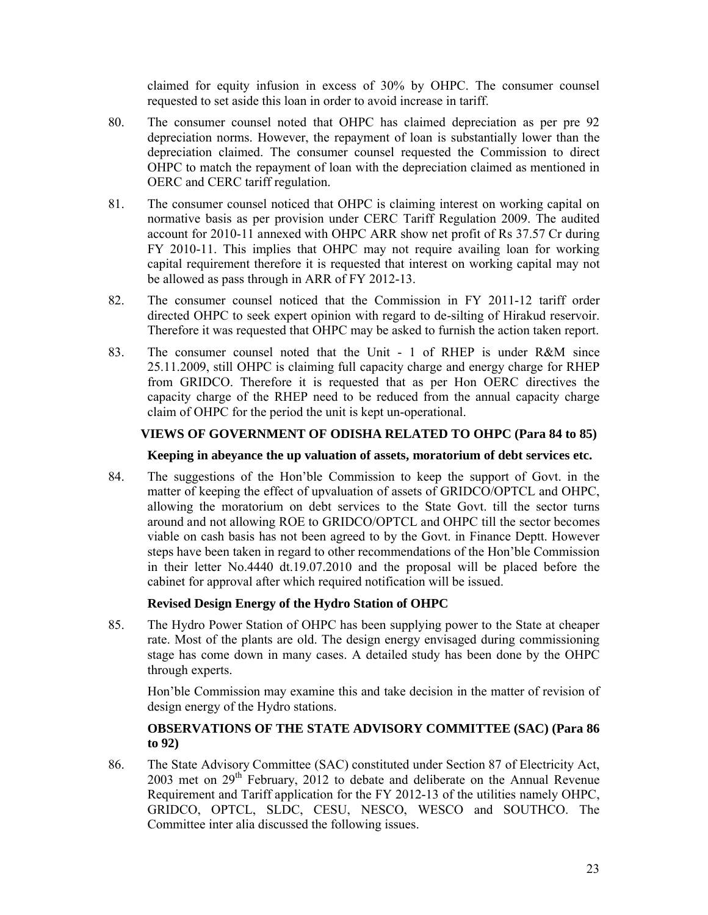claimed for equity infusion in excess of 30% by OHPC. The consumer counsel requested to set aside this loan in order to avoid increase in tariff.

- 80. The consumer counsel noted that OHPC has claimed depreciation as per pre 92 depreciation norms. However, the repayment of loan is substantially lower than the depreciation claimed. The consumer counsel requested the Commission to direct OHPC to match the repayment of loan with the depreciation claimed as mentioned in OERC and CERC tariff regulation.
- 81. The consumer counsel noticed that OHPC is claiming interest on working capital on normative basis as per provision under CERC Tariff Regulation 2009. The audited account for 2010-11 annexed with OHPC ARR show net profit of Rs 37.57 Cr during FY 2010-11. This implies that OHPC may not require availing loan for working capital requirement therefore it is requested that interest on working capital may not be allowed as pass through in ARR of FY 2012-13.
- 82. The consumer counsel noticed that the Commission in FY 2011-12 tariff order directed OHPC to seek expert opinion with regard to de-silting of Hirakud reservoir. Therefore it was requested that OHPC may be asked to furnish the action taken report.
- 83. The consumer counsel noted that the Unit 1 of RHEP is under R&M since 25.11.2009, still OHPC is claiming full capacity charge and energy charge for RHEP from GRIDCO. Therefore it is requested that as per Hon OERC directives the capacity charge of the RHEP need to be reduced from the annual capacity charge claim of OHPC for the period the unit is kept un-operational.

# **VIEWS OF GOVERNMENT OF ODISHA RELATED TO OHPC (Para 84 to 85)**

## **Keeping in abeyance the up valuation of assets, moratorium of debt services etc.**

84. The suggestions of the Hon'ble Commission to keep the support of Govt. in the matter of keeping the effect of upvaluation of assets of GRIDCO/OPTCL and OHPC, allowing the moratorium on debt services to the State Govt. till the sector turns around and not allowing ROE to GRIDCO/OPTCL and OHPC till the sector becomes viable on cash basis has not been agreed to by the Govt. in Finance Deptt. However steps have been taken in regard to other recommendations of the Hon'ble Commission in their letter No.4440 dt.19.07.2010 and the proposal will be placed before the cabinet for approval after which required notification will be issued.

## **Revised Design Energy of the Hydro Station of OHPC**

85. The Hydro Power Station of OHPC has been supplying power to the State at cheaper rate. Most of the plants are old. The design energy envisaged during commissioning stage has come down in many cases. A detailed study has been done by the OHPC through experts.

Hon'ble Commission may examine this and take decision in the matter of revision of design energy of the Hydro stations.

# **OBSERVATIONS OF THE STATE ADVISORY COMMITTEE (SAC) (Para 86 to 92)**

86. The State Advisory Committee (SAC) constituted under Section 87 of Electricity Act,  $2003$  met on  $29<sup>th</sup>$  February, 2012 to debate and deliberate on the Annual Revenue Requirement and Tariff application for the FY 2012-13 of the utilities namely OHPC, GRIDCO, OPTCL, SLDC, CESU, NESCO, WESCO and SOUTHCO. The Committee inter alia discussed the following issues.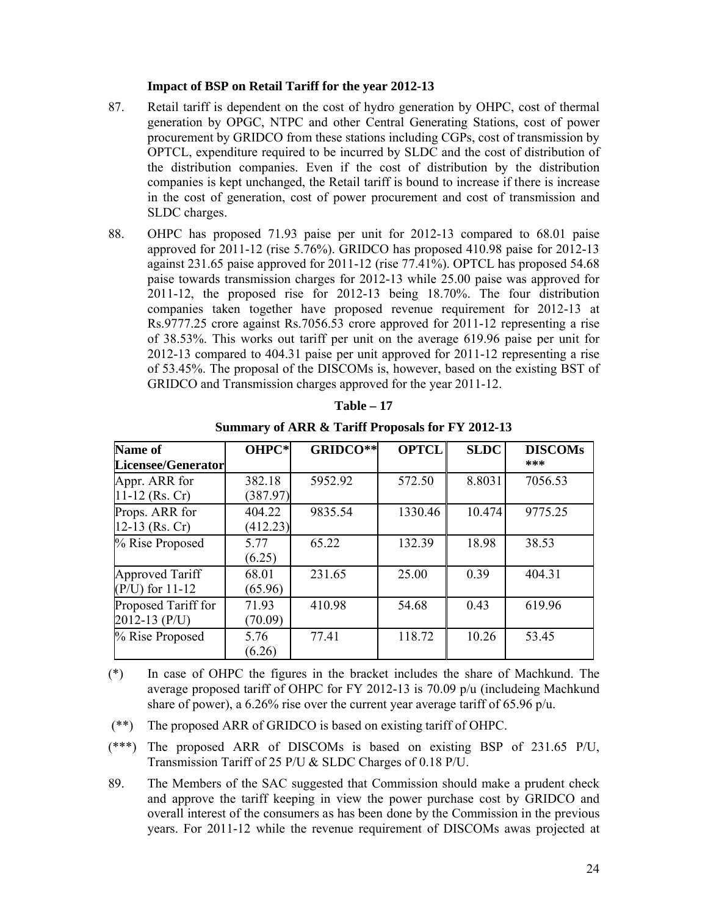#### **Impact of BSP on Retail Tariff for the year 2012-13**

- 87. Retail tariff is dependent on the cost of hydro generation by OHPC, cost of thermal generation by OPGC, NTPC and other Central Generating Stations, cost of power procurement by GRIDCO from these stations including CGPs, cost of transmission by OPTCL, expenditure required to be incurred by SLDC and the cost of distribution of the distribution companies. Even if the cost of distribution by the distribution companies is kept unchanged, the Retail tariff is bound to increase if there is increase in the cost of generation, cost of power procurement and cost of transmission and SLDC charges.
- 88. OHPC has proposed 71.93 paise per unit for 2012-13 compared to 68.01 paise approved for 2011-12 (rise 5.76%). GRIDCO has proposed 410.98 paise for 2012-13 against 231.65 paise approved for 2011-12 (rise 77.41%). OPTCL has proposed 54.68 paise towards transmission charges for 2012-13 while 25.00 paise was approved for 2011-12, the proposed rise for 2012-13 being 18.70%. The four distribution companies taken together have proposed revenue requirement for 2012-13 at Rs.9777.25 crore against Rs.7056.53 crore approved for 2011-12 representing a rise of 38.53%. This works out tariff per unit on the average 619.96 paise per unit for 2012-13 compared to 404.31 paise per unit approved for 2011-12 representing a rise of 53.45%. The proposal of the DISCOMs is, however, based on the existing BST of GRIDCO and Transmission charges approved for the year 2011-12.

| <b>Name of</b>      | OHPC*    | GRIDCO** | <b>OPTCL</b> | <b>SLDC</b> | <b>DISCOMs</b> |
|---------------------|----------|----------|--------------|-------------|----------------|
| Licensee/Generator  |          |          |              |             | ***            |
| Appr. ARR for       | 382.18   | 5952.92  | 572.50       | 8.8031      | 7056.53        |
| $11-12$ (Rs. Cr)    | (387.97) |          |              |             |                |
| Props. ARR for      | 404.22   | 9835.54  | 1330.46      | 10.474      | 9775.25        |
| 12-13 (Rs. Cr)      | (412.23) |          |              |             |                |
| % Rise Proposed     | 5.77     | 65.22    | 132.39       | 18.98       | 38.53          |
|                     | (6.25)   |          |              |             |                |
| Approved Tariff     | 68.01    | 231.65   | 25.00        | 0.39        | 404.31         |
| $(P/U)$ for 11-12   | (65.96)  |          |              |             |                |
| Proposed Tariff for | 71.93    | 410.98   | 54.68        | 0.43        | 619.96         |
| $2012 - 13$ (P/U)   | (70.09)  |          |              |             |                |
| % Rise Proposed     | 5.76     | 77.41    | 118.72       | 10.26       | 53.45          |
|                     | (6.26)   |          |              |             |                |

| l'able |
|--------|
|--------|

**Summary of ARR & Tariff Proposals for FY 2012-13**

(\*) In case of OHPC the figures in the bracket includes the share of Machkund. The average proposed tariff of OHPC for FY 2012-13 is 70.09 p/u (includeing Machkund share of power), a 6.26% rise over the current year average tariff of 65.96 p/u.

(\*\*) The proposed ARR of GRIDCO is based on existing tariff of OHPC.

(\*\*\*) The proposed ARR of DISCOMs is based on existing BSP of 231.65 P/U, Transmission Tariff of 25 P/U & SLDC Charges of 0.18 P/U.

89. The Members of the SAC suggested that Commission should make a prudent check and approve the tariff keeping in view the power purchase cost by GRIDCO and overall interest of the consumers as has been done by the Commission in the previous years. For 2011-12 while the revenue requirement of DISCOMs awas projected at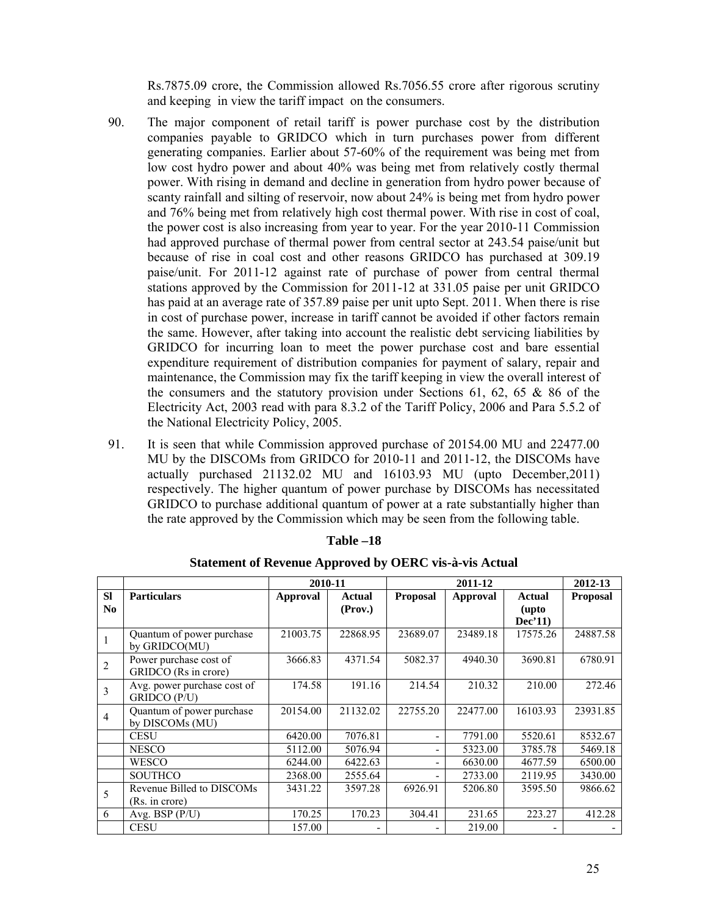Rs.7875.09 crore, the Commission allowed Rs.7056.55 crore after rigorous scrutiny and keeping in view the tariff impact on the consumers.

- 90. The major component of retail tariff is power purchase cost by the distribution companies payable to GRIDCO which in turn purchases power from different generating companies. Earlier about 57-60% of the requirement was being met from low cost hydro power and about 40% was being met from relatively costly thermal power. With rising in demand and decline in generation from hydro power because of scanty rainfall and silting of reservoir, now about 24% is being met from hydro power and 76% being met from relatively high cost thermal power. With rise in cost of coal, the power cost is also increasing from year to year. For the year 2010-11 Commission had approved purchase of thermal power from central sector at 243.54 paise/unit but because of rise in coal cost and other reasons GRIDCO has purchased at 309.19 paise/unit. For 2011-12 against rate of purchase of power from central thermal stations approved by the Commission for 2011-12 at 331.05 paise per unit GRIDCO has paid at an average rate of 357.89 paise per unit upto Sept. 2011. When there is rise in cost of purchase power, increase in tariff cannot be avoided if other factors remain the same. However, after taking into account the realistic debt servicing liabilities by GRIDCO for incurring loan to meet the power purchase cost and bare essential expenditure requirement of distribution companies for payment of salary, repair and maintenance, the Commission may fix the tariff keeping in view the overall interest of the consumers and the statutory provision under Sections  $61, 62, 65$  & 86 of the Electricity Act, 2003 read with para 8.3.2 of the Tariff Policy, 2006 and Para 5.5.2 of the National Electricity Policy, 2005.
- 91. It is seen that while Commission approved purchase of 20154.00 MU and 22477.00 MU by the DISCOMs from GRIDCO for 2010-11 and 2011-12, the DISCOMs have actually purchased 21132.02 MU and 16103.93 MU (upto December,2011) respectively. The higher quantum of power purchase by DISCOMs has necessitated GRIDCO to purchase additional quantum of power at a rate substantially higher than the rate approved by the Commission which may be seen from the following table.

|                             |                                                | 2010-11         |                   |                          | 2011-12         |                            | 2012-13         |
|-----------------------------|------------------------------------------------|-----------------|-------------------|--------------------------|-----------------|----------------------------|-----------------|
| <b>SI</b><br>N <sub>0</sub> | <b>Particulars</b>                             | <b>Approval</b> | Actual<br>(Prov.) | <b>Proposal</b>          | <b>Approval</b> | Actual<br>(upto<br>Dec'11) | <b>Proposal</b> |
|                             | Quantum of power purchase<br>by GRIDCO(MU)     | 21003.75        | 22868.95          | 23689.07                 | 23489.18        | 17575.26                   | 24887.58        |
| $\overline{2}$              | Power purchase cost of<br>GRIDCO (Rs in crore) | 3666.83         | 4371.54           | 5082.37                  | 4940.30         | 3690.81                    | 6780.91         |
| 3                           | Avg. power purchase cost of<br>GRIDCO (P/U)    | 174.58          | 191.16            | 214.54                   | 210.32          | 210.00                     | 272.46          |
| $\overline{4}$              | Quantum of power purchase<br>by DISCOMs (MU)   | 20154.00        | 21132.02          | 22755.20                 | 22477.00        | 16103.93                   | 23931.85        |
|                             | <b>CESU</b>                                    | 6420.00         | 7076.81           | -                        | 7791.00         | 5520.61                    | 8532.67         |
|                             | <b>NESCO</b>                                   | 5112.00         | 5076.94           | $\overline{\phantom{0}}$ | 5323.00         | 3785.78                    | 5469.18         |
|                             | <b>WESCO</b>                                   | 6244.00         | 6422.63           | -                        | 6630.00         | 4677.59                    | 6500.00         |
|                             | <b>SOUTHCO</b>                                 | 2368.00         | 2555.64           | -                        | 2733.00         | 2119.95                    | 3430.00         |
| 5                           | Revenue Billed to DISCOMs<br>(Rs. in crore)    | 3431.22         | 3597.28           | 6926.91                  | 5206.80         | 3595.50                    | 9866.62         |
| 6                           | Avg. BSP $(P/U)$                               | 170.25          | 170.23            | 304.41                   | 231.65          | 223.27                     | 412.28          |
|                             | <b>CESU</b>                                    | 157.00          |                   |                          | 219.00          |                            |                 |

#### **Table –18**

#### **Statement of Revenue Approved by OERC vis-à-vis Actual**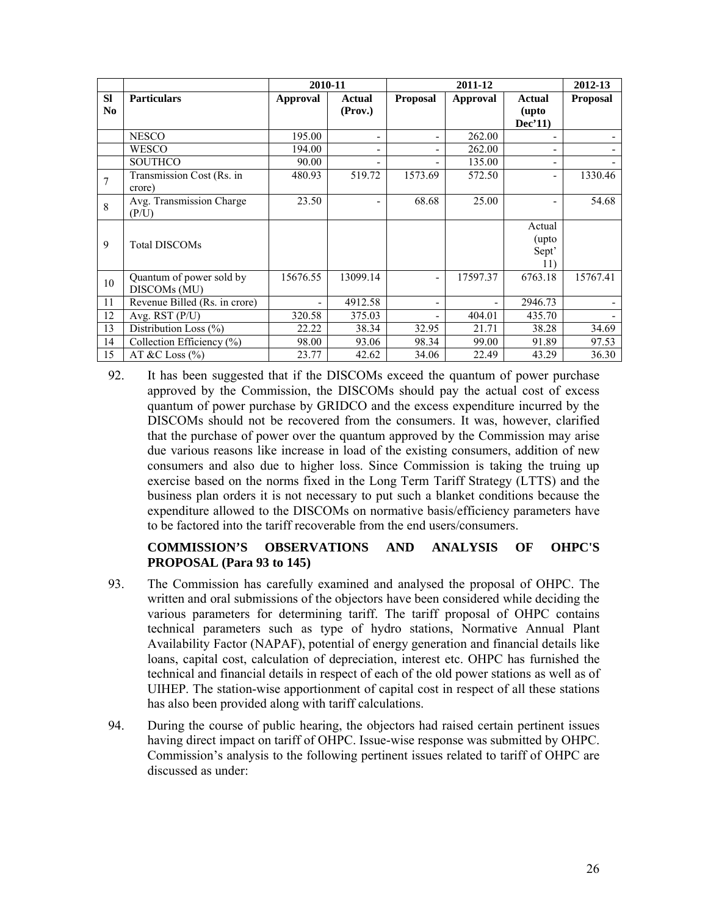|                |                               | 2010-11         |                          |                 | 2011-12         |                          | 2012-13         |
|----------------|-------------------------------|-----------------|--------------------------|-----------------|-----------------|--------------------------|-----------------|
| <b>SI</b>      | <b>Particulars</b>            | <b>Approval</b> | <b>Actual</b>            | <b>Proposal</b> | <b>Approval</b> | <b>Actual</b>            | <b>Proposal</b> |
| N <sub>0</sub> |                               |                 | (Prov.)                  |                 |                 | (upto                    |                 |
|                |                               |                 |                          |                 |                 | Dec'11)                  |                 |
|                | <b>NESCO</b>                  | 195.00          | ٠                        | -               | 262.00          |                          |                 |
|                | <b>WESCO</b>                  | 194.00          | $\overline{\phantom{a}}$ | -               | 262.00          |                          |                 |
|                | <b>SOUTHCO</b>                | 90.00           | ٠                        | -               | 135.00          | $\overline{\phantom{0}}$ |                 |
|                | Transmission Cost (Rs. in     | 480.93          | 519.72                   | 1573.69         | 572.50          |                          | 1330.46         |
|                | crore)                        |                 |                          |                 |                 |                          |                 |
| 8              | Avg. Transmission Charge      | 23.50           | ٠                        | 68.68           | 25.00           |                          | 54.68           |
|                | (P/U)                         |                 |                          |                 |                 |                          |                 |
|                |                               |                 |                          |                 |                 | Actual                   |                 |
| 9              | <b>Total DISCOMs</b>          |                 |                          |                 |                 | (upto                    |                 |
|                |                               |                 |                          |                 |                 | Sept'                    |                 |
|                |                               |                 |                          |                 |                 | 11)                      |                 |
| 10             | Quantum of power sold by      | 15676.55        | 13099.14                 | -               | 17597.37        | 6763.18                  | 15767.41        |
|                | DISCOM <sub>s</sub> (MU)      |                 |                          |                 |                 |                          |                 |
| 11             | Revenue Billed (Rs. in crore) |                 | 4912.58                  | -               |                 | 2946.73                  |                 |
| 12             | Avg. RST (P/U)                | 320.58          | 375.03                   | -               | 404.01          | 435.70                   |                 |
| 13             | Distribution Loss (%)         | 22.22           | 38.34                    | 32.95           | 21.71           | 38.28                    | 34.69           |
| 14             | Collection Efficiency (%)     | 98.00           | 93.06                    | 98.34           | 99.00           | 91.89                    | 97.53           |
| 15             | AT &C Loss $(\% )$            | 23.77           | 42.62                    | 34.06           | 22.49           | 43.29                    | 36.30           |

92. It has been suggested that if the DISCOMs exceed the quantum of power purchase approved by the Commission, the DISCOMs should pay the actual cost of excess quantum of power purchase by GRIDCO and the excess expenditure incurred by the DISCOMs should not be recovered from the consumers. It was, however, clarified that the purchase of power over the quantum approved by the Commission may arise due various reasons like increase in load of the existing consumers, addition of new consumers and also due to higher loss. Since Commission is taking the truing up exercise based on the norms fixed in the Long Term Tariff Strategy (LTTS) and the business plan orders it is not necessary to put such a blanket conditions because the expenditure allowed to the DISCOMs on normative basis/efficiency parameters have to be factored into the tariff recoverable from the end users/consumers.

# **COMMISSION'S OBSERVATIONS AND ANALYSIS OF OHPC'S PROPOSAL (Para 93 to 145)**

- 93. The Commission has carefully examined and analysed the proposal of OHPC. The written and oral submissions of the objectors have been considered while deciding the various parameters for determining tariff. The tariff proposal of OHPC contains technical parameters such as type of hydro stations, Normative Annual Plant Availability Factor (NAPAF), potential of energy generation and financial details like loans, capital cost, calculation of depreciation, interest etc. OHPC has furnished the technical and financial details in respect of each of the old power stations as well as of UIHEP. The station-wise apportionment of capital cost in respect of all these stations has also been provided along with tariff calculations.
- 94. During the course of public hearing, the objectors had raised certain pertinent issues having direct impact on tariff of OHPC. Issue-wise response was submitted by OHPC. Commission's analysis to the following pertinent issues related to tariff of OHPC are discussed as under: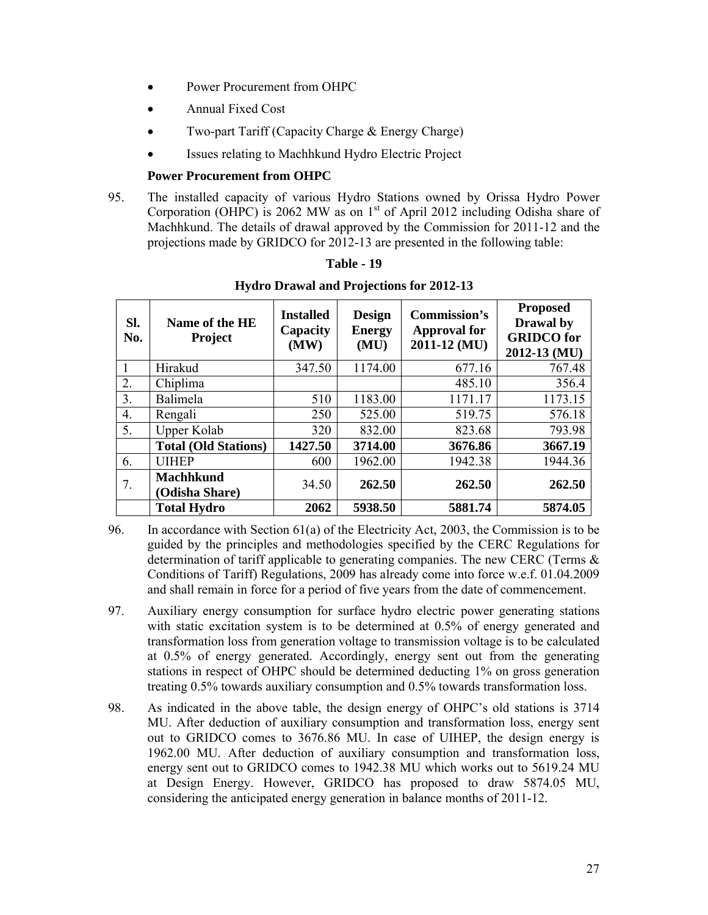- Power Procurement from OHPC
- Annual Fixed Cost
- Two-part Tariff (Capacity Charge & Energy Charge)
- Issues relating to Machhkund Hydro Electric Project

## **Power Procurement from OHPC**

95. The installed capacity of various Hydro Stations owned by Orissa Hydro Power Corporation (OHPC) is 2062 MW as on  $1<sup>st</sup>$  of April 2012 including Odisha share of Machhkund. The details of drawal approved by the Commission for 2011-12 and the projections made by GRIDCO for 2012-13 are presented in the following table:

| SI.<br>No.       | Name of the HE<br><b>Project</b>   | <b>Installed</b><br>Capacity<br>(MW) | <b>Design</b><br><b>Energy</b><br>(MU) | <b>Commission's</b><br><b>Approval for</b><br>2011-12 (MU) | <b>Proposed</b><br>Drawal by<br><b>GRIDCO</b> for<br>2012-13 (MU) |
|------------------|------------------------------------|--------------------------------------|----------------------------------------|------------------------------------------------------------|-------------------------------------------------------------------|
|                  | Hirakud                            | 347.50                               | 1174.00                                | 677.16                                                     | 767.48                                                            |
| 2.               | Chiplima                           |                                      |                                        | 485.10                                                     | 356.4                                                             |
| 3.               | Balimela                           | 510                                  | 1183.00                                | 1171.17                                                    | 1173.15                                                           |
| $\overline{4}$ . | Rengali                            | 250                                  | 525.00                                 | 519.75                                                     | 576.18                                                            |
| 5.               | Upper Kolab                        | 320                                  | 832.00                                 | 823.68                                                     | 793.98                                                            |
|                  | <b>Total (Old Stations)</b>        | 1427.50                              | 3714.00                                | 3676.86                                                    | 3667.19                                                           |
| 6.               | <b>UIHEP</b>                       | 600                                  | 1962.00                                | 1942.38                                                    | 1944.36                                                           |
| 7.               | <b>Machhkund</b><br>(Odisha Share) | 34.50                                | 262.50                                 | 262.50                                                     | 262.50                                                            |
|                  | <b>Total Hydro</b>                 | 2062                                 | 5938.50                                | 5881.74                                                    | 5874.05                                                           |

**Table - 19 Hydro Drawal and Projections for 2012-13**

- 96. In accordance with Section 61(a) of the Electricity Act, 2003, the Commission is to be guided by the principles and methodologies specified by the CERC Regulations for determination of tariff applicable to generating companies. The new CERC (Terms  $\&$ Conditions of Tariff) Regulations, 2009 has already come into force w.e.f. 01.04.2009 and shall remain in force for a period of five years from the date of commencement.
- 97. Auxiliary energy consumption for surface hydro electric power generating stations with static excitation system is to be determined at 0.5% of energy generated and transformation loss from generation voltage to transmission voltage is to be calculated at 0.5% of energy generated. Accordingly, energy sent out from the generating stations in respect of OHPC should be determined deducting 1% on gross generation treating 0.5% towards auxiliary consumption and 0.5% towards transformation loss.
- 98. As indicated in the above table, the design energy of OHPC's old stations is 3714 MU. After deduction of auxiliary consumption and transformation loss, energy sent out to GRIDCO comes to 3676.86 MU. In case of UIHEP, the design energy is 1962.00 MU. After deduction of auxiliary consumption and transformation loss, energy sent out to GRIDCO comes to 1942.38 MU which works out to 5619.24 MU at Design Energy. However, GRIDCO has proposed to draw 5874.05 MU, considering the anticipated energy generation in balance months of 2011-12.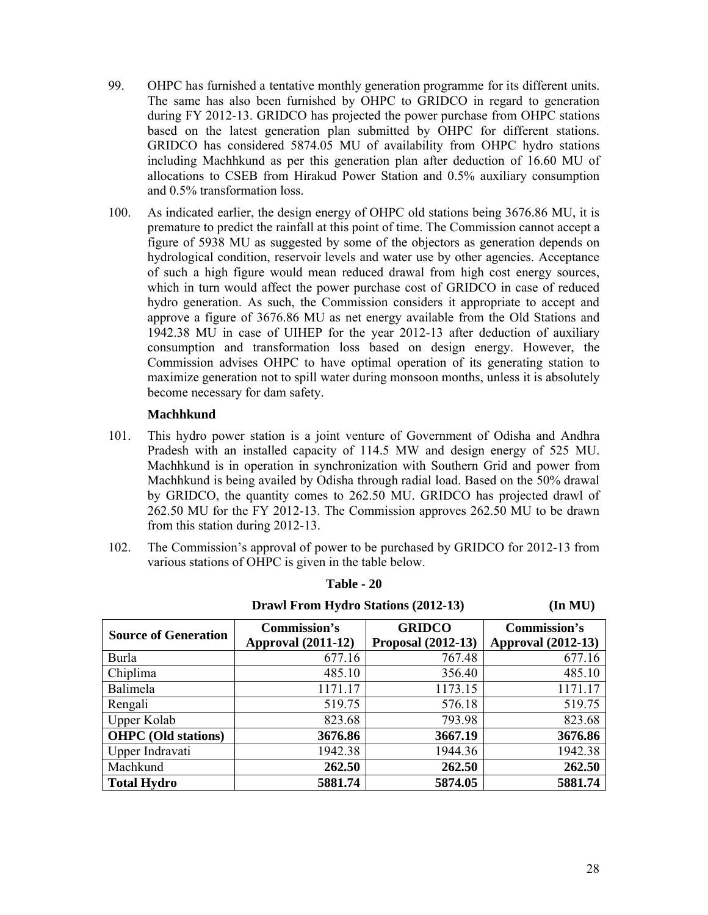- 99. OHPC has furnished a tentative monthly generation programme for its different units. The same has also been furnished by OHPC to GRIDCO in regard to generation during FY 2012-13. GRIDCO has projected the power purchase from OHPC stations based on the latest generation plan submitted by OHPC for different stations. GRIDCO has considered 5874.05 MU of availability from OHPC hydro stations including Machhkund as per this generation plan after deduction of 16.60 MU of allocations to CSEB from Hirakud Power Station and 0.5% auxiliary consumption and 0.5% transformation loss.
- 100. As indicated earlier, the design energy of OHPC old stations being 3676.86 MU, it is premature to predict the rainfall at this point of time. The Commission cannot accept a figure of 5938 MU as suggested by some of the objectors as generation depends on hydrological condition, reservoir levels and water use by other agencies. Acceptance of such a high figure would mean reduced drawal from high cost energy sources, which in turn would affect the power purchase cost of GRIDCO in case of reduced hydro generation. As such, the Commission considers it appropriate to accept and approve a figure of 3676.86 MU as net energy available from the Old Stations and 1942.38 MU in case of UIHEP for the year 2012-13 after deduction of auxiliary consumption and transformation loss based on design energy. However, the Commission advises OHPC to have optimal operation of its generating station to maximize generation not to spill water during monsoon months, unless it is absolutely become necessary for dam safety.

## **Machhkund**

- 101. This hydro power station is a joint venture of Government of Odisha and Andhra Pradesh with an installed capacity of 114.5 MW and design energy of 525 MU. Machhkund is in operation in synchronization with Southern Grid and power from Machhkund is being availed by Odisha through radial load. Based on the 50% drawal by GRIDCO, the quantity comes to 262.50 MU. GRIDCO has projected drawl of 262.50 MU for the FY 2012-13. The Commission approves 262.50 MU to be drawn from this station during 2012-13.
- 102. The Commission's approval of power to be purchased by GRIDCO for 2012-13 from various stations of OHPC is given in the table below.

| <b>Source of Generation</b> | <b>Commission's</b><br><b>Approval (2011-12)</b> | <b>GRIDCO</b><br><b>Proposal (2012-13)</b> | Commission's<br><b>Approval (2012-13)</b> |
|-----------------------------|--------------------------------------------------|--------------------------------------------|-------------------------------------------|
| <b>Burla</b>                | 677.16                                           | 767.48                                     | 677.16                                    |
| Chiplima                    | 485.10                                           | 356.40                                     | 485.10                                    |
| Balimela                    | 1171.17                                          | 1173.15                                    | 1171.17                                   |
| Rengali                     | 519.75                                           | 576.18                                     | 519.75                                    |
| Upper Kolab                 | 823.68                                           | 793.98                                     | 823.68                                    |
| <b>OHPC</b> (Old stations)  | 3676.86                                          | 3667.19                                    | 3676.86                                   |
| Upper Indravati             | 1942.38                                          | 1944.36                                    | 1942.38                                   |
| Machkund                    | 262.50                                           | 262.50                                     | 262.50                                    |
| <b>Total Hydro</b>          | 5881.74                                          | 5874.05                                    | 5881.74                                   |

**Table - 20**

 **Drawl From Hydro Stations (2012-13) (In MU)**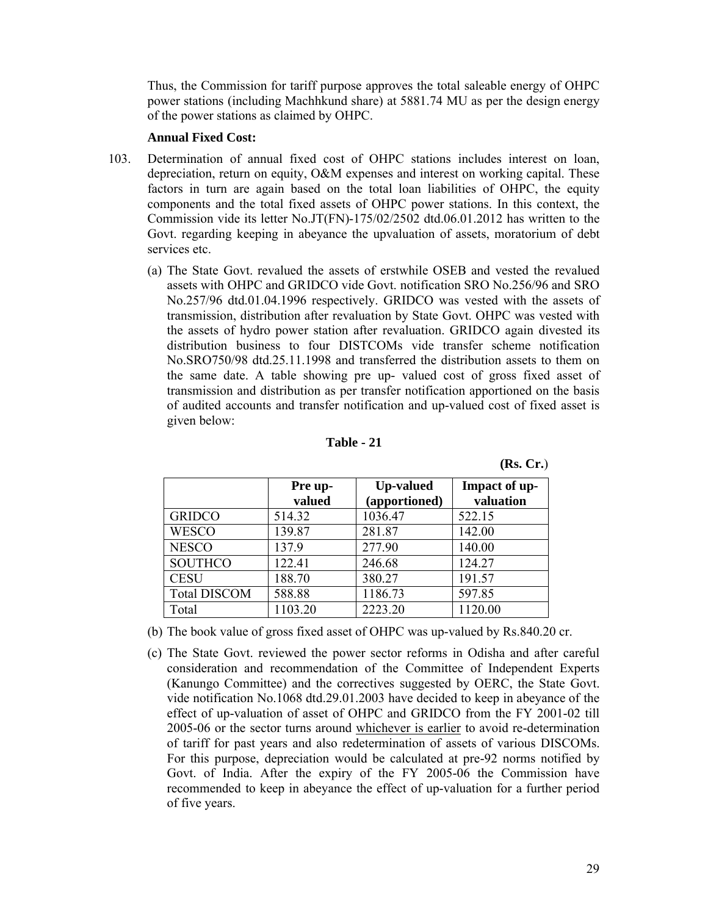Thus, the Commission for tariff purpose approves the total saleable energy of OHPC power stations (including Machhkund share) at 5881.74 MU as per the design energy of the power stations as claimed by OHPC.

#### **Annual Fixed Cost:**

- 103. Determination of annual fixed cost of OHPC stations includes interest on loan, depreciation, return on equity, O&M expenses and interest on working capital. These factors in turn are again based on the total loan liabilities of OHPC, the equity components and the total fixed assets of OHPC power stations. In this context, the Commission vide its letter No.JT(FN)-175/02/2502 dtd.06.01.2012 has written to the Govt. regarding keeping in abeyance the upvaluation of assets, moratorium of debt services etc.
	- (a) The State Govt. revalued the assets of erstwhile OSEB and vested the revalued assets with OHPC and GRIDCO vide Govt. notification SRO No.256/96 and SRO No.257/96 dtd.01.04.1996 respectively. GRIDCO was vested with the assets of transmission, distribution after revaluation by State Govt. OHPC was vested with the assets of hydro power station after revaluation. GRIDCO again divested its distribution business to four DISTCOMs vide transfer scheme notification No.SRO750/98 dtd.25.11.1998 and transferred the distribution assets to them on the same date. A table showing pre up- valued cost of gross fixed asset of transmission and distribution as per transfer notification apportioned on the basis of audited accounts and transfer notification and up-valued cost of fixed asset is given below:

| Table |  |
|-------|--|
|-------|--|

**(Rs. Cr.**)

|                     | Pre up-<br>valued | <b>Up-valued</b><br>(apportioned) | Impact of up-<br>valuation |
|---------------------|-------------------|-----------------------------------|----------------------------|
| <b>GRIDCO</b>       | 514.32            | 1036.47                           | 522.15                     |
| <b>WESCO</b>        | 139.87            | 281.87                            | 142.00                     |
| <b>NESCO</b>        | 137.9             | 277.90                            | 140.00                     |
| <b>SOUTHCO</b>      | 122.41            | 246.68                            | 124.27                     |
| <b>CESU</b>         | 188.70            | 380.27                            | 191.57                     |
| <b>Total DISCOM</b> | 588.88            | 1186.73                           | 597.85                     |
| Total               | 1103.20           | 2223.20                           | 1120.00                    |

(b) The book value of gross fixed asset of OHPC was up-valued by Rs.840.20 cr.

(c) The State Govt. reviewed the power sector reforms in Odisha and after careful consideration and recommendation of the Committee of Independent Experts (Kanungo Committee) and the correctives suggested by OERC, the State Govt. vide notification No.1068 dtd.29.01.2003 have decided to keep in abeyance of the effect of up-valuation of asset of OHPC and GRIDCO from the FY 2001-02 till 2005-06 or the sector turns around whichever is earlier to avoid re-determination of tariff for past years and also redetermination of assets of various DISCOMs. For this purpose, depreciation would be calculated at pre-92 norms notified by Govt. of India. After the expiry of the FY 2005-06 the Commission have recommended to keep in abeyance the effect of up-valuation for a further period of five years.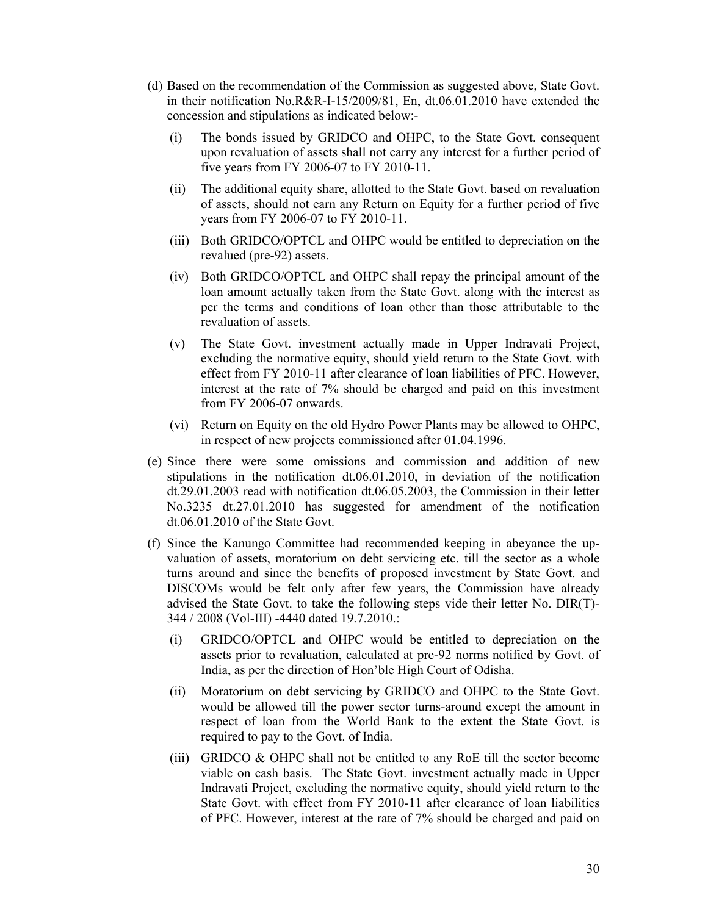- (d) Based on the recommendation of the Commission as suggested above, State Govt. in their notification No.R&R-I-15/2009/81, En, dt.06.01.2010 have extended the concession and stipulations as indicated below:-
	- (i) The bonds issued by GRIDCO and OHPC, to the State Govt. consequent upon revaluation of assets shall not carry any interest for a further period of five years from FY 2006-07 to FY 2010-11.
	- (ii) The additional equity share, allotted to the State Govt. based on revaluation of assets, should not earn any Return on Equity for a further period of five years from FY 2006-07 to FY 2010-11.
	- (iii) Both GRIDCO/OPTCL and OHPC would be entitled to depreciation on the revalued (pre-92) assets.
	- (iv) Both GRIDCO/OPTCL and OHPC shall repay the principal amount of the loan amount actually taken from the State Govt. along with the interest as per the terms and conditions of loan other than those attributable to the revaluation of assets.
	- (v) The State Govt. investment actually made in Upper Indravati Project, excluding the normative equity, should yield return to the State Govt. with effect from FY 2010-11 after clearance of loan liabilities of PFC. However, interest at the rate of 7% should be charged and paid on this investment from FY 2006-07 onwards.
	- (vi) Return on Equity on the old Hydro Power Plants may be allowed to OHPC, in respect of new projects commissioned after 01.04.1996.
- (e) Since there were some omissions and commission and addition of new stipulations in the notification dt.06.01.2010, in deviation of the notification dt.29.01.2003 read with notification dt.06.05.2003, the Commission in their letter No.3235 dt.27.01.2010 has suggested for amendment of the notification dt.06.01.2010 of the State Govt.
- (f) Since the Kanungo Committee had recommended keeping in abeyance the upvaluation of assets, moratorium on debt servicing etc. till the sector as a whole turns around and since the benefits of proposed investment by State Govt. and DISCOMs would be felt only after few years, the Commission have already advised the State Govt. to take the following steps vide their letter No. DIR(T)- 344 / 2008 (Vol-III) -4440 dated 19.7.2010.:
	- (i) GRIDCO/OPTCL and OHPC would be entitled to depreciation on the assets prior to revaluation, calculated at pre-92 norms notified by Govt. of India, as per the direction of Hon'ble High Court of Odisha.
	- (ii) Moratorium on debt servicing by GRIDCO and OHPC to the State Govt. would be allowed till the power sector turns-around except the amount in respect of loan from the World Bank to the extent the State Govt. is required to pay to the Govt. of India.
	- (iii) GRIDCO & OHPC shall not be entitled to any RoE till the sector become viable on cash basis. The State Govt. investment actually made in Upper Indravati Project, excluding the normative equity, should yield return to the State Govt. with effect from FY 2010-11 after clearance of loan liabilities of PFC. However, interest at the rate of 7% should be charged and paid on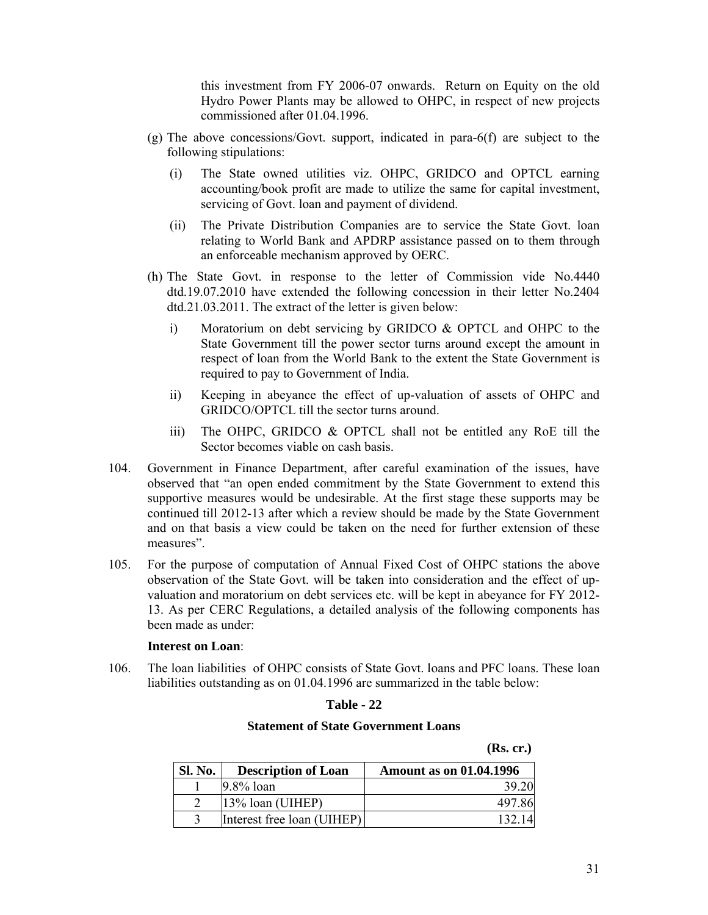this investment from FY 2006-07 onwards. Return on Equity on the old Hydro Power Plants may be allowed to OHPC, in respect of new projects commissioned after 01.04.1996.

- $(g)$  The above concessions/Govt. support, indicated in para- $6(f)$  are subject to the following stipulations:
	- (i) The State owned utilities viz. OHPC, GRIDCO and OPTCL earning accounting/book profit are made to utilize the same for capital investment, servicing of Govt. loan and payment of dividend.
	- (ii) The Private Distribution Companies are to service the State Govt. loan relating to World Bank and APDRP assistance passed on to them through an enforceable mechanism approved by OERC.
- (h) The State Govt. in response to the letter of Commission vide No.4440 dtd.19.07.2010 have extended the following concession in their letter No.2404 dtd.21.03.2011. The extract of the letter is given below:
	- i) Moratorium on debt servicing by GRIDCO & OPTCL and OHPC to the State Government till the power sector turns around except the amount in respect of loan from the World Bank to the extent the State Government is required to pay to Government of India.
	- ii) Keeping in abeyance the effect of up-valuation of assets of OHPC and GRIDCO/OPTCL till the sector turns around.
	- iii) The OHPC, GRIDCO & OPTCL shall not be entitled any RoE till the Sector becomes viable on cash basis.
- 104. Government in Finance Department, after careful examination of the issues, have observed that "an open ended commitment by the State Government to extend this supportive measures would be undesirable. At the first stage these supports may be continued till 2012-13 after which a review should be made by the State Government and on that basis a view could be taken on the need for further extension of these measures".
- 105. For the purpose of computation of Annual Fixed Cost of OHPC stations the above observation of the State Govt. will be taken into consideration and the effect of upvaluation and moratorium on debt services etc. will be kept in abeyance for FY 2012- 13. As per CERC Regulations, a detailed analysis of the following components has been made as under:

#### **Interest on Loan**:

106. The loan liabilities of OHPC consists of State Govt. loans and PFC loans. These loan liabilities outstanding as on 01.04.1996 are summarized in the table below:

#### **Table - 22**

#### **Statement of State Government Loans**

 **(Rs. cr.)**

| Sl. No. | <b>Description of Loan</b> | <b>Amount as on 01.04.1996</b> |
|---------|----------------------------|--------------------------------|
|         | $9.8\%$ loan               | 39.20                          |
|         | $13\%$ loan (UIHEP)        | 497.86                         |
|         | Interest free loan (UIHEP) | 132 14                         |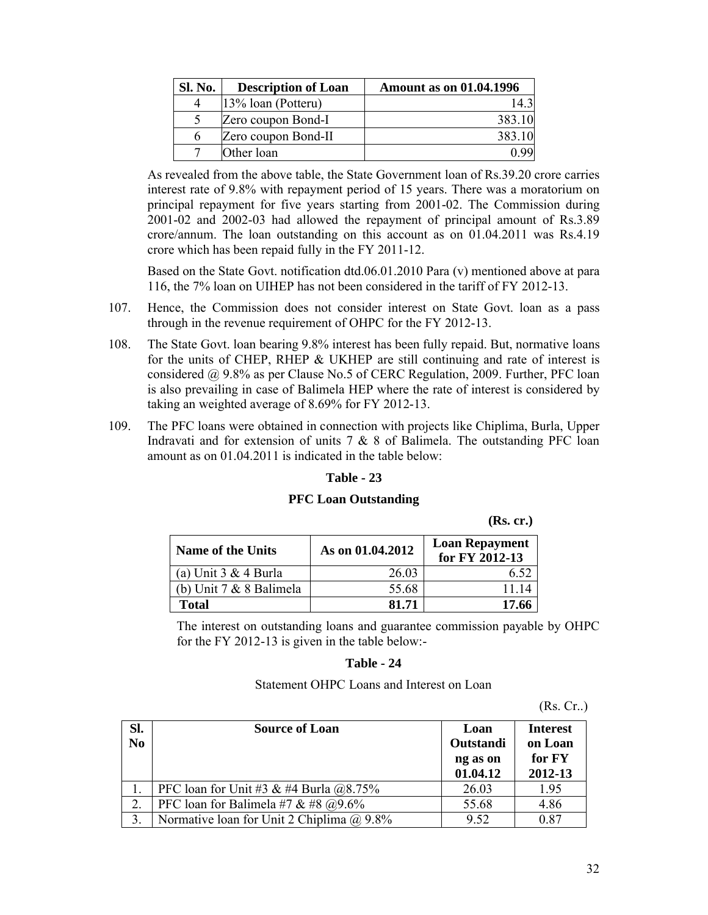| <b>Sl. No.</b> | <b>Description of Loan</b> | <b>Amount as on 01.04.1996</b> |
|----------------|----------------------------|--------------------------------|
|                | 13% loan (Potteru)         | $14^{\circ}$                   |
|                | Zero coupon Bond-I         | 383.10                         |
| h              | Zero coupon Bond-II        | 383.10                         |
|                | Other loan                 |                                |

As revealed from the above table, the State Government loan of Rs.39.20 crore carries interest rate of 9.8% with repayment period of 15 years. There was a moratorium on principal repayment for five years starting from 2001-02. The Commission during 2001-02 and 2002-03 had allowed the repayment of principal amount of Rs.3.89 crore/annum. The loan outstanding on this account as on 01.04.2011 was Rs.4.19 crore which has been repaid fully in the FY 2011-12.

Based on the State Govt. notification dtd.06.01.2010 Para (v) mentioned above at para 116, the 7% loan on UIHEP has not been considered in the tariff of FY 2012-13.

- 107. Hence, the Commission does not consider interest on State Govt. loan as a pass through in the revenue requirement of OHPC for the FY 2012-13.
- 108. The State Govt. loan bearing 9.8% interest has been fully repaid. But, normative loans for the units of CHEP, RHEP & UKHEP are still continuing and rate of interest is considered @ 9.8% as per Clause No.5 of CERC Regulation, 2009. Further, PFC loan is also prevailing in case of Balimela HEP where the rate of interest is considered by taking an weighted average of 8.69% for FY 2012-13.
- 109. The PFC loans were obtained in connection with projects like Chiplima, Burla, Upper Indravati and for extension of units  $7 & 8 & 8$  of Balimela. The outstanding PFC loan amount as on 01.04.2011 is indicated in the table below:

## **Table - 23**

#### **PFC Loan Outstanding**

 **(Rs. cr.)**

| <b>Name of the Units</b>    | As on 01.04.2012 | <b>Loan Repayment</b><br>for FY 2012-13 |
|-----------------------------|------------------|-----------------------------------------|
| (a) Unit $3 & 4$ Burla      | 26.03            |                                         |
| (b) Unit $7 & 8$ 8 Balimela | 55.68            | 11 14                                   |
| <b>Total</b>                | 81.71            | 17.66                                   |

The interest on outstanding loans and guarantee commission payable by OHPC for the FY 2012-13 is given in the table below:-

#### **Table - 24**

#### Statement OHPC Loans and Interest on Loan

(Rs. Cr..)

| SI.<br>$\overline{N_0}$ | <b>Source of Loan</b>                         | Loan<br>Outstandi<br>ng as on<br>01.04.12 | <b>Interest</b><br>on Loan<br>for FY<br>2012-13 |
|-------------------------|-----------------------------------------------|-------------------------------------------|-------------------------------------------------|
|                         | PFC loan for Unit #3 & #4 Burla $@8.75\%$     | 26.03                                     | 1.95                                            |
| 2.                      | PFC loan for Balimela #7 & #8 $@9.6\%$        | 55.68                                     | 4.86                                            |
|                         | Normative loan for Unit 2 Chiplima $(a)$ 9.8% | 9.52                                      | 0.87                                            |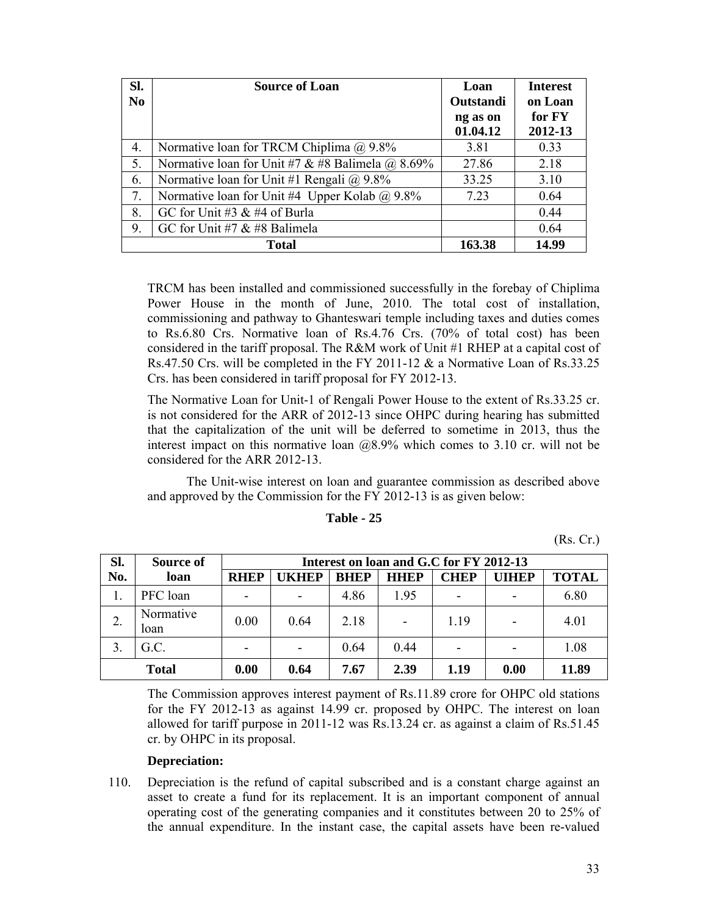| SI.<br>N <sub>0</sub> | <b>Source of Loan</b>                                |                      | <b>Interest</b><br>on Loan |
|-----------------------|------------------------------------------------------|----------------------|----------------------------|
|                       |                                                      | ng as on<br>01.04.12 | for FY<br>2012-13          |
| 4.                    | Normative loan for TRCM Chiplima $(a)$ 9.8%          | 3.81                 | 0.33                       |
| 5.                    | Normative loan for Unit #7 & #8 Balimela @ 8.69%     |                      | 2.18                       |
| 6.                    | Normative loan for Unit #1 Rengali $\omega$ 9.8%     | 33.25                | 3.10                       |
| 7.                    | Normative loan for Unit #4 Upper Kolab $\omega$ 9.8% |                      | 0.64                       |
| 8.                    | GC for Unit #3 $&$ #4 of Burla                       |                      | 0.44                       |
| 9.                    | GC for Unit #7 $&$ #8 Balimela                       |                      | 0.64                       |
|                       | Total                                                | 163.38               | 14.99                      |

TRCM has been installed and commissioned successfully in the forebay of Chiplima Power House in the month of June, 2010. The total cost of installation, commissioning and pathway to Ghanteswari temple including taxes and duties comes to Rs.6.80 Crs. Normative loan of Rs.4.76 Crs. (70% of total cost) has been considered in the tariff proposal. The R&M work of Unit #1 RHEP at a capital cost of Rs.47.50 Crs. will be completed in the FY 2011-12 & a Normative Loan of Rs.33.25 Crs. has been considered in tariff proposal for FY 2012-13.

The Normative Loan for Unit-1 of Rengali Power House to the extent of Rs.33.25 cr. is not considered for the ARR of 2012-13 since OHPC during hearing has submitted that the capitalization of the unit will be deferred to sometime in 2013, thus the interest impact on this normative loan  $(208.9\%$  which comes to 3.10 cr. will not be considered for the ARR 2012-13.

The Unit-wise interest on loan and guarantee commission as described above and approved by the Commission for the FY 2012-13 is as given below:

| Table - |
|---------|
|---------|

(Rs. Cr.)

| Sl. | Source of         | Interest on loan and G.C for FY 2012-13 |                          |             |             |                          |                              |              |
|-----|-------------------|-----------------------------------------|--------------------------|-------------|-------------|--------------------------|------------------------------|--------------|
| No. | loan              | <b>RHEP</b>                             | <b>JKHEP</b>             | <b>BHEP</b> | <b>HHEP</b> | <b>CHEP</b>              | <b>UIHEP</b>                 | <b>TOTAL</b> |
|     | PFC loan          | $\overline{\phantom{0}}$                | $\blacksquare$           | 4.86        | 1.95        | $\overline{\phantom{0}}$ | $\qquad \qquad \blacksquare$ | 6.80         |
|     | Normative<br>loan | 0.00                                    | 0.64                     | 2.18        |             | 1.19                     |                              | 4.01         |
| 3   | G.C.              | $\overline{\phantom{0}}$                | $\overline{\phantom{0}}$ | 0.64        | 0.44        | $\overline{\phantom{0}}$ | $\overline{\phantom{0}}$     | 1.08         |
|     | <b>Total</b>      | 0.00                                    | 0.64                     | 7.67        | 2.39        | 1.19                     | 0.00                         | 11.89        |

The Commission approves interest payment of Rs.11.89 crore for OHPC old stations for the FY 2012-13 as against 14.99 cr. proposed by OHPC. The interest on loan allowed for tariff purpose in 2011-12 was Rs.13.24 cr. as against a claim of Rs.51.45 cr. by OHPC in its proposal.

## **Depreciation:**

110. Depreciation is the refund of capital subscribed and is a constant charge against an asset to create a fund for its replacement. It is an important component of annual operating cost of the generating companies and it constitutes between 20 to 25% of the annual expenditure. In the instant case, the capital assets have been re-valued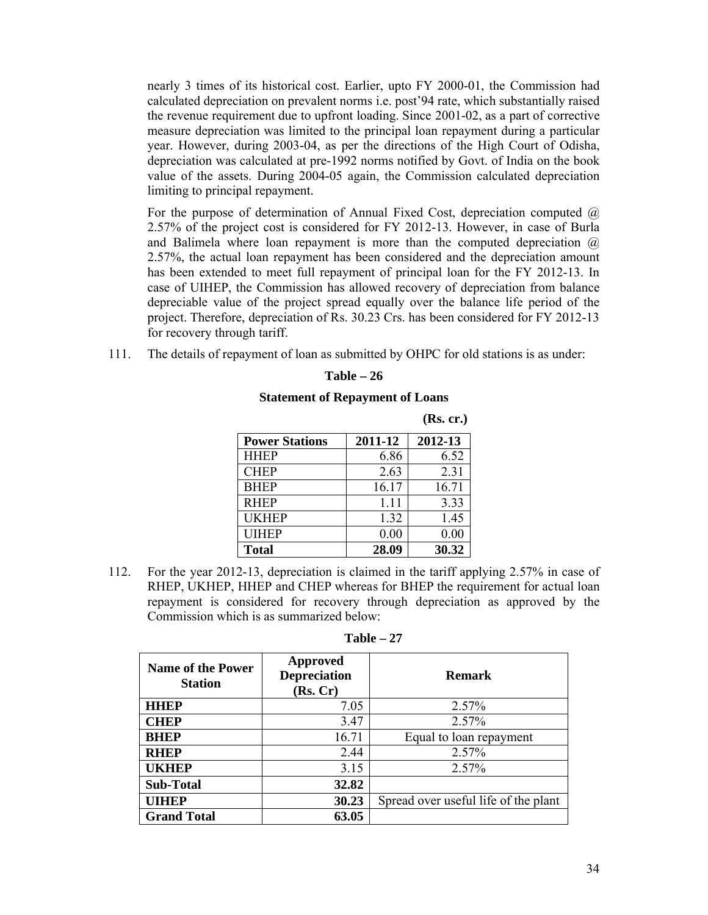nearly 3 times of its historical cost. Earlier, upto FY 2000-01, the Commission had calculated depreciation on prevalent norms i.e. post'94 rate, which substantially raised the revenue requirement due to upfront loading. Since 2001-02, as a part of corrective measure depreciation was limited to the principal loan repayment during a particular year. However, during 2003-04, as per the directions of the High Court of Odisha, depreciation was calculated at pre-1992 norms notified by Govt. of India on the book value of the assets. During 2004-05 again, the Commission calculated depreciation limiting to principal repayment.

For the purpose of determination of Annual Fixed Cost, depreciation computed  $\omega$ 2.57% of the project cost is considered for FY 2012-13. However, in case of Burla and Balimela where loan repayment is more than the computed depreciation  $\omega$ 2.57%, the actual loan repayment has been considered and the depreciation amount has been extended to meet full repayment of principal loan for the FY 2012-13. In case of UIHEP, the Commission has allowed recovery of depreciation from balance depreciable value of the project spread equally over the balance life period of the project. Therefore, depreciation of Rs. 30.23 Crs. has been considered for FY 2012-13 for recovery through tariff.

111. The details of repayment of loan as submitted by OHPC for old stations is as under:

|                       |         | (Rs. cr.) |
|-----------------------|---------|-----------|
| <b>Power Stations</b> | 2011-12 | 2012-13   |
| <b>HHEP</b>           | 6.86    | 6.52      |
| <b>CHEP</b>           | 2.63    | 2.31      |
| <b>BHEP</b>           | 16.17   | 16.71     |
| <b>RHEP</b>           | 1 1 1   | 3.33      |
| <b>UKHEP</b>          | 1.32    | 1.45      |
| <b>UIHEP</b>          | 0.00    | 0.00      |
| <b>Total</b>          | 28.09   | 30.32     |

| Fable | ۷n |
|-------|----|
|-------|----|

#### **Statement of Repayment of Loans**

112. For the year 2012-13, depreciation is claimed in the tariff applying 2.57% in case of RHEP, UKHEP, HHEP and CHEP whereas for BHEP the requirement for actual loan repayment is considered for recovery through depreciation as approved by the Commission which is as summarized below:

| anı |  |
|-----|--|
|-----|--|

| <b>Name of the Power</b><br><b>Station</b> | Approved<br><b>Depreciation</b><br>(Rs, Cr) | <b>Remark</b>                        |
|--------------------------------------------|---------------------------------------------|--------------------------------------|
| <b>HHEP</b>                                | 7.05                                        | 2.57%                                |
| <b>CHEP</b>                                | 3.47                                        | 2.57%                                |
| <b>BHEP</b>                                | 16.71                                       | Equal to loan repayment              |
| <b>RHEP</b>                                | 2.44                                        | 2.57%                                |
| <b>UKHEP</b>                               | 3.15                                        | 2.57%                                |
| <b>Sub-Total</b>                           | 32.82                                       |                                      |
| <b>UIHEP</b>                               | 30.23                                       | Spread over useful life of the plant |
| <b>Grand Total</b>                         | 63.05                                       |                                      |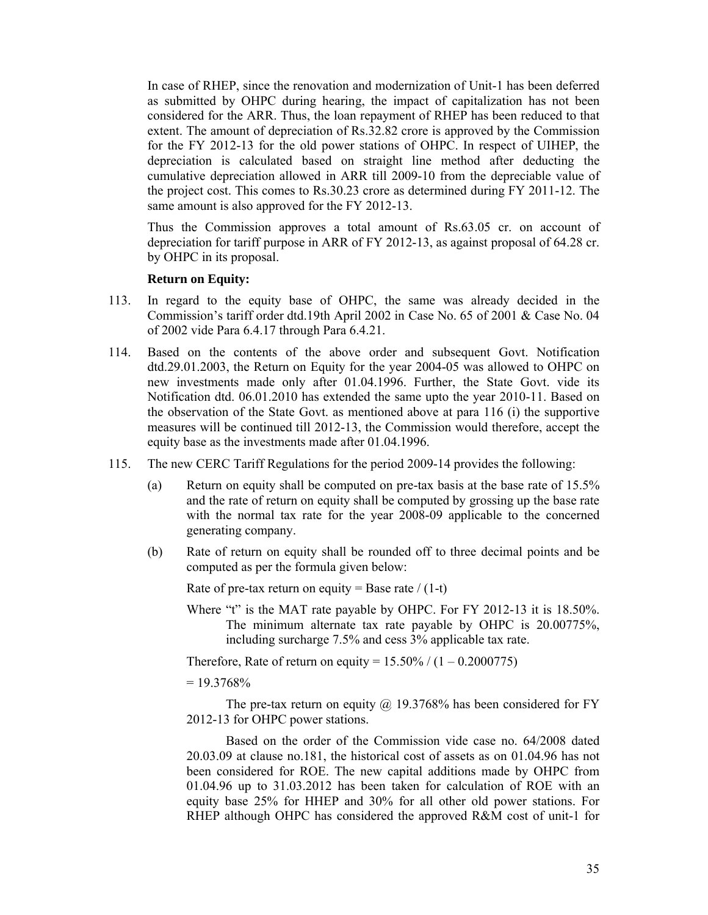In case of RHEP, since the renovation and modernization of Unit-1 has been deferred as submitted by OHPC during hearing, the impact of capitalization has not been considered for the ARR. Thus, the loan repayment of RHEP has been reduced to that extent. The amount of depreciation of Rs.32.82 crore is approved by the Commission for the FY 2012-13 for the old power stations of OHPC. In respect of UIHEP, the depreciation is calculated based on straight line method after deducting the cumulative depreciation allowed in ARR till 2009-10 from the depreciable value of the project cost. This comes to Rs.30.23 crore as determined during FY 2011-12. The same amount is also approved for the FY 2012-13.

Thus the Commission approves a total amount of Rs.63.05 cr. on account of depreciation for tariff purpose in ARR of FY 2012-13, as against proposal of 64.28 cr. by OHPC in its proposal.

#### **Return on Equity:**

- 113. In regard to the equity base of OHPC, the same was already decided in the Commission's tariff order dtd.19th April 2002 in Case No. 65 of 2001 & Case No. 04 of 2002 vide Para 6.4.17 through Para 6.4.21.
- 114. Based on the contents of the above order and subsequent Govt. Notification dtd.29.01.2003, the Return on Equity for the year 2004-05 was allowed to OHPC on new investments made only after 01.04.1996. Further, the State Govt. vide its Notification dtd. 06.01.2010 has extended the same upto the year 2010-11. Based on the observation of the State Govt. as mentioned above at para 116 (i) the supportive measures will be continued till 2012-13, the Commission would therefore, accept the equity base as the investments made after 01.04.1996.
- 115. The new CERC Tariff Regulations for the period 2009-14 provides the following:
	- (a) Return on equity shall be computed on pre-tax basis at the base rate of 15.5% and the rate of return on equity shall be computed by grossing up the base rate with the normal tax rate for the year 2008-09 applicable to the concerned generating company.
	- (b) Rate of return on equity shall be rounded off to three decimal points and be computed as per the formula given below:

Rate of pre-tax return on equity = Base rate  $/(1-t)$ 

Where "t" is the MAT rate payable by OHPC. For FY 2012-13 it is 18.50%. The minimum alternate tax rate payable by OHPC is 20.00775%, including surcharge 7.5% and cess 3% applicable tax rate.

Therefore, Rate of return on equity =  $15.50\% / (1 - 0.2000775)$ 

 $= 19.3768\%$ 

The pre-tax return on equity  $\omega$  19.3768% has been considered for FY 2012-13 for OHPC power stations.

Based on the order of the Commission vide case no. 64/2008 dated 20.03.09 at clause no.181, the historical cost of assets as on 01.04.96 has not been considered for ROE. The new capital additions made by OHPC from 01.04.96 up to 31.03.2012 has been taken for calculation of ROE with an equity base 25% for HHEP and 30% for all other old power stations. For RHEP although OHPC has considered the approved R&M cost of unit-1 for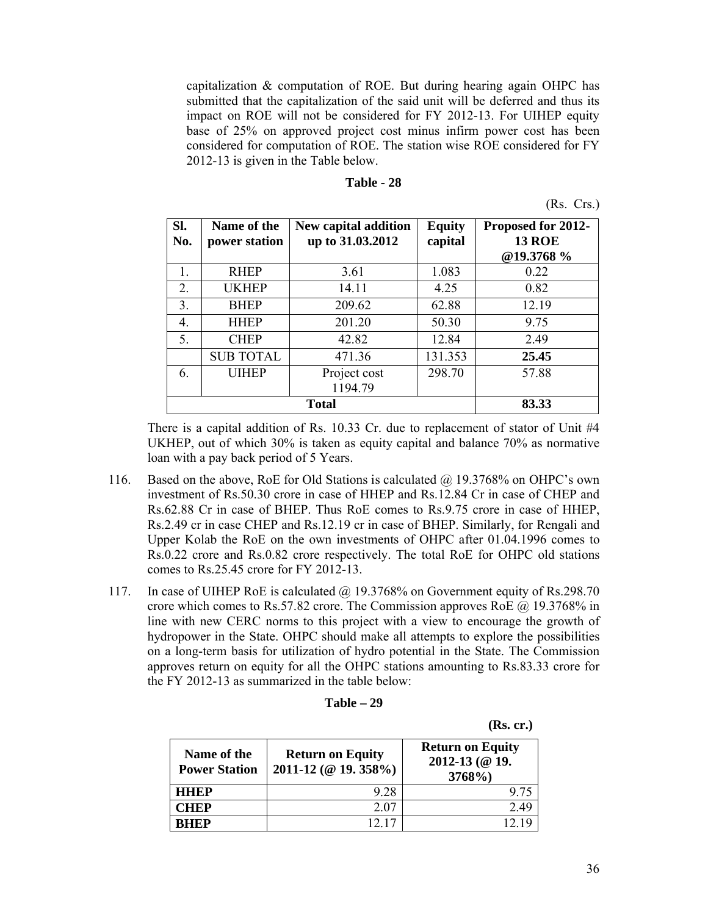capitalization & computation of ROE. But during hearing again OHPC has submitted that the capitalization of the said unit will be deferred and thus its impact on ROE will not be considered for FY 2012-13. For UIHEP equity base of 25% on approved project cost minus infirm power cost has been considered for computation of ROE. The station wise ROE considered for FY 2012-13 is given in the Table below.

| Table - 28 |  |  |
|------------|--|--|
|------------|--|--|

| ↖ |
|---|
|   |

| SI.<br>No. | Name of the<br>power station | New capital addition<br>up to 31.03.2012 | <b>Equity</b><br>capital | Proposed for 2012-<br><b>13 ROE</b><br>@19.3768 % |
|------------|------------------------------|------------------------------------------|--------------------------|---------------------------------------------------|
| 1.         | <b>RHEP</b>                  | 3.61                                     | 1.083                    | 0.22                                              |
| 2.         | <b>UKHEP</b>                 | 14.11                                    | 4.25                     | 0.82                                              |
| 3.         | <b>BHEP</b>                  | 209.62                                   | 62.88                    | 12.19                                             |
| 4.         | <b>HHEP</b>                  | 201.20                                   | 50.30                    | 9.75                                              |
| 5.         | <b>CHEP</b>                  | 42.82                                    | 12.84                    | 2.49                                              |
|            | <b>SUB TOTAL</b>             | 471.36                                   | 131.353                  | 25.45                                             |
| 6.         | <b>UIHEP</b>                 | Project cost<br>1194.79                  | 298.70                   | 57.88                                             |
|            |                              |                                          | 83.33                    |                                                   |

There is a capital addition of Rs. 10.33 Cr. due to replacement of stator of Unit #4 UKHEP, out of which 30% is taken as equity capital and balance 70% as normative loan with a pay back period of 5 Years.

- 116. Based on the above, RoE for Old Stations is calculated @ 19.3768% on OHPC's own investment of Rs.50.30 crore in case of HHEP and Rs.12.84 Cr in case of CHEP and Rs.62.88 Cr in case of BHEP. Thus RoE comes to Rs.9.75 crore in case of HHEP, Rs.2.49 cr in case CHEP and Rs.12.19 cr in case of BHEP. Similarly, for Rengali and Upper Kolab the RoE on the own investments of OHPC after 01.04.1996 comes to Rs.0.22 crore and Rs.0.82 crore respectively. The total RoE for OHPC old stations comes to Rs.25.45 crore for FY 2012-13.
- 117. In case of UIHEP RoE is calculated @ 19.3768% on Government equity of Rs.298.70 crore which comes to Rs.57.82 crore. The Commission approves RoE @ 19.3768% in line with new CERC norms to this project with a view to encourage the growth of hydropower in the State. OHPC should make all attempts to explore the possibilities on a long-term basis for utilization of hydro potential in the State. The Commission approves return on equity for all the OHPC stations amounting to Rs.83.33 crore for the FY 2012-13 as summarized in the table below:

| Table | 29 |
|-------|----|
|-------|----|

 **(Rs. cr.)**

| Name of the<br><b>Power Station</b> | <b>Return on Equity</b><br>2011-12 (@ 19. 358%) | <b>Return on Equity</b><br>2012-13 (@ 19.<br>3768%) |
|-------------------------------------|-------------------------------------------------|-----------------------------------------------------|
| <b>HHEP</b>                         | 9.28                                            | 9.75                                                |
| <b>CHEP</b>                         | 2.07                                            | 249                                                 |
| RHEP                                | 17                                              |                                                     |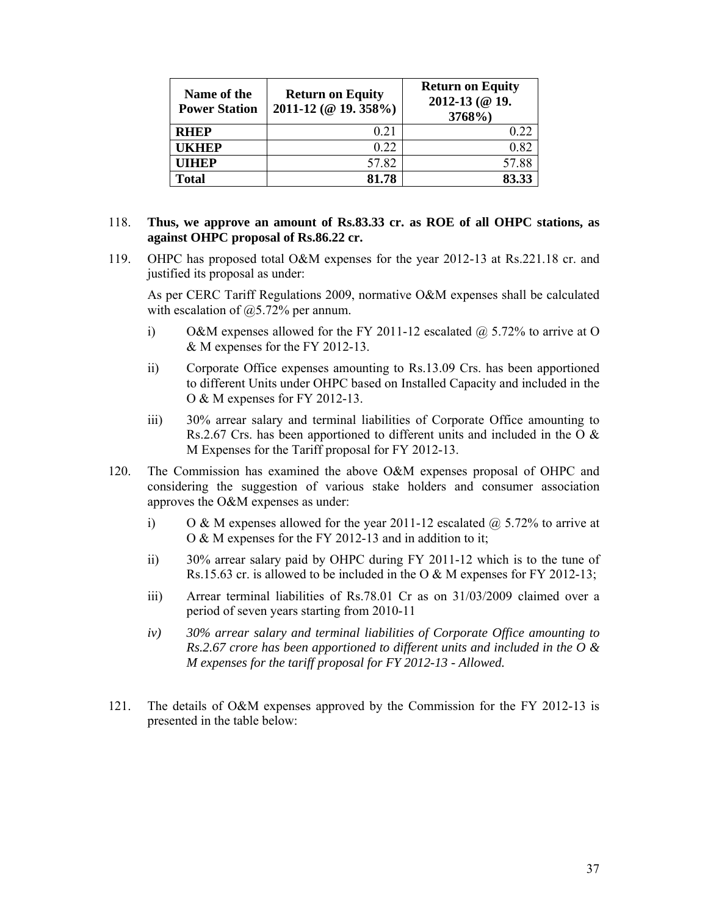| Name of the<br><b>Power Station</b> | <b>Return on Equity</b><br>2011-12 (@ 19. 358%) | <b>Return on Equity</b><br>2012-13 (@ 19.<br>3768%) |
|-------------------------------------|-------------------------------------------------|-----------------------------------------------------|
| <b>RHEP</b>                         | 0.21                                            | 0.22                                                |
| UKHEP                               | 0.22                                            | 0.82                                                |
| UIHEP                               | 57.82                                           | 57.88                                               |
| Total                               | 81.78                                           | 83.33                                               |

## 118. **Thus, we approve an amount of Rs.83.33 cr. as ROE of all OHPC stations, as against OHPC proposal of Rs.86.22 cr.**

119. OHPC has proposed total O&M expenses for the year 2012-13 at Rs.221.18 cr. and justified its proposal as under:

As per CERC Tariff Regulations 2009, normative O&M expenses shall be calculated with escalation of  $@5.72\%$  per annum.

- i) O&M expenses allowed for the FY 2011-12 escalated  $\hat{\omega}$  5.72% to arrive at O & M expenses for the FY 2012-13.
- ii) Corporate Office expenses amounting to Rs.13.09 Crs. has been apportioned to different Units under OHPC based on Installed Capacity and included in the O & M expenses for FY 2012-13.
- iii) 30% arrear salary and terminal liabilities of Corporate Office amounting to Rs.2.67 Crs. has been apportioned to different units and included in the O & M Expenses for the Tariff proposal for FY 2012-13.
- 120. The Commission has examined the above O&M expenses proposal of OHPC and considering the suggestion of various stake holders and consumer association approves the O&M expenses as under:
	- i) O & M expenses allowed for the year 2011-12 escalated  $\omega$  5.72% to arrive at O & M expenses for the FY 2012-13 and in addition to it;
	- ii) 30% arrear salary paid by OHPC during FY 2011-12 which is to the tune of Rs.15.63 cr. is allowed to be included in the O & M expenses for FY 2012-13;
	- iii) Arrear terminal liabilities of Rs.78.01 Cr as on 31/03/2009 claimed over a period of seven years starting from 2010-11
	- *iv) 30% arrear salary and terminal liabilities of Corporate Office amounting to Rs.2.67 crore has been apportioned to different units and included in the O & M expenses for the tariff proposal for FY 2012-13 - Allowed.*
- 121. The details of O&M expenses approved by the Commission for the FY 2012-13 is presented in the table below: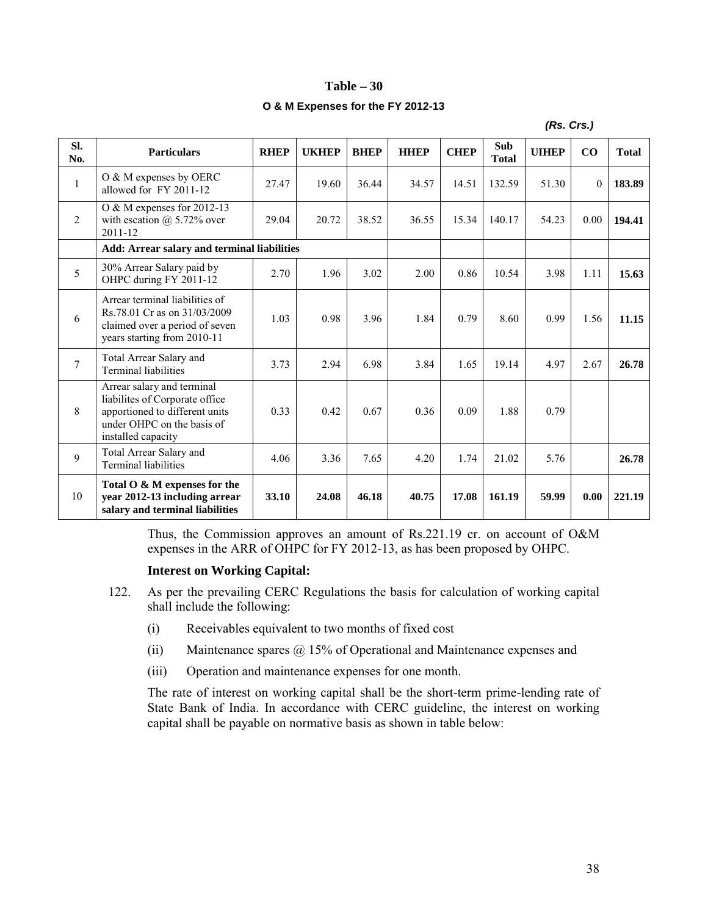#### **Table – 30**

#### **O & M Expenses for the FY 2012-13**

|                |                                                                                                                                                    |             |              |             |             |             |                            | (Rs. Crs.)   |                  |              |
|----------------|----------------------------------------------------------------------------------------------------------------------------------------------------|-------------|--------------|-------------|-------------|-------------|----------------------------|--------------|------------------|--------------|
| SI.<br>No.     | <b>Particulars</b>                                                                                                                                 | <b>RHEP</b> | <b>UKHEP</b> | <b>BHEP</b> | <b>HHEP</b> | <b>CHEP</b> | <b>Sub</b><br><b>Total</b> | <b>UIHEP</b> | CO               | <b>Total</b> |
| $\mathbf{1}$   | O & M expenses by OERC<br>allowed for FY 2011-12                                                                                                   | 27.47       | 19.60        | 36.44       | 34.57       | 14.51       | 132.59                     | 51.30        | $\boldsymbol{0}$ | 183.89       |
| $\overline{2}$ | O & M expenses for 2012-13<br>with escation $(a)$ 5.72% over<br>$2011 - 12$                                                                        | 29.04       | 20.72        | 38.52       | 36.55       | 15.34       | 140.17                     | 54.23        | 0.00             | 194.41       |
|                | Add: Arrear salary and terminal liabilities                                                                                                        |             |              |             |             |             |                            |              |                  |              |
| 5              | 30% Arrear Salary paid by<br>OHPC during FY 2011-12                                                                                                | 2.70        | 1.96         | 3.02        | 2.00        | 0.86        | 10.54                      | 3.98         | 1.11             | 15.63        |
| 6              | Arrear terminal liabilities of<br>Rs. 78.01 Cr as on 31/03/2009<br>claimed over a period of seven<br>years starting from 2010-11                   | 1.03        | 0.98         | 3.96        | 1.84        | 0.79        | 8.60                       | 0.99         | 1.56             | 11.15        |
| $\overline{7}$ | Total Arrear Salary and<br><b>Terminal liabilities</b>                                                                                             | 3.73        | 2.94         | 6.98        | 3.84        | 1.65        | 19.14                      | 4.97         | 2.67             | 26.78        |
| 8              | Arrear salary and terminal<br>liabilites of Corporate office<br>apportioned to different units<br>under OHPC on the basis of<br>installed capacity | 0.33        | 0.42         | 0.67        | 0.36        | 0.09        | 1.88                       | 0.79         |                  |              |
| 9              | Total Arrear Salary and<br><b>Terminal liabilities</b>                                                                                             | 4.06        | 3.36         | 7.65        | 4.20        | 1.74        | 21.02                      | 5.76         |                  | 26.78        |
| 10             | Total O & M expenses for the<br>year 2012-13 including arrear<br>salary and terminal liabilities                                                   | 33.10       | 24.08        | 46.18       | 40.75       | 17.08       | 161.19                     | 59.99        | 0.00             | 221.19       |

Thus, the Commission approves an amount of Rs.221.19 cr. on account of O&M expenses in the ARR of OHPC for FY 2012-13, as has been proposed by OHPC.

#### **Interest on Working Capital:**

- 122. As per the prevailing CERC Regulations the basis for calculation of working capital shall include the following:
	- (i) Receivables equivalent to two months of fixed cost
	- (ii) Maintenance spares @ 15% of Operational and Maintenance expenses and
	- (iii) Operation and maintenance expenses for one month.

The rate of interest on working capital shall be the short-term prime-lending rate of State Bank of India. In accordance with CERC guideline, the interest on working capital shall be payable on normative basis as shown in table below: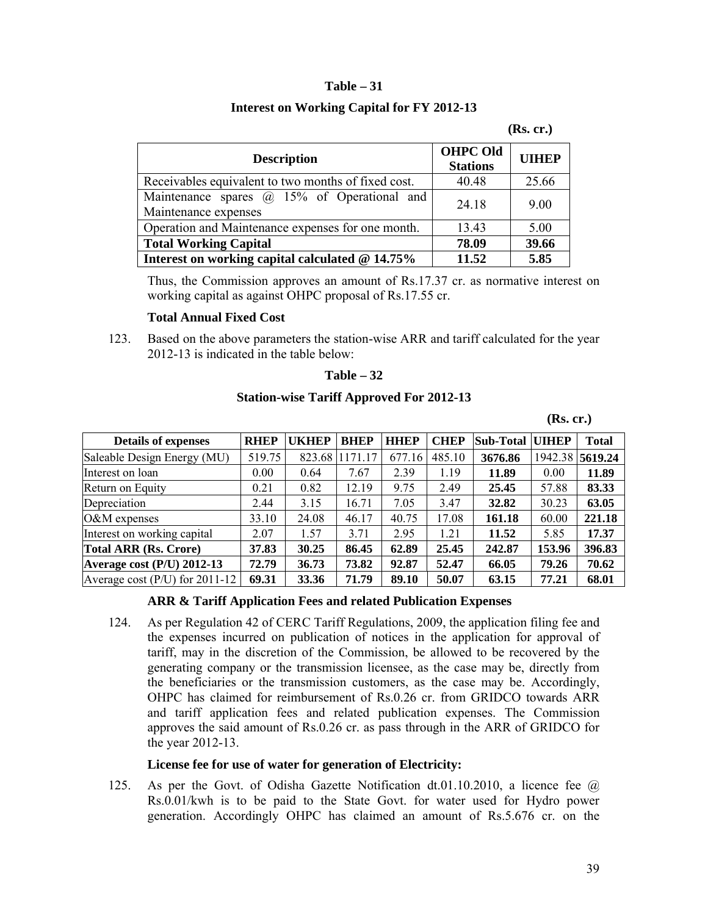## **Table – 31**

# **Interest on Working Capital for FY 2012-13**

#### **(Rs. cr.)**

| <b>Description</b>                                                         | <b>OHPC Old</b><br><b>Stations</b> | <b>UIHEP</b> |
|----------------------------------------------------------------------------|------------------------------------|--------------|
| Receivables equivalent to two months of fixed cost.                        | 40.48                              | 25.66        |
| Maintenance spares $\omega$ 15% of Operational and<br>Maintenance expenses | 24.18                              | 9.00         |
| Operation and Maintenance expenses for one month.                          | 13.43                              | 5.00         |
| <b>Total Working Capital</b>                                               | 78.09                              | 39.66        |
| Interest on working capital calculated @ 14.75%                            | 11.52                              | 5.85         |

Thus, the Commission approves an amount of Rs.17.37 cr. as normative interest on working capital as against OHPC proposal of Rs.17.55 cr.

# **Total Annual Fixed Cost**

123. Based on the above parameters the station-wise ARR and tariff calculated for the year 2012-13 is indicated in the table below:

#### **Table – 32**

## **Station-wise Tariff Approved For 2012-13**

## **(Rs. cr.)**

| <b>Details of expenses</b>       | <b>RHEP</b> | <b>UKHEP</b> | <b>BHEP</b> | <b>HHEP</b> | <b>CHEP</b> | <b>Sub-Total</b> | <b>UIHEP</b> | <b>Total</b>    |
|----------------------------------|-------------|--------------|-------------|-------------|-------------|------------------|--------------|-----------------|
| Saleable Design Energy (MU)      | 519.75      | 823.68       | 1171.17     | 677.16      | 485.10      | 3676.86          |              | 1942.38 5619.24 |
| Interest on loan                 | 0.00        | 0.64         | 7.67        | 2.39        | 1.19        | 11.89            | 0.00         | 11.89           |
| Return on Equity                 | 0.21        | 0.82         | 12.19       | 9.75        | 2.49        | 25.45            | 57.88        | 83.33           |
| Depreciation                     | 2.44        | 3.15         | 16.71       | 7.05        | 3.47        | 32.82            | 30.23        | 63.05           |
| $O&M$ expenses                   | 33.10       | 24.08        | 46.17       | 40.75       | 17.08       | 161.18           | 60.00        | 221.18          |
| Interest on working capital      | 2.07        | 1.57         | 3.71        | 2.95        | 1.21        | 11.52            | 5.85         | 17.37           |
| <b>Total ARR (Rs. Crore)</b>     | 37.83       | 30.25        | 86.45       | 62.89       | 25.45       | 242.87           | 153.96       | 396.83          |
| Average cost $(P/U)$ 2012-13     | 72.79       | 36.73        | 73.82       | 92.87       | 52.47       | 66.05            | 79.26        | 70.62           |
| Average cost (P/U) for $2011-12$ | 69.31       | 33.36        | 71.79       | 89.10       | 50.07       | 63.15            | 77.21        | 68.01           |

## **ARR & Tariff Application Fees and related Publication Expenses**

124. As per Regulation 42 of CERC Tariff Regulations, 2009, the application filing fee and the expenses incurred on publication of notices in the application for approval of tariff, may in the discretion of the Commission, be allowed to be recovered by the generating company or the transmission licensee, as the case may be, directly from the beneficiaries or the transmission customers, as the case may be. Accordingly, OHPC has claimed for reimbursement of Rs.0.26 cr. from GRIDCO towards ARR and tariff application fees and related publication expenses. The Commission approves the said amount of Rs.0.26 cr. as pass through in the ARR of GRIDCO for the year 2012-13.

#### **License fee for use of water for generation of Electricity:**

125. As per the Govt. of Odisha Gazette Notification dt.01.10.2010, a licence fee @ Rs.0.01/kwh is to be paid to the State Govt. for water used for Hydro power generation. Accordingly OHPC has claimed an amount of Rs.5.676 cr. on the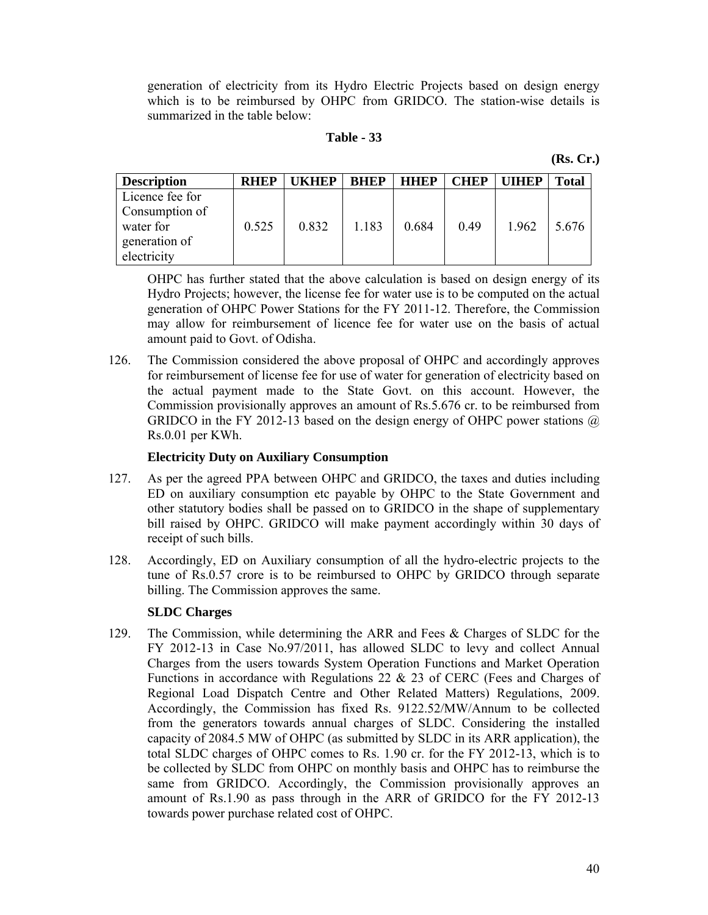generation of electricity from its Hydro Electric Projects based on design energy which is to be reimbursed by OHPC from GRIDCO. The station-wise details is summarized in the table below:

#### **Table - 33**

**(Rs. Cr.)**

| <b>Description</b> | <b>RHEP</b> | <b>KHFP</b> | <b>BHEP</b> | <b>HHEP</b> | <b>CHEP</b> | <b>THEP</b> | <b>Total</b> |
|--------------------|-------------|-------------|-------------|-------------|-------------|-------------|--------------|
| Licence fee for    |             |             |             |             |             |             |              |
| Consumption of     |             |             |             |             |             |             |              |
| water for          | 0.525       | 0.832       | 1.183       | 0.684       | 0.49        | 1.962       | 5.676        |
| generation of      |             |             |             |             |             |             |              |
| electricity        |             |             |             |             |             |             |              |

OHPC has further stated that the above calculation is based on design energy of its Hydro Projects; however, the license fee for water use is to be computed on the actual generation of OHPC Power Stations for the FY 2011-12. Therefore, the Commission may allow for reimbursement of licence fee for water use on the basis of actual amount paid to Govt. of Odisha.

126. The Commission considered the above proposal of OHPC and accordingly approves for reimbursement of license fee for use of water for generation of electricity based on the actual payment made to the State Govt. on this account. However, the Commission provisionally approves an amount of Rs.5.676 cr. to be reimbursed from GRIDCO in the FY 2012-13 based on the design energy of OHPC power stations  $\omega$ Rs.0.01 per KWh.

#### **Electricity Duty on Auxiliary Consumption**

- 127. As per the agreed PPA between OHPC and GRIDCO, the taxes and duties including ED on auxiliary consumption etc payable by OHPC to the State Government and other statutory bodies shall be passed on to GRIDCO in the shape of supplementary bill raised by OHPC. GRIDCO will make payment accordingly within 30 days of receipt of such bills.
- 128. Accordingly, ED on Auxiliary consumption of all the hydro-electric projects to the tune of Rs.0.57 crore is to be reimbursed to OHPC by GRIDCO through separate billing. The Commission approves the same.

#### **SLDC Charges**

129. The Commission, while determining the ARR and Fees & Charges of SLDC for the FY 2012-13 in Case No.97/2011, has allowed SLDC to levy and collect Annual Charges from the users towards System Operation Functions and Market Operation Functions in accordance with Regulations 22 & 23 of CERC (Fees and Charges of Regional Load Dispatch Centre and Other Related Matters) Regulations, 2009. Accordingly, the Commission has fixed Rs. 9122.52/MW/Annum to be collected from the generators towards annual charges of SLDC. Considering the installed capacity of 2084.5 MW of OHPC (as submitted by SLDC in its ARR application), the total SLDC charges of OHPC comes to Rs. 1.90 cr. for the FY 2012-13, which is to be collected by SLDC from OHPC on monthly basis and OHPC has to reimburse the same from GRIDCO. Accordingly, the Commission provisionally approves an amount of Rs.1.90 as pass through in the ARR of GRIDCO for the FY 2012-13 towards power purchase related cost of OHPC.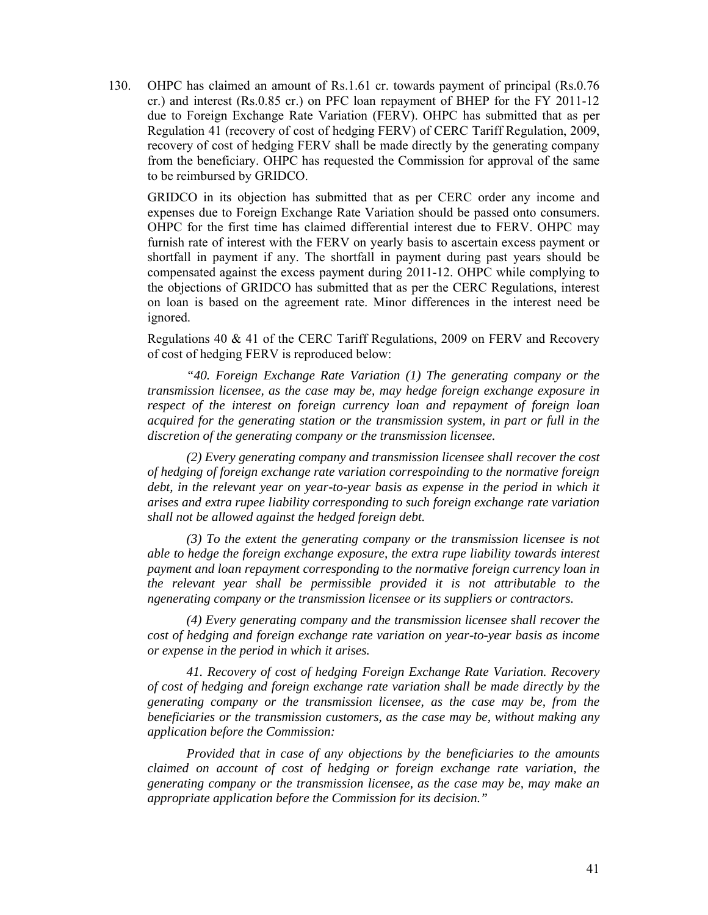130. OHPC has claimed an amount of Rs.1.61 cr. towards payment of principal (Rs.0.76 cr.) and interest (Rs.0.85 cr.) on PFC loan repayment of BHEP for the FY 2011-12 due to Foreign Exchange Rate Variation (FERV). OHPC has submitted that as per Regulation 41 (recovery of cost of hedging FERV) of CERC Tariff Regulation, 2009, recovery of cost of hedging FERV shall be made directly by the generating company from the beneficiary. OHPC has requested the Commission for approval of the same to be reimbursed by GRIDCO.

GRIDCO in its objection has submitted that as per CERC order any income and expenses due to Foreign Exchange Rate Variation should be passed onto consumers. OHPC for the first time has claimed differential interest due to FERV. OHPC may furnish rate of interest with the FERV on yearly basis to ascertain excess payment or shortfall in payment if any. The shortfall in payment during past years should be compensated against the excess payment during 2011-12. OHPC while complying to the objections of GRIDCO has submitted that as per the CERC Regulations, interest on loan is based on the agreement rate. Minor differences in the interest need be ignored.

Regulations 40 & 41 of the CERC Tariff Regulations, 2009 on FERV and Recovery of cost of hedging FERV is reproduced below:

*"40. Foreign Exchange Rate Variation (1) The generating company or the transmission licensee, as the case may be, may hedge foreign exchange exposure in respect of the interest on foreign currency loan and repayment of foreign loan acquired for the generating station or the transmission system, in part or full in the discretion of the generating company or the transmission licensee.*

*(2) Every generating company and transmission licensee shall recover the cost of hedging of foreign exchange rate variation correspoinding to the normative foreign*  debt, in the relevant year on year-to-year basis as expense in the period in which it *arises and extra rupee liability corresponding to such foreign exchange rate variation shall not be allowed against the hedged foreign debt.* 

*(3) To the extent the generating company or the transmission licensee is not able to hedge the foreign exchange exposure, the extra rupe liability towards interest payment and loan repayment corresponding to the normative foreign currency loan in the relevant year shall be permissible provided it is not attributable to the ngenerating company or the transmission licensee or its suppliers or contractors.* 

*(4) Every generating company and the transmission licensee shall recover the cost of hedging and foreign exchange rate variation on year-to-year basis as income or expense in the period in which it arises.*

*41. Recovery of cost of hedging Foreign Exchange Rate Variation. Recovery of cost of hedging and foreign exchange rate variation shall be made directly by the generating company or the transmission licensee, as the case may be, from the beneficiaries or the transmission customers, as the case may be, without making any application before the Commission:*

*Provided that in case of any objections by the beneficiaries to the amounts claimed on account of cost of hedging or foreign exchange rate variation, the generating company or the transmission licensee, as the case may be, may make an appropriate application before the Commission for its decision."*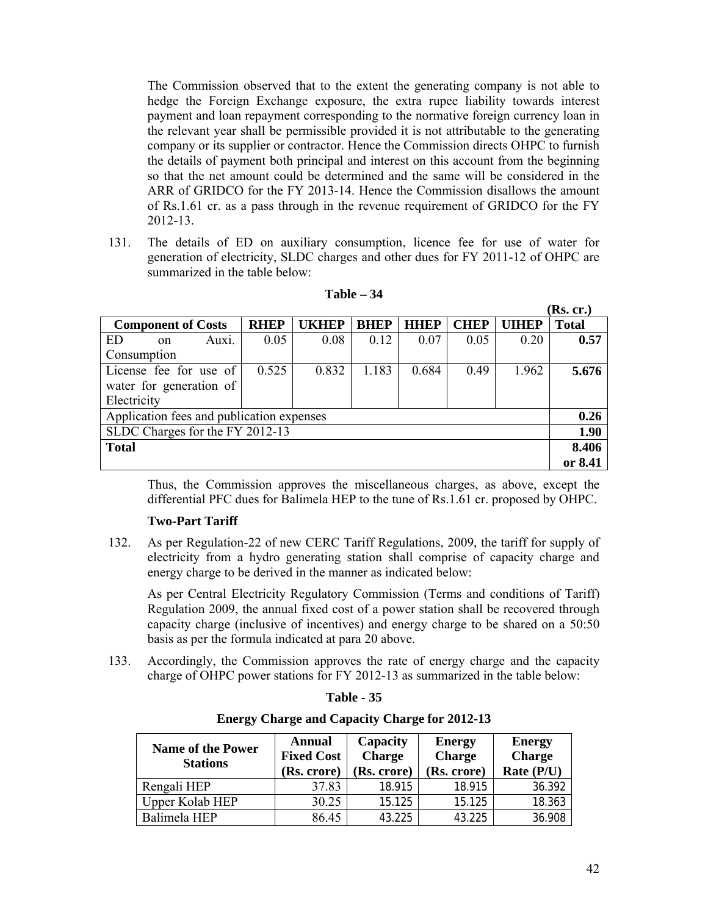The Commission observed that to the extent the generating company is not able to hedge the Foreign Exchange exposure, the extra rupee liability towards interest payment and loan repayment corresponding to the normative foreign currency loan in the relevant year shall be permissible provided it is not attributable to the generating company or its supplier or contractor. Hence the Commission directs OHPC to furnish the details of payment both principal and interest on this account from the beginning so that the net amount could be determined and the same will be considered in the ARR of GRIDCO for the FY 2013-14. Hence the Commission disallows the amount of Rs.1.61 cr. as a pass through in the revenue requirement of GRIDCO for the FY 2012-13.

131. The details of ED on auxiliary consumption, licence fee for use of water for generation of electricity, SLDC charges and other dues for FY 2011-12 of OHPC are summarized in the table below:

|                                           |             |              |             |             |             |              | (Rs. cr.)    |
|-------------------------------------------|-------------|--------------|-------------|-------------|-------------|--------------|--------------|
| <b>Component of Costs</b>                 | <b>RHEP</b> | <b>UKHEP</b> | <b>BHEP</b> | <b>HHEP</b> | <b>CHEP</b> | <b>UIHEP</b> | <b>Total</b> |
| ED<br>Auxi.<br><sub>on</sub>              | 0.05        | 0.08         | 0.12        | 0.07        | 0.05        | 0.20         | 0.57         |
| Consumption                               |             |              |             |             |             |              |              |
| License fee for use of                    | 0.525       | 0.832        | 1.183       | 0.684       | 0.49        | 1.962        | 5.676        |
| water for generation of                   |             |              |             |             |             |              |              |
| Electricity                               |             |              |             |             |             |              |              |
| Application fees and publication expenses |             |              |             |             |             |              | 0.26         |
| SLDC Charges for the FY 2012-13           |             |              |             |             |             |              | 1.90         |
| <b>Total</b>                              |             |              |             |             |             |              | 8.406        |
|                                           |             |              |             |             |             |              | or 8.41      |

**Table – 34**

Thus, the Commission approves the miscellaneous charges, as above, except the differential PFC dues for Balimela HEP to the tune of Rs.1.61 cr. proposed by OHPC.

## **Two-Part Tariff**

132. As per Regulation-22 of new CERC Tariff Regulations, 2009, the tariff for supply of electricity from a hydro generating station shall comprise of capacity charge and energy charge to be derived in the manner as indicated below:

As per Central Electricity Regulatory Commission (Terms and conditions of Tariff) Regulation 2009, the annual fixed cost of a power station shall be recovered through capacity charge (inclusive of incentives) and energy charge to be shared on a 50:50 basis as per the formula indicated at para 20 above.

133. Accordingly, the Commission approves the rate of energy charge and the capacity charge of OHPC power stations for FY 2012-13 as summarized in the table below:

## **Energy Charge and Capacity Charge for 2012-13**

| <b>Name of the Power</b><br><b>Stations</b> | <b>Annual</b><br><b>Fixed Cost</b><br>(Rs. crore) | Capacity<br><b>Charge</b><br>(Rs. crore) | <b>Energy</b><br><b>Charge</b><br>(Rs. crore) | <b>Energy</b><br><b>Charge</b><br>Rate (P/U) |
|---------------------------------------------|---------------------------------------------------|------------------------------------------|-----------------------------------------------|----------------------------------------------|
| Rengali HEP                                 | 37.83                                             | 18.915                                   | 18.915                                        | 36.392                                       |
| Upper Kolab HEP                             | 30.25                                             | 15.125                                   | 15.125                                        | 18.363                                       |
| Balimela HEP                                | 86.45                                             | 43.225                                   | 43.225                                        | 36.908                                       |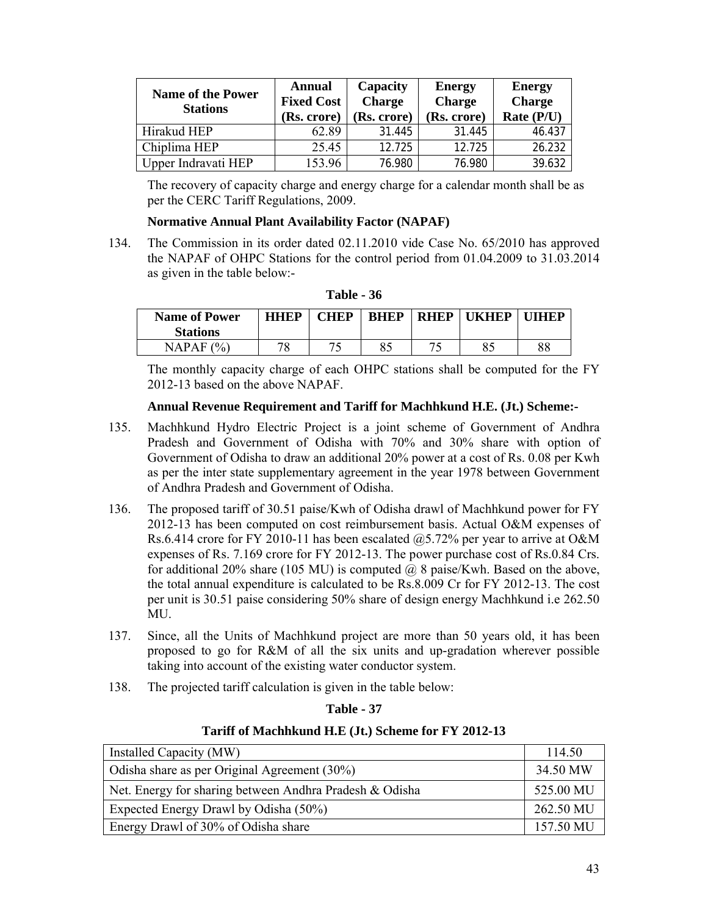| <b>Name of the Power</b><br><b>Stations</b> | Annual<br><b>Fixed Cost</b><br>(Rs. crore) | Capacity<br><b>Charge</b><br>(Rs. crore) | <b>Energy</b><br><b>Charge</b><br>(Rs. crore) | <b>Energy</b><br><b>Charge</b><br>Rate (P/U) |
|---------------------------------------------|--------------------------------------------|------------------------------------------|-----------------------------------------------|----------------------------------------------|
| Hirakud HEP                                 | 62.89                                      | 31.445                                   | 31.445                                        | 46.437                                       |
| Chiplima HEP                                | 25.45                                      | 12.725                                   | 12.725                                        | 26.232                                       |
| Upper Indravati HEP                         | 153.96                                     | 76.980                                   | 76.980                                        | 39.632                                       |

The recovery of capacity charge and energy charge for a calendar month shall be as per the CERC Tariff Regulations, 2009.

# **Normative Annual Plant Availability Factor (NAPAF)**

134. The Commission in its order dated 02.11.2010 vide Case No. 65/2010 has approved the NAPAF of OHPC Stations for the control period from 01.04.2009 to 31.03.2014 as given in the table below:-

| Table - 36 |  |  |
|------------|--|--|
|------------|--|--|

| <b>Name of Power</b><br><b>Stations</b> | <b>HHEP</b> | <b>CHEP</b> | <b>BHEP</b> | <b>RHEP</b> | <b>TKHEP</b> | <b>IIIHFP</b> |
|-----------------------------------------|-------------|-------------|-------------|-------------|--------------|---------------|
| $\frac{10}{6}$<br>NAPAF                 | 70          |             | 85          |             | Qf           | 88            |

The monthly capacity charge of each OHPC stations shall be computed for the FY 2012-13 based on the above NAPAF.

## **Annual Revenue Requirement and Tariff for Machhkund H.E. (Jt.) Scheme:-**

- 135. Machhkund Hydro Electric Project is a joint scheme of Government of Andhra Pradesh and Government of Odisha with 70% and 30% share with option of Government of Odisha to draw an additional 20% power at a cost of Rs. 0.08 per Kwh as per the inter state supplementary agreement in the year 1978 between Government of Andhra Pradesh and Government of Odisha.
- 136. The proposed tariff of 30.51 paise/Kwh of Odisha drawl of Machhkund power for FY 2012-13 has been computed on cost reimbursement basis. Actual O&M expenses of Rs.6.414 crore for FY 2010-11 has been escalated @5.72% per year to arrive at O&M expenses of Rs. 7.169 crore for FY 2012-13. The power purchase cost of Rs.0.84 Crs. for additional 20% share (105 MU) is computed  $\omega$  8 paise/Kwh. Based on the above, the total annual expenditure is calculated to be Rs.8.009 Cr for FY 2012-13. The cost per unit is 30.51 paise considering 50% share of design energy Machhkund i.e 262.50 MU.
- 137. Since, all the Units of Machhkund project are more than 50 years old, it has been proposed to go for R&M of all the six units and up-gradation wherever possible taking into account of the existing water conductor system.
- 138. The projected tariff calculation is given in the table below:

| Table |  | 37 |
|-------|--|----|
|-------|--|----|

## **Tariff of Machhkund H.E (Jt.) Scheme for FY 2012-13**

| Installed Capacity (MW)                                 | 114.50    |
|---------------------------------------------------------|-----------|
| Odisha share as per Original Agreement $(30\%)$         | 34.50 MW  |
| Net. Energy for sharing between Andhra Pradesh & Odisha | 525.00 MU |
| Expected Energy Drawl by Odisha (50%)                   | 262.50 MU |
| Energy Drawl of 30% of Odisha share                     | 157.50 MU |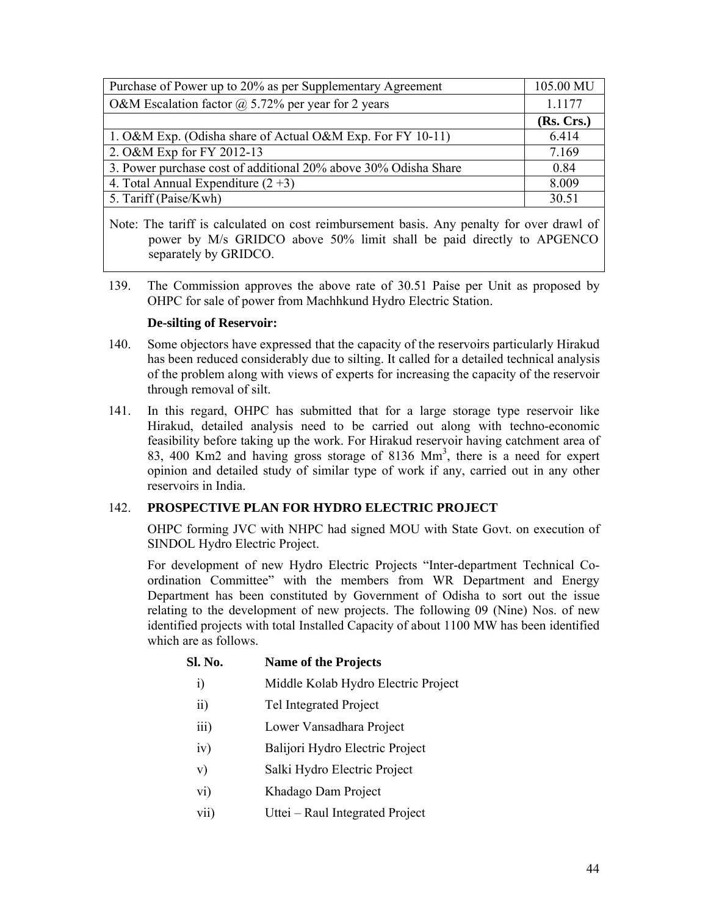| Purchase of Power up to 20% as per Supplementary Agreement      | 105.00 MU  |
|-----------------------------------------------------------------|------------|
| O&M Escalation factor $\omega$ 5.72% per year for 2 years       | 1.1177     |
|                                                                 | (Rs. Crs.) |
| 1. O&M Exp. (Odisha share of Actual O&M Exp. For FY 10-11)      | 6.414      |
| 2. O&M Exp for FY 2012-13                                       | 7.169      |
| 3. Power purchase cost of additional 20% above 30% Odisha Share | 0.84       |
| 4. Total Annual Expenditure $(2+3)$                             | 8.009      |
| 5. Tariff (Paise/Kwh)                                           | 30.51      |

Note: The tariff is calculated on cost reimbursement basis. Any penalty for over drawl of power by M/s GRIDCO above 50% limit shall be paid directly to APGENCO separately by GRIDCO.

139. The Commission approves the above rate of 30.51 Paise per Unit as proposed by OHPC for sale of power from Machhkund Hydro Electric Station.

# **De-silting of Reservoir:**

- 140. Some objectors have expressed that the capacity of the reservoirs particularly Hirakud has been reduced considerably due to silting. It called for a detailed technical analysis of the problem along with views of experts for increasing the capacity of the reservoir through removal of silt.
- 141. In this regard, OHPC has submitted that for a large storage type reservoir like Hirakud, detailed analysis need to be carried out along with techno-economic feasibility before taking up the work. For Hirakud reservoir having catchment area of 83, 400 Km2 and having gross storage of 8136 Mm<sup>3</sup>, there is a need for expert opinion and detailed study of similar type of work if any, carried out in any other reservoirs in India.

# 142. **PROSPECTIVE PLAN FOR HYDRO ELECTRIC PROJECT**

OHPC forming JVC with NHPC had signed MOU with State Govt. on execution of SINDOL Hydro Electric Project.

For development of new Hydro Electric Projects "Inter-department Technical Coordination Committee" with the members from WR Department and Energy Department has been constituted by Government of Odisha to sort out the issue relating to the development of new projects. The following 09 (Nine) Nos. of new identified projects with total Installed Capacity of about 1100 MW has been identified which are as follows.

# **Sl. No. Name of the Projects**

- i) Middle Kolab Hydro Electric Project
- ii) Tel Integrated Project
- iii) Lower Vansadhara Project
- iv) Balijori Hydro Electric Project
- v) Salki Hydro Electric Project
- vi) Khadago Dam Project
- vii) Uttei Raul Integrated Project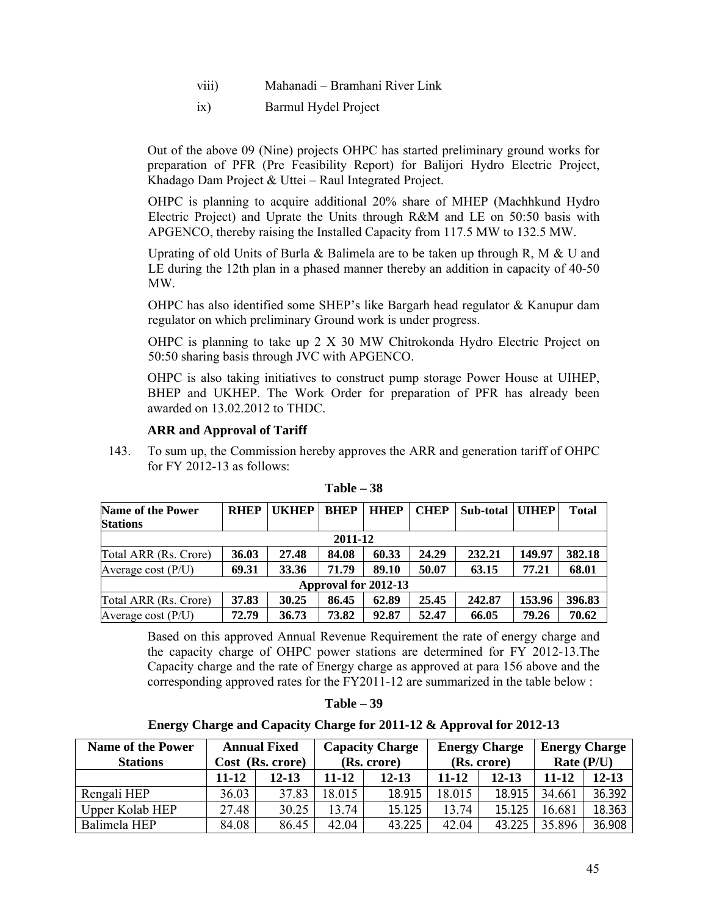- viii) Mahanadi Bramhani River Link
- ix) Barmul Hydel Project

Out of the above 09 (Nine) projects OHPC has started preliminary ground works for preparation of PFR (Pre Feasibility Report) for Balijori Hydro Electric Project, Khadago Dam Project & Uttei – Raul Integrated Project.

OHPC is planning to acquire additional 20% share of MHEP (Machhkund Hydro Electric Project) and Uprate the Units through R&M and LE on 50:50 basis with APGENCO, thereby raising the Installed Capacity from 117.5 MW to 132.5 MW.

Uprating of old Units of Burla & Balimela are to be taken up through R, M  $\&$  U and LE during the 12th plan in a phased manner thereby an addition in capacity of 40-50 MW.

OHPC has also identified some SHEP's like Bargarh head regulator & Kanupur dam regulator on which preliminary Ground work is under progress.

OHPC is planning to take up 2 X 30 MW Chitrokonda Hydro Electric Project on 50:50 sharing basis through JVC with APGENCO.

OHPC is also taking initiatives to construct pump storage Power House at UIHEP, BHEP and UKHEP. The Work Order for preparation of PFR has already been awarded on 13.02.2012 to THDC.

## **ARR and Approval of Tariff**

143. To sum up, the Commission hereby approves the ARR and generation tariff of OHPC for FY 2012-13 as follows:

| <b>Name of the Power</b> | <b>RHEP</b> | <b>UKHEP</b> | <b>BHEP</b> | <b>HHEP</b> | <b>CHEP</b> | <b>Sub-total   UIHEP</b> |        | Total  |  |
|--------------------------|-------------|--------------|-------------|-------------|-------------|--------------------------|--------|--------|--|
| <b>Stations</b>          |             |              |             |             |             |                          |        |        |  |
| 2011-12                  |             |              |             |             |             |                          |        |        |  |
| Total ARR (Rs. Crore)    | 36.03       | 27.48        | 84.08       | 60.33       | 24.29       | 232.21                   | 149.97 | 382.18 |  |
| Average cost $(P/U)$     | 69.31       | 33.36        | 71.79       | 89.10       | 50.07       | 63.15                    | 77.21  | 68.01  |  |
| Approval for 2012-13     |             |              |             |             |             |                          |        |        |  |
| Total ARR (Rs. Crore)    | 37.83       | 30.25        | 86.45       | 62.89       | 25.45       | 242.87                   | 153.96 | 396.83 |  |
| Average cost $(P/U)$     | 72.79       | 36.73        | 73.82       | 92.87       | 52.47       | 66.05                    | 79.26  | 70.62  |  |

**Table – 38**

Based on this approved Annual Revenue Requirement the rate of energy charge and the capacity charge of OHPC power stations are determined for FY 2012-13.The Capacity charge and the rate of Energy charge as approved at para 156 above and the corresponding approved rates for the FY2011-12 are summarized in the table below :

| Table – |  | - 39 |
|---------|--|------|
|---------|--|------|

#### **Energy Charge and Capacity Charge for 2011-12 & Approval for 2012-13**

| <b>Name of the Power</b> |       | <b>Annual Fixed</b>             | <b>Capacity Charge</b> |           |             | <b>Energy Charge</b> | <b>Energy Charge</b> |           |  |
|--------------------------|-------|---------------------------------|------------------------|-----------|-------------|----------------------|----------------------|-----------|--|
| <b>Stations</b>          |       | Cost (Rs. crore)<br>(Rs. crore) |                        |           | (Rs. crore) |                      | Rate $(P/U)$         |           |  |
|                          | 11-12 | 12-13                           | 11-12                  | $12 - 13$ | $11 - 12$   | 12-13                | $11 - 12$            | $12 - 13$ |  |
| Rengali HEP              | 36.03 | 37.83                           | 18.015                 | 18.915    | 18.015      | 18.915               | 34.661               | 36.392    |  |
| Upper Kolab HEP          | 27.48 | 30.25                           | 13.74                  | 15.125    | 13.74       | 15.125               | 16.681               | 18.363    |  |
| Balimela HEP             | 84.08 | 86.45                           | 42.04                  | 43.225    | 42.04       | 43.225               | 35.896               | 36.908    |  |